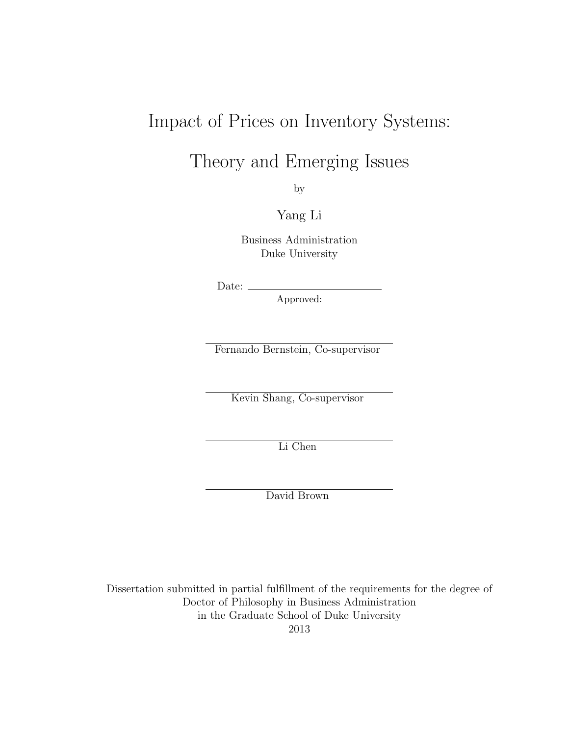## Impact of Prices on Inventory Systems:

Theory and Emerging Issues

by

Yang Li

Business Administration Duke University

Date:  $\equiv$ 

Approved:

Fernando Bernstein, Co-supervisor

Kevin Shang, Co-supervisor

Li Chen

David Brown

Dissertation submitted in partial fulfillment of the requirements for the degree of Doctor of Philosophy in Business Administration in the Graduate School of Duke University 2013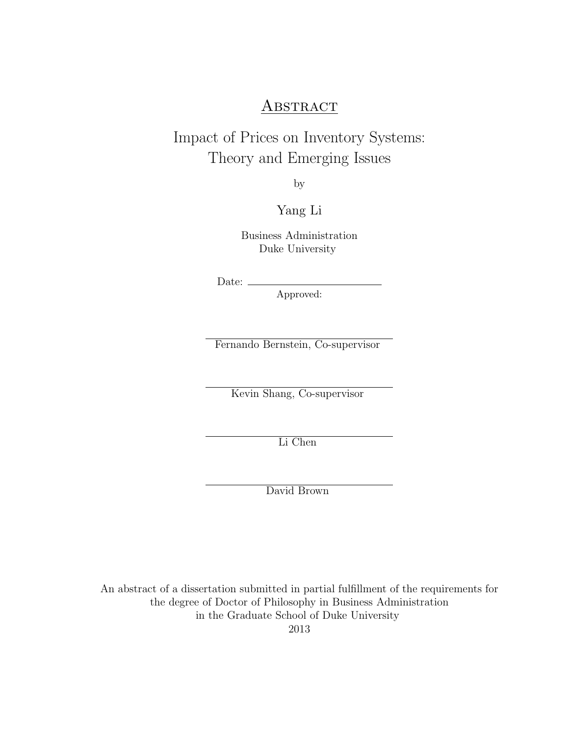### **ABSTRACT**

### Impact of Prices on Inventory Systems: Theory and Emerging Issues

by

Yang Li

Business Administration Duke University

Date:

Approved:

Fernando Bernstein, Co-supervisor

Kevin Shang, Co-supervisor

Li Chen

David Brown

An abstract of a dissertation submitted in partial fulfillment of the requirements for the degree of Doctor of Philosophy in Business Administration in the Graduate School of Duke University

2013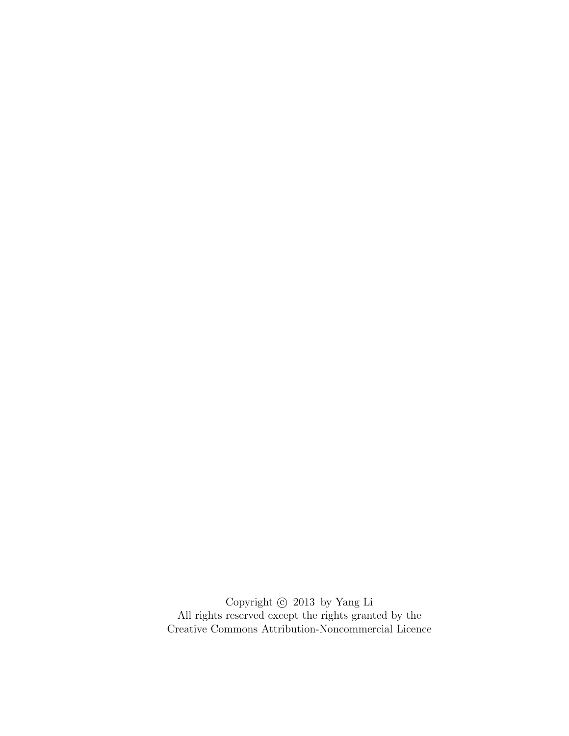Copyright  $\copyright$  2013 by Yang Li All rights reserved except the rights granted by the [Creative Commons Attribution-Noncommercial Licence](http://creativecommons.org/licenses/by-nc/3.0/us/)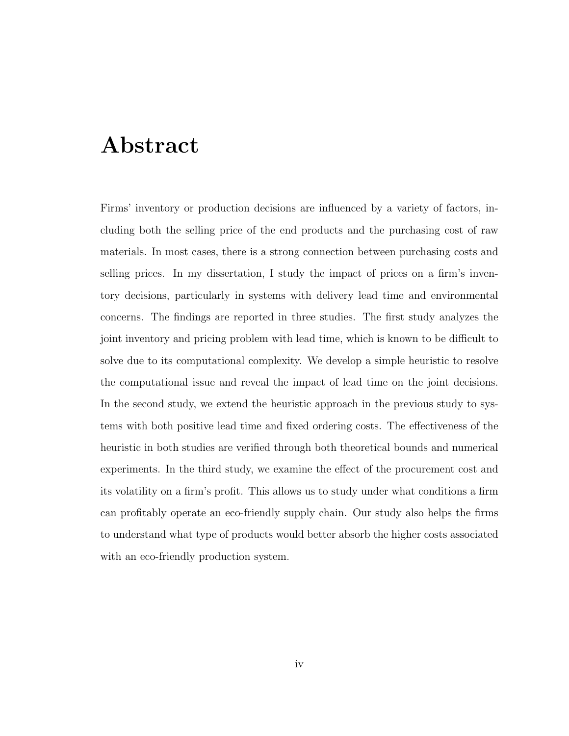## <span id="page-3-0"></span>Abstract

Firms' inventory or production decisions are influenced by a variety of factors, including both the selling price of the end products and the purchasing cost of raw materials. In most cases, there is a strong connection between purchasing costs and selling prices. In my dissertation, I study the impact of prices on a firm's inventory decisions, particularly in systems with delivery lead time and environmental concerns. The findings are reported in three studies. The first study analyzes the joint inventory and pricing problem with lead time, which is known to be difficult to solve due to its computational complexity. We develop a simple heuristic to resolve the computational issue and reveal the impact of lead time on the joint decisions. In the second study, we extend the heuristic approach in the previous study to systems with both positive lead time and fixed ordering costs. The effectiveness of the heuristic in both studies are verified through both theoretical bounds and numerical experiments. In the third study, we examine the effect of the procurement cost and its volatility on a firm's profit. This allows us to study under what conditions a firm can profitably operate an eco-friendly supply chain. Our study also helps the firms to understand what type of products would better absorb the higher costs associated with an eco-friendly production system.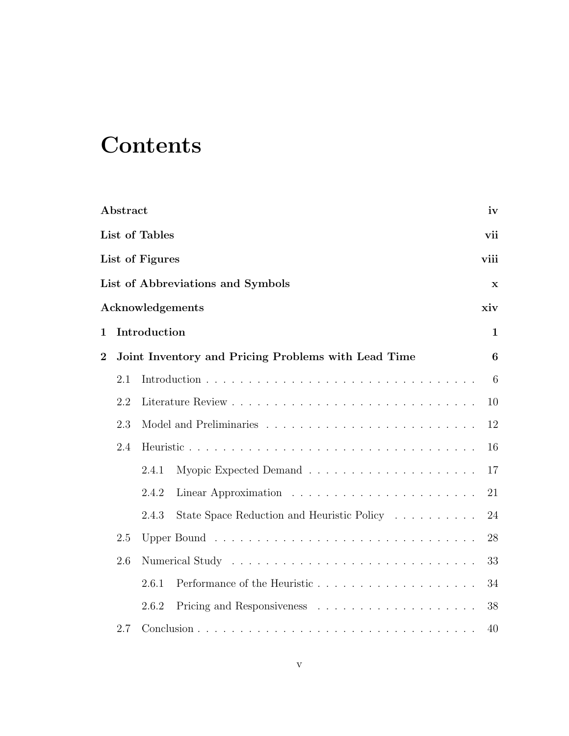# Contents

|                | Abstract              |                 |                                                     | iv   |  |
|----------------|-----------------------|-----------------|-----------------------------------------------------|------|--|
|                | List of Tables<br>vii |                 |                                                     |      |  |
|                |                       | List of Figures |                                                     | viii |  |
|                |                       |                 | List of Abbreviations and Symbols                   | x    |  |
|                |                       |                 | Acknowledgements                                    | xiv  |  |
| 1              |                       | Introduction    |                                                     | 1    |  |
| $\overline{2}$ |                       |                 | Joint Inventory and Pricing Problems with Lead Time | 6    |  |
|                | 2.1                   |                 |                                                     | 6    |  |
|                | 2.2                   |                 |                                                     | 10   |  |
|                | 2.3                   |                 |                                                     | 12   |  |
|                | 2.4                   |                 |                                                     | 16   |  |
|                |                       | 2.4.1           |                                                     | 17   |  |
|                |                       | 2.4.2           |                                                     | 21   |  |
|                |                       | 2.4.3           | State Space Reduction and Heuristic Policy          | 24   |  |
|                | 2.5                   |                 |                                                     | 28   |  |
|                | 2.6                   |                 | 33                                                  |      |  |
|                |                       | 2.6.1           | Performance of the Heuristic                        | 34   |  |
|                |                       | 2.6.2           |                                                     | 38   |  |
|                | 2.7                   |                 |                                                     | 40   |  |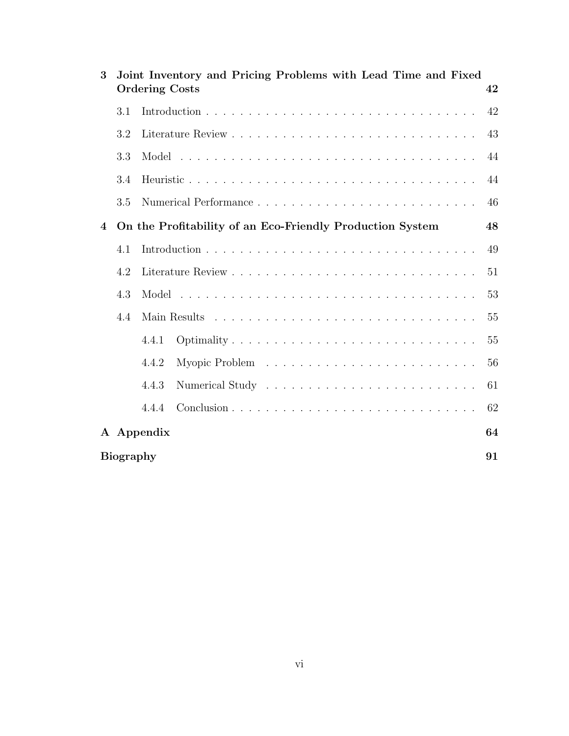| 3              |                        | Joint Inventory and Pricing Problems with Lead Time and Fixed<br><b>Ordering Costs</b> | 42 |  |
|----------------|------------------------|----------------------------------------------------------------------------------------|----|--|
|                | 3.1                    |                                                                                        | 42 |  |
|                | 3.2                    |                                                                                        | 43 |  |
|                | 3.3                    |                                                                                        | 44 |  |
|                | 3.4                    |                                                                                        | 44 |  |
|                | 3.5                    |                                                                                        | 46 |  |
| $\overline{4}$ |                        | On the Profitability of an Eco-Friendly Production System                              | 48 |  |
|                | 4.1                    |                                                                                        | 49 |  |
|                | 4.2                    |                                                                                        | 51 |  |
|                | 4.3                    |                                                                                        | 53 |  |
|                | 4.4                    |                                                                                        | 55 |  |
|                |                        | Optimality<br>4.4.1                                                                    | 55 |  |
|                |                        | 4.4.2                                                                                  | 56 |  |
|                |                        | 4.4.3                                                                                  | 61 |  |
|                |                        | 4.4.4                                                                                  | 62 |  |
|                |                        | A Appendix                                                                             | 64 |  |
|                | <b>Biography</b><br>91 |                                                                                        |    |  |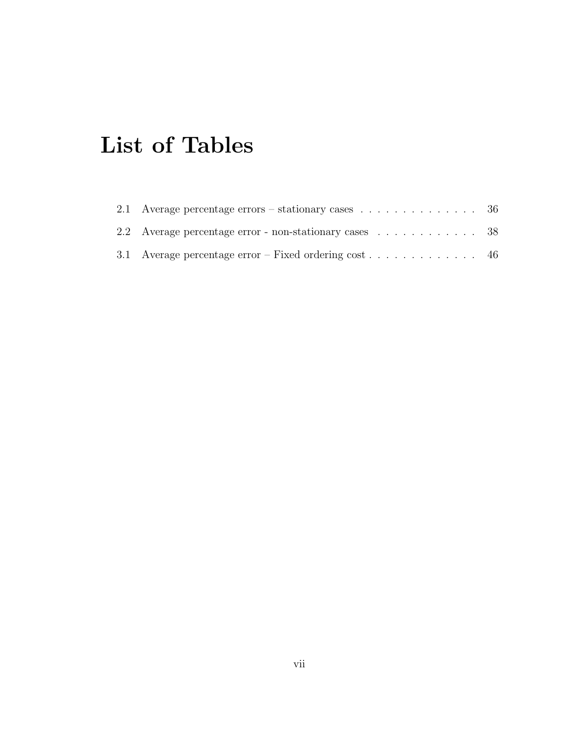# <span id="page-6-0"></span>List of Tables

| 2.2 Average percentage error - non-stationary cases 38 |  |
|--------------------------------------------------------|--|
| 3.1 Average percentage error – Fixed ordering cost 46  |  |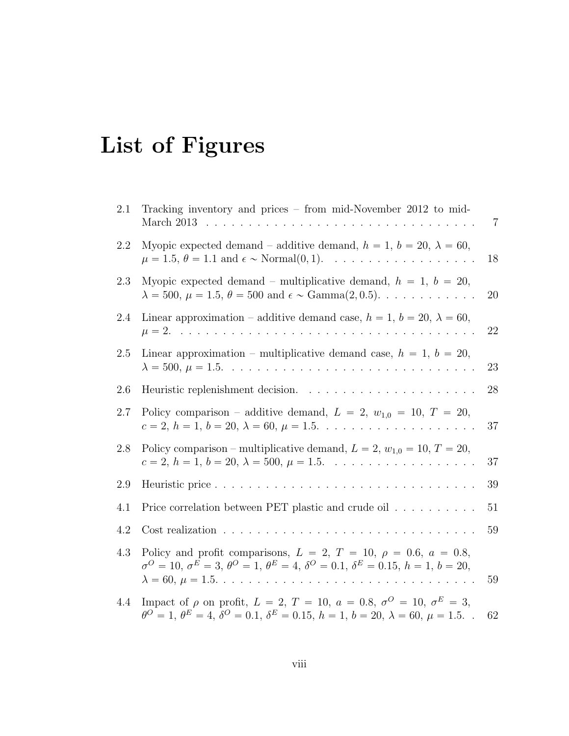# <span id="page-7-0"></span>List of Figures

| 2.1 | Tracking inventory and prices $-$ from mid-November 2012 to mid-<br>March 2013<br>and a series of the contract of the contract of                                                                                 | 7         |
|-----|-------------------------------------------------------------------------------------------------------------------------------------------------------------------------------------------------------------------|-----------|
| 2.2 | Myopic expected demand – additive demand, $h = 1$ , $b = 20$ , $\lambda = 60$ ,<br>$\mu = 1.5, \theta = 1.1$ and $\epsilon \sim \text{Normal}(0, 1)$ .<br>.                                                       | 18        |
| 2.3 | Myopic expected demand – multiplicative demand, $h = 1$ , $b = 20$ ,<br>$\lambda = 500, \mu = 1.5, \theta = 500 \text{ and } \epsilon \sim \text{Gamma}(2, 0.5). \dots \dots \dots \dots$                         | <b>20</b> |
| 2.4 | Linear approximation – additive demand case, $h = 1$ , $b = 20$ , $\lambda = 60$ ,<br>$\mu = 2.$                                                                                                                  | 22        |
| 2.5 | Linear approximation – multiplicative demand case, $h = 1$ , $b = 20$ ,                                                                                                                                           | 23        |
| 2.6 | Heuristic replenishment decision.<br>$\mathbf{r}$<br>$\ddots$                                                                                                                                                     | 28        |
| 2.7 | Policy comparison – additive demand, $L = 2$ , $w_{1,0} = 10$ , $T = 20$ ,<br>$c = 2, h = 1, b = 20, \lambda = 60, \mu = 1.5. \ldots \ldots \ldots \ldots \ldots \ldots$                                          | 37        |
| 2.8 | Policy comparison – multiplicative demand, $L = 2$ , $w_{1,0} = 10$ , $T = 20$ ,<br>$c = 2, h = 1, b = 20, \lambda = 500, \mu = 1.5. \ldots \ldots \ldots \ldots \ldots \ldots$                                   | 37        |
| 2.9 | Heuristic price                                                                                                                                                                                                   | 39        |
| 4.1 | Price correlation between PET plastic and crude oil                                                                                                                                                               | 51        |
| 4.2 | Cost realization                                                                                                                                                                                                  | 59        |
| 4.3 | Policy and profit comparisons, $L = 2, T = 10, \rho = 0.6, a = 0.8,$<br>$\sigma^O = 10, \sigma^E = 3, \theta^O = 1, \theta^E = 4, \delta^O = 0.1, \delta^E = 0.15, h = 1, b = 20,$                                | 59        |
| 4.4 | Impact of $\rho$ on profit, $L = 2, T = 10, a = 0.8, \sigma^O = 10, \sigma^E = 3,$<br>$\theta^O = 1, \, \theta^E = 4, \, \delta^O = 0.1, \, \delta^E = 0.15, \, h = 1, \, b = 20, \, \lambda = 60, \, \mu = 1.5.$ | 62        |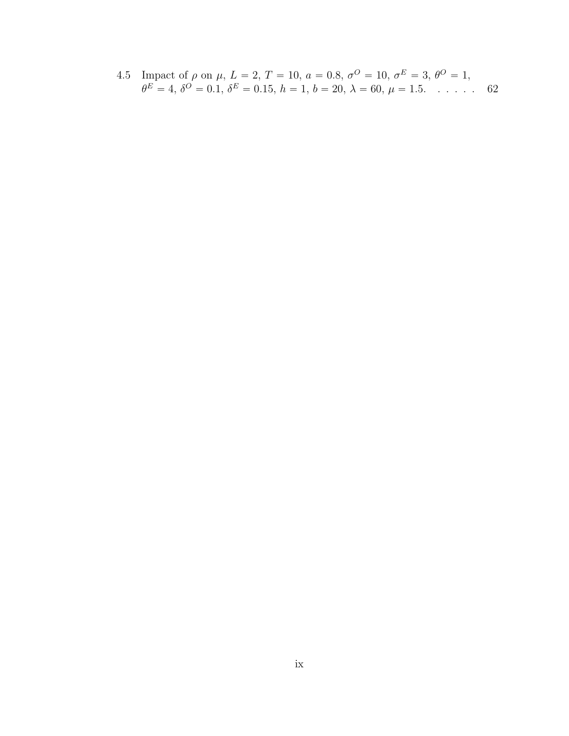[4.5 Impact of](#page-75-2)  $\rho$  on  $\mu$ ,  $L = 2$ ,  $T = 10$ ,  $a = 0.8$ ,  $\sigma^O = 10$ ,  $\sigma^E = 3$ ,  $\theta^O = 1$ ,  $\theta^E = 4, \delta^O = 0.1, \delta^E = 0.15, h = 1, b = 20, \lambda = 60, \mu = 1.5. \dots$  $\theta^E = 4, \delta^O = 0.1, \delta^E = 0.15, h = 1, b = 20, \lambda = 60, \mu = 1.5. \dots$  $\theta^E = 4, \delta^O = 0.1, \delta^E = 0.15, h = 1, b = 20, \lambda = 60, \mu = 1.5. \dots$  . . . . . 62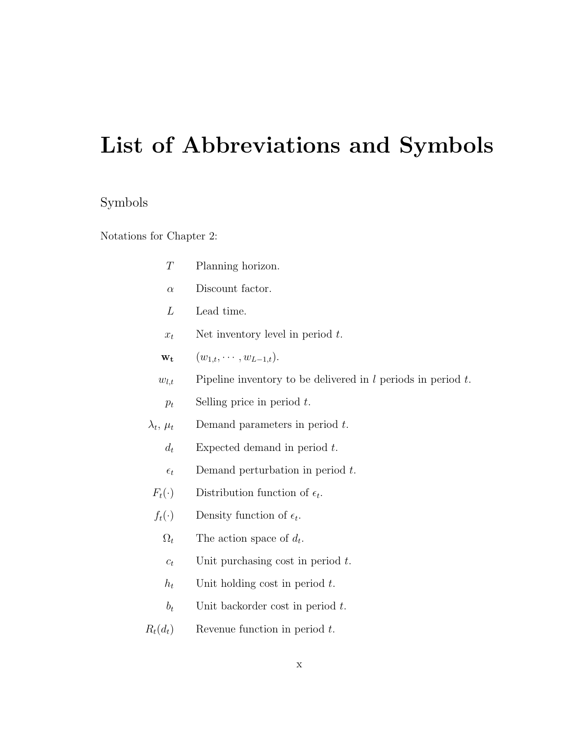# <span id="page-9-0"></span>List of Abbreviations and Symbols

### Symbols

Notations for Chapter 2:

| T                  | Planning horizon.                                                 |
|--------------------|-------------------------------------------------------------------|
| $\alpha$           | Discount factor.                                                  |
| L                  | Lead time.                                                        |
| $x_t$              | Net inventory level in period $t$ .                               |
| $\mathbf{w_{t}}$   | $(w_{1,t},\cdots,w_{L-1,t}).$                                     |
| $w_{l,t}$          | Pipeline inventory to be delivered in $l$ periods in period $t$ . |
| $p_t$              | Selling price in period $t$ .                                     |
| $\lambda_t, \mu_t$ | Demand parameters in period $t$ .                                 |
| $d_t$              | Expected demand in period $t$ .                                   |
| $\epsilon_t$       | Demand perturbation in period $t$ .                               |
| $F_t(\cdot)$       | Distribution function of $\epsilon_t$ .                           |
| $f_t(\cdot)$       | Density function of $\epsilon_t$ .                                |
| $\Omega_t$         | The action space of $d_t$ .                                       |
| $c_t$              | Unit purchasing cost in period $t$ .                              |
| $h_t$              | Unit holding cost in period $t$ .                                 |
| $b_t$              | Unit backorder cost in period $t$ .                               |
| $R_t(d_t)$         | Revenue function in period $t$ .                                  |
|                    |                                                                   |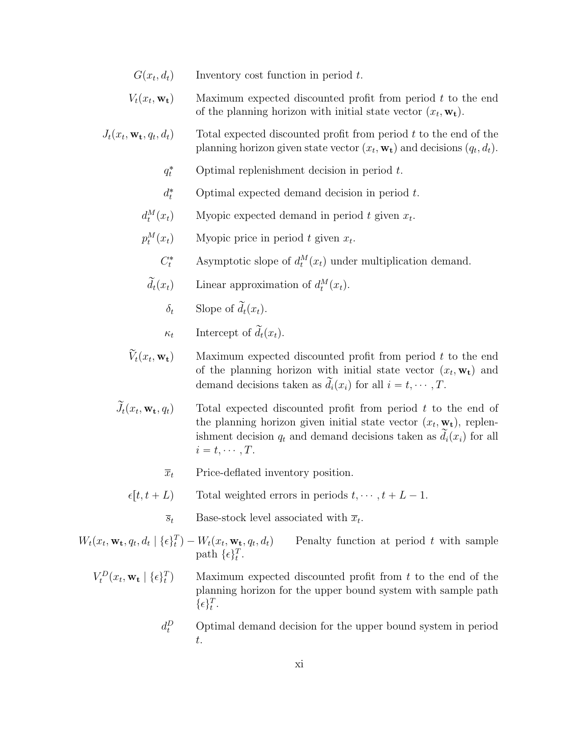- $G(x_t, d_t)$ Inventory cost function in period  $t$ .
- $V_t(x_t, \mathbf{w_t})$ Maximum expected discounted profit from period  $t$  to the end of the planning horizon with initial state vector  $(x_t, \mathbf{w_t})$ .
- $J_t(x_t, \mathbf{w_t}, q_t)$ Total expected discounted profit from period  $t$  to the end of the planning horizon given state vector  $(x_t, \mathbf{w_t})$  and decisions  $(q_t, d_t)$ .
	- $q_t^*$ Optimal replenishment decision in period  $t$ .
	- $d_t^*$ Optimal expected demand decision in period  $t$ .
	- $d_t^M$  $(x_t)$  Myopic expected demand in period t given  $x_t$ .
	- $p_t^M$  $(x_t)$  Myopic price in period t given  $x_t$ .
		- $C_t^*$ \* Asymptotic slope of  $d_t^M(x_t)$  under multiplication demand.
		- $\widetilde{d}_t(x_t)$  Linear approximation of  $d_t^M(x_t)$ .
			- $\delta_t$  Slope of  $\tilde{d}_t(x_t)$ .
			- $\kappa_t$  Intercept of  $\tilde{d}_t(x_t)$ .
	- $\widetilde{V}_t(x_t, \mathbf{w_t})$ Maximum expected discounted profit from period  $t$  to the end of the planning horizon with initial state vector  $(x_t, \mathbf{w_t})$  and demand decisions taken as  $\tilde{d}_i(x_i)$  for all  $i = t, \cdots, T$ .
	- $\widetilde{J}_t(x_t, \mathbf{w_t}, q_t)$ Total expected discounted profit from period  $t$  to the end of the planning horizon given initial state vector  $(x_t, \mathbf{w_t})$ , replenishment decision  $q_t$  and demand decisions taken as  $\tilde{d}_i(x_i)$  for all  $i = t, \cdots, T$ .
		- $\overline{x}_t$  Price-deflated inventory position.
		- $\epsilon[t, t + L]$  Total weighted errors in periods  $t, \dots, t + L 1$ .
			- $\overline{s}_t$  Base-stock level associated with  $\overline{x}_t$ .
- $W_t(x_t, \mathbf{w_t}, q_t, d_t \mid \{\epsilon\}_t^T) W_t(x_t, \mathbf{w_t}, q_t)$ Penalty function at period  $t$  with sample path  $\{\epsilon\}_t^T$ .
	- $V_t^D(x_t, \mathbf{w_t} \mid \{\epsilon\}_t^T)$ Maximum expected discounted profit from  $t$  to the end of the planning horizon for the upper bound system with sample path  $\{\epsilon\}_t^T$ .
		- $d_t^D$ Optimal demand decision for the upper bound system in period t.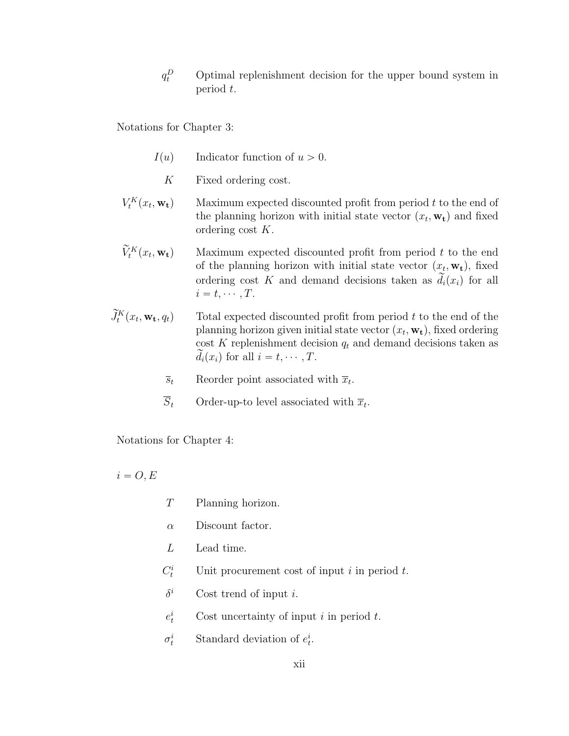$q_t^D$ <sup>t</sup> Optimal replenishment decision for the upper bound system in period t.

Notations for Chapter 3:

- $I(u)$  Indicator function of  $u > 0$ .
	- K Fixed ordering cost.
- $V_t^K(x_t$ Maximum expected discounted profit from period  $t$  to the end of the planning horizon with initial state vector  $(x_t, \mathbf{w_t})$  and fixed ordering cost K.
- $\widetilde{V}^K_t(x_t)$ Maximum expected discounted profit from period  $t$  to the end of the planning horizon with initial state vector  $(x_t, \mathbf{w_t})$ , fixed ordering cost K and demand decisions taken as  $\tilde{d}_i(x_i)$  for all  $i = t, \cdots, T$ .
- $\widetilde{J}_{t}^{K}(x_{t}% ,\theta)$ Total expected discounted profit from period  $t$  to the end of the planning horizon given initial state vector  $(x_t, \mathbf{w_t})$ , fixed ordering cost K replenishment decision  $q_t$  and demand decisions taken as  $d_i(x_i)$  for all  $i = t, \cdots, T$ .
	- $\overline{s}_t$  Reorder point associated with  $\overline{x}_t$ .
	- $\overline{S}_t$  Order-up-to level associated with  $\overline{x}_t$ .

Notations for Chapter 4:

 $i = O, E$ 

- T Planning horizon.
- $\alpha$  Discount factor.
- L Lead time.
- $C_t^i$ Unit procurement cost of input  $i$  in period  $t$ .
- $\delta^i$ Cost trend of input  $i$ .
- $e_t^i$ Cost uncertainty of input  $i$  in period  $t$ .
- $\sigma^i_t$  $t_t^i$  Standard deviation of  $e_t^i$ .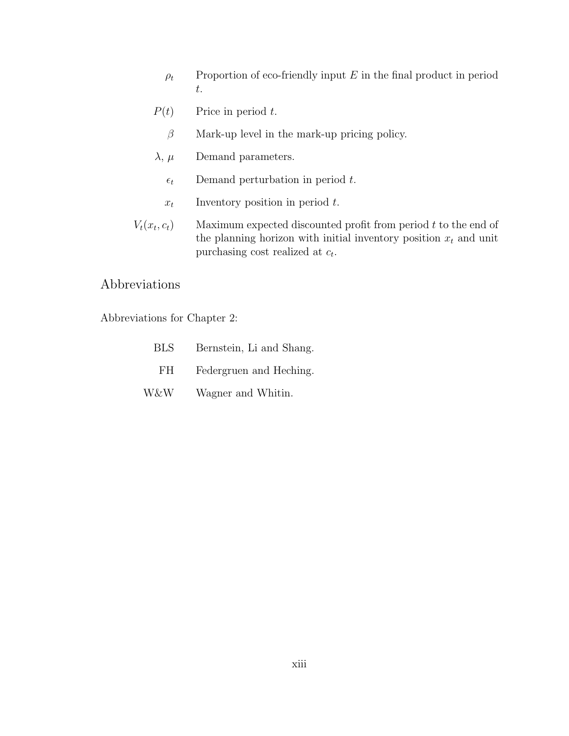- $\rho_t$  Proportion of eco-friendly input E in the final product in period t.
- $P(t)$  Price in period t.
	- $\beta$  Mark-up level in the mark-up pricing policy.
- $\lambda$ ,  $\mu$  Demand parameters.
	- $\epsilon_t$  Demand perturbation in period t.
	- $x_t$  Inventory position in period  $t$ .
- $V_t(x_t, c_t)$ Maximum expected discounted profit from period  $t$  to the end of the planning horizon with initial inventory position  $x_t$  and unit purchasing cost realized at  $c_t$ .

### Abbreviations

Abbreviations for Chapter 2:

| <b>BLS</b> | Bernstein, Li and Shang. |
|------------|--------------------------|
| FH.        | Federgruen and Heching.  |
| W&W        | Wagner and Whitin.       |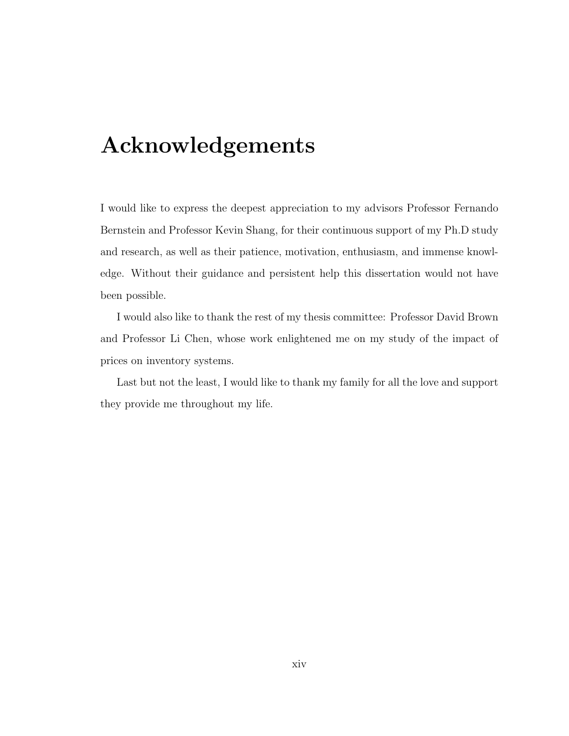## <span id="page-13-0"></span>Acknowledgements

I would like to express the deepest appreciation to my advisors Professor Fernando Bernstein and Professor Kevin Shang, for their continuous support of my Ph.D study and research, as well as their patience, motivation, enthusiasm, and immense knowledge. Without their guidance and persistent help this dissertation would not have been possible.

I would also like to thank the rest of my thesis committee: Professor David Brown and Professor Li Chen, whose work enlightened me on my study of the impact of prices on inventory systems.

Last but not the least, I would like to thank my family for all the love and support they provide me throughout my life.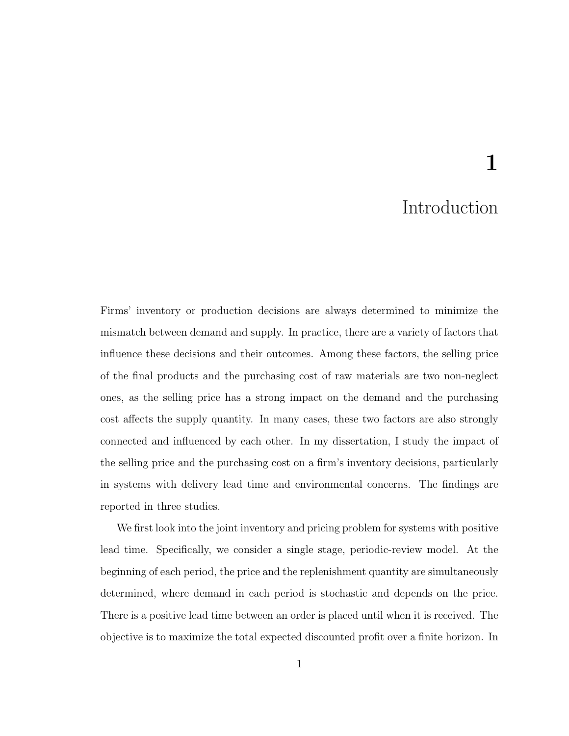# 1

### Introduction

<span id="page-14-0"></span>Firms' inventory or production decisions are always determined to minimize the mismatch between demand and supply. In practice, there are a variety of factors that influence these decisions and their outcomes. Among these factors, the selling price of the final products and the purchasing cost of raw materials are two non-neglect ones, as the selling price has a strong impact on the demand and the purchasing cost affects the supply quantity. In many cases, these two factors are also strongly connected and influenced by each other. In my dissertation, I study the impact of the selling price and the purchasing cost on a firm's inventory decisions, particularly in systems with delivery lead time and environmental concerns. The findings are reported in three studies.

We first look into the joint inventory and pricing problem for systems with positive lead time. Specifically, we consider a single stage, periodic-review model. At the beginning of each period, the price and the replenishment quantity are simultaneously determined, where demand in each period is stochastic and depends on the price. There is a positive lead time between an order is placed until when it is received. The objective is to maximize the total expected discounted profit over a finite horizon. In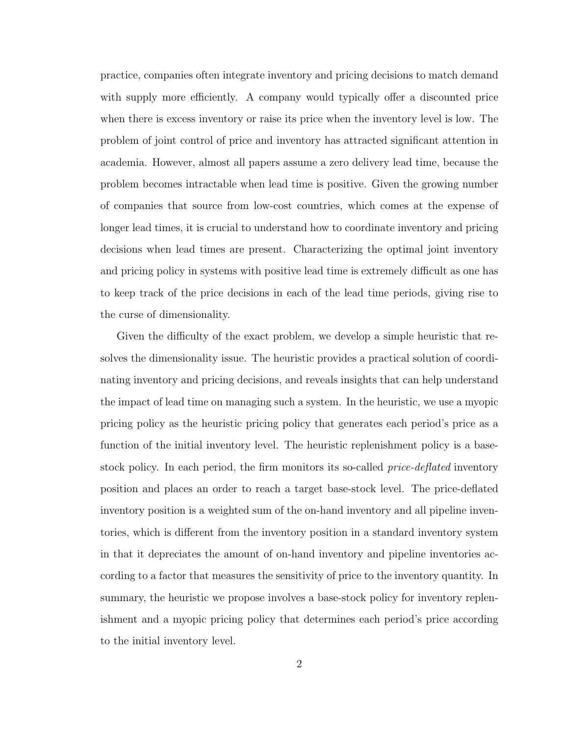practice, companies often integrate inventory and pricing decisions to match demand with supply more efficiently. A company would typically offer a discounted price when there is excess inventory or raise its price when the inventory level is low. The problem of joint control of price and inventory has attracted significant attention in academia. However, almost all papers assume a zero delivery lead time, because the problem becomes intractable when lead time is positive. Given the growing number of companies that source from low-cost countries, which comes at the expense of longer lead times, it is crucial to understand how to coordinate inventory and pricing decisions when lead times are present. Characterizing the optimal joint inventory and pricing policy in systems with positive lead time is extremely difficult as one has to keep track of the price decisions in each of the lead time periods, giving rise to the curse of dimensionality.

Given the difficulty of the exact problem, we develop a simple heuristic that resolves the dimensionality issue. The heuristic provides a practical solution of coordinating inventory and pricing decisions, and reveals insights that can help understand the impact of lead time on managing such a system. In the heuristic, we use a myopic pricing policy as the heuristic pricing policy that generates each period's price as a function of the initial inventory level. The heuristic replenishment policy is a basestock policy. In each period, the firm monitors its so-called *price-deflated* inventory position and places an order to reach a target base-stock level. The price-deflated inventory position is a weighted sum of the on-hand inventory and all pipeline inventories, which is different from the inventory position in a standard inventory system in that it depreciates the amount of on-hand inventory and pipeline inventories according to a factor that measures the sensitivity of price to the inventory quantity. In summary, the heuristic we propose involves a base-stock policy for inventory replenishment and a myopic pricing policy that determines each period's price according to the initial inventory level.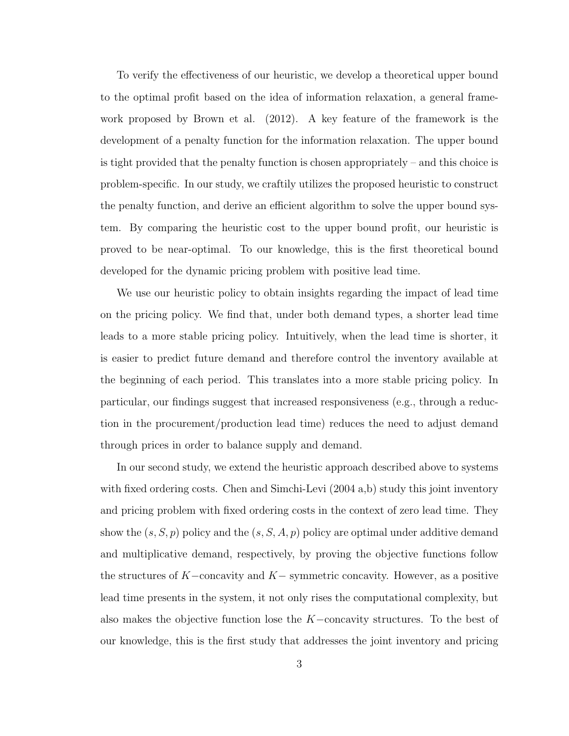To verify the effectiveness of our heuristic, we develop a theoretical upper bound to the optimal profit based on the idea of information relaxation, a general framework proposed by Brown et al. (2012). A key feature of the framework is the development of a penalty function for the information relaxation. The upper bound is tight provided that the penalty function is chosen appropriately – and this choice is problem-specific. In our study, we craftily utilizes the proposed heuristic to construct the penalty function, and derive an efficient algorithm to solve the upper bound system. By comparing the heuristic cost to the upper bound profit, our heuristic is proved to be near-optimal. To our knowledge, this is the first theoretical bound developed for the dynamic pricing problem with positive lead time.

We use our heuristic policy to obtain insights regarding the impact of lead time on the pricing policy. We find that, under both demand types, a shorter lead time leads to a more stable pricing policy. Intuitively, when the lead time is shorter, it is easier to predict future demand and therefore control the inventory available at the beginning of each period. This translates into a more stable pricing policy. In particular, our findings suggest that increased responsiveness (e.g., through a reduction in the procurement/production lead time) reduces the need to adjust demand through prices in order to balance supply and demand.

In our second study, we extend the heuristic approach described above to systems with fixed ordering costs. Chen and Simchi-Levi (2004 a,b) study this joint inventory and pricing problem with fixed ordering costs in the context of zero lead time. They show the  $(s, S, p)$  policy and the  $(s, S, A, p)$  policy are optimal under additive demand and multiplicative demand, respectively, by proving the objective functions follow the structures of  $K$ -concavity and  $K$ -symmetric concavity. However, as a positive lead time presents in the system, it not only rises the computational complexity, but also makes the objective function lose the  $K$ -concavity structures. To the best of our knowledge, this is the first study that addresses the joint inventory and pricing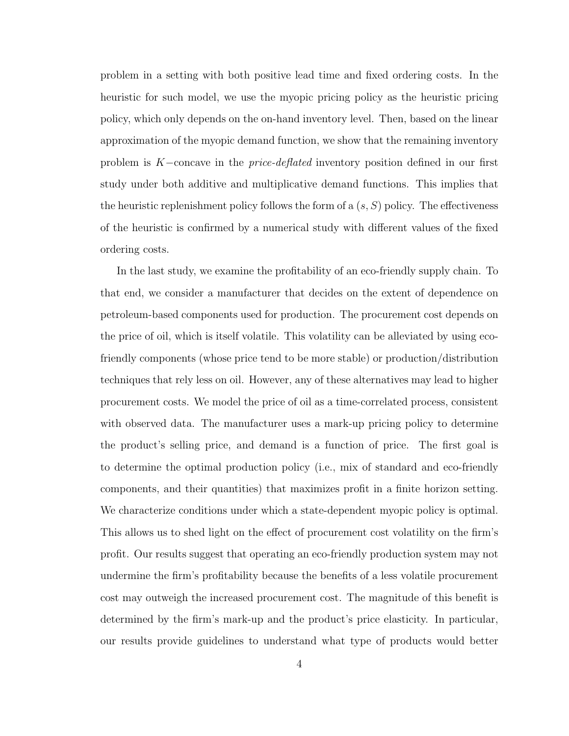problem in a setting with both positive lead time and fixed ordering costs. In the heuristic for such model, we use the myopic pricing policy as the heuristic pricing policy, which only depends on the on-hand inventory level. Then, based on the linear approximation of the myopic demand function, we show that the remaining inventory problem is  $K$ -concave in the *price-deflated* inventory position defined in our first study under both additive and multiplicative demand functions. This implies that the heuristic replenishment policy follows the form of a  $(s, S)$  policy. The effectiveness of the heuristic is confirmed by a numerical study with different values of the fixed ordering costs.

In the last study, we examine the profitability of an eco-friendly supply chain. To that end, we consider a manufacturer that decides on the extent of dependence on petroleum-based components used for production. The procurement cost depends on the price of oil, which is itself volatile. This volatility can be alleviated by using ecofriendly components (whose price tend to be more stable) or production/distribution techniques that rely less on oil. However, any of these alternatives may lead to higher procurement costs. We model the price of oil as a time-correlated process, consistent with observed data. The manufacturer uses a mark-up pricing policy to determine the product's selling price, and demand is a function of price. The first goal is to determine the optimal production policy (i.e., mix of standard and eco-friendly components, and their quantities) that maximizes profit in a finite horizon setting. We characterize conditions under which a state-dependent myopic policy is optimal. This allows us to shed light on the effect of procurement cost volatility on the firm's profit. Our results suggest that operating an eco-friendly production system may not undermine the firm's profitability because the benefits of a less volatile procurement cost may outweigh the increased procurement cost. The magnitude of this benefit is determined by the firm's mark-up and the product's price elasticity. In particular, our results provide guidelines to understand what type of products would better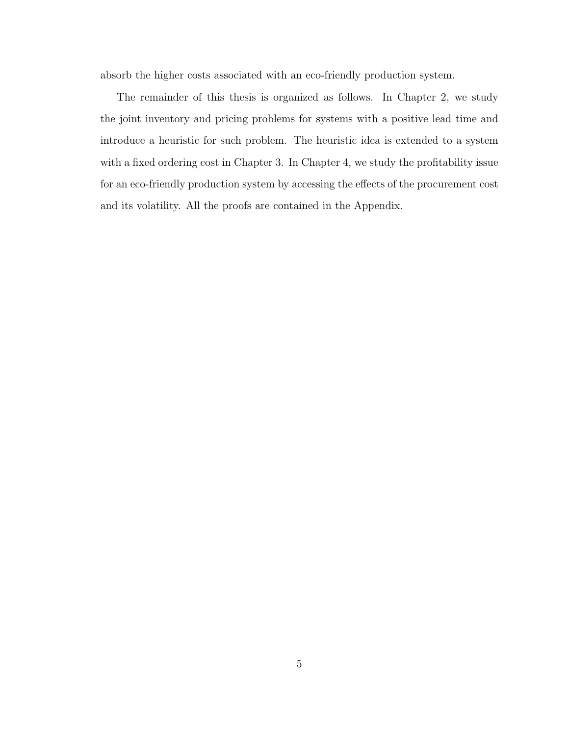absorb the higher costs associated with an eco-friendly production system.

The remainder of this thesis is organized as follows. In Chapter [2,](#page-19-0) we study the joint inventory and pricing problems for systems with a positive lead time and introduce a heuristic for such problem. The heuristic idea is extended to a system with a fixed ordering cost in Chapter [3.](#page-55-0) In Chapter [4,](#page-61-0) we study the profitability issue for an eco-friendly production system by accessing the effects of the procurement cost and its volatility. All the proofs are contained in the Appendix.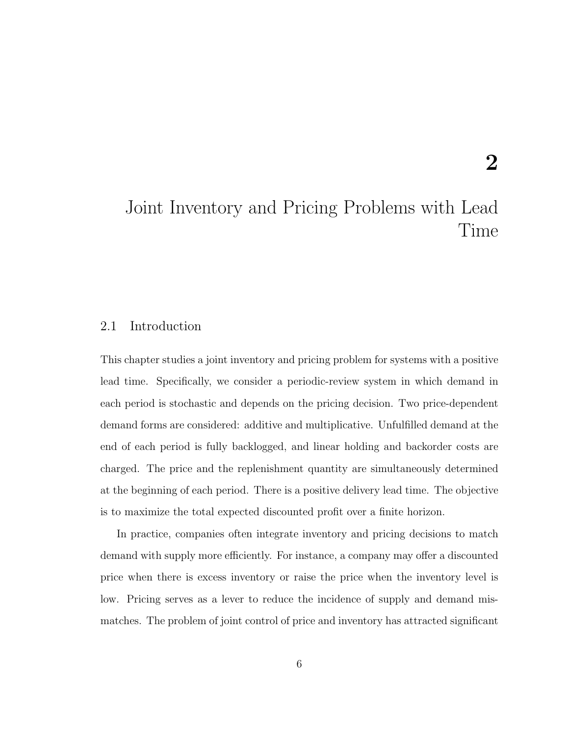## <span id="page-19-0"></span>Joint Inventory and Pricing Problems with Lead Time

### <span id="page-19-1"></span>2.1 Introduction

This chapter studies a joint inventory and pricing problem for systems with a positive lead time. Specifically, we consider a periodic-review system in which demand in each period is stochastic and depends on the pricing decision. Two price-dependent demand forms are considered: additive and multiplicative. Unfulfilled demand at the end of each period is fully backlogged, and linear holding and backorder costs are charged. The price and the replenishment quantity are simultaneously determined at the beginning of each period. There is a positive delivery lead time. The objective is to maximize the total expected discounted profit over a finite horizon.

In practice, companies often integrate inventory and pricing decisions to match demand with supply more efficiently. For instance, a company may offer a discounted price when there is excess inventory or raise the price when the inventory level is low. Pricing serves as a lever to reduce the incidence of supply and demand mismatches. The problem of joint control of price and inventory has attracted significant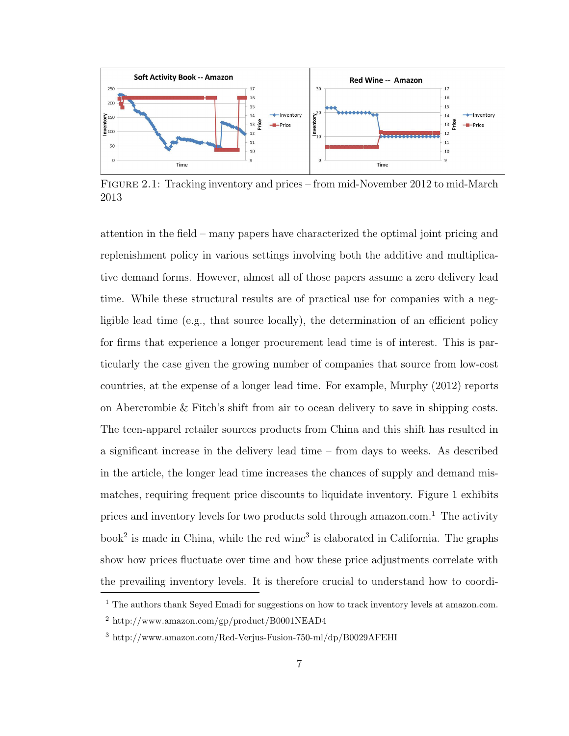

<span id="page-20-0"></span>Figure 2.1: Tracking inventory and prices – from mid-November 2012 to mid-March 2013

attention in the field – many papers have characterized the optimal joint pricing and replenishment policy in various settings involving both the additive and multiplicative demand forms. However, almost all of those papers assume a zero delivery lead time. While these structural results are of practical use for companies with a negligible lead time (e.g., that source locally), the determination of an efficient policy for firms that experience a longer procurement lead time is of interest. This is particularly the case given the growing number of companies that source from low-cost countries, at the expense of a longer lead time. For example, Murphy (2012) reports on Abercrombie & Fitch's shift from air to ocean delivery to save in shipping costs. The teen-apparel retailer sources products from China and this shift has resulted in a significant increase in the delivery lead time – from days to weeks. As described in the article, the longer lead time increases the chances of supply and demand mismatches, requiring frequent price discounts to liquidate inventory. Figure 1 exhibits prices and inventory levels for two products sold through amazon.com.<sup>[1](#page-20-1)</sup> The activity book<sup>[2](#page-20-2)</sup> is made in China, while the red wine<sup>[3](#page-20-3)</sup> is elaborated in California. The graphs show how prices fluctuate over time and how these price adjustments correlate with the prevailing inventory levels. It is therefore crucial to understand how to coordi-

<span id="page-20-1"></span> $<sup>1</sup>$  The authors thank Seyed Emadi for suggestions on how to track inventory levels at amazon.com.</sup>

<span id="page-20-2"></span><sup>2</sup> http://www.amazon.com/gp/product/B0001NEAD4

<span id="page-20-3"></span><sup>3</sup> http://www.amazon.com/Red-Verjus-Fusion-750-ml/dp/B0029AFEHI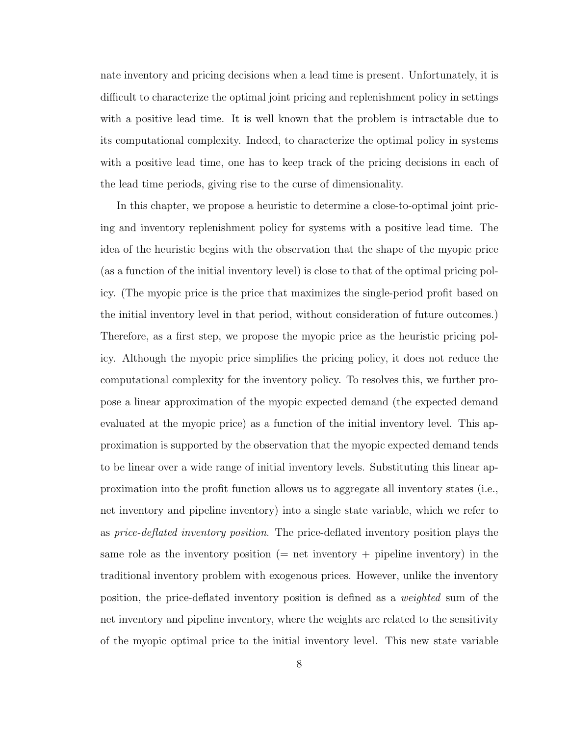nate inventory and pricing decisions when a lead time is present. Unfortunately, it is difficult to characterize the optimal joint pricing and replenishment policy in settings with a positive lead time. It is well known that the problem is intractable due to its computational complexity. Indeed, to characterize the optimal policy in systems with a positive lead time, one has to keep track of the pricing decisions in each of the lead time periods, giving rise to the curse of dimensionality.

In this chapter, we propose a heuristic to determine a close-to-optimal joint pricing and inventory replenishment policy for systems with a positive lead time. The idea of the heuristic begins with the observation that the shape of the myopic price (as a function of the initial inventory level) is close to that of the optimal pricing policy. (The myopic price is the price that maximizes the single-period profit based on the initial inventory level in that period, without consideration of future outcomes.) Therefore, as a first step, we propose the myopic price as the heuristic pricing policy. Although the myopic price simplifies the pricing policy, it does not reduce the computational complexity for the inventory policy. To resolves this, we further propose a linear approximation of the myopic expected demand (the expected demand evaluated at the myopic price) as a function of the initial inventory level. This approximation is supported by the observation that the myopic expected demand tends to be linear over a wide range of initial inventory levels. Substituting this linear approximation into the profit function allows us to aggregate all inventory states (i.e., net inventory and pipeline inventory) into a single state variable, which we refer to as price-deflated inventory position. The price-deflated inventory position plays the same role as the inventory position ( $=$  net inventory  $+$  pipeline inventory) in the traditional inventory problem with exogenous prices. However, unlike the inventory position, the price-deflated inventory position is defined as a weighted sum of the net inventory and pipeline inventory, where the weights are related to the sensitivity of the myopic optimal price to the initial inventory level. This new state variable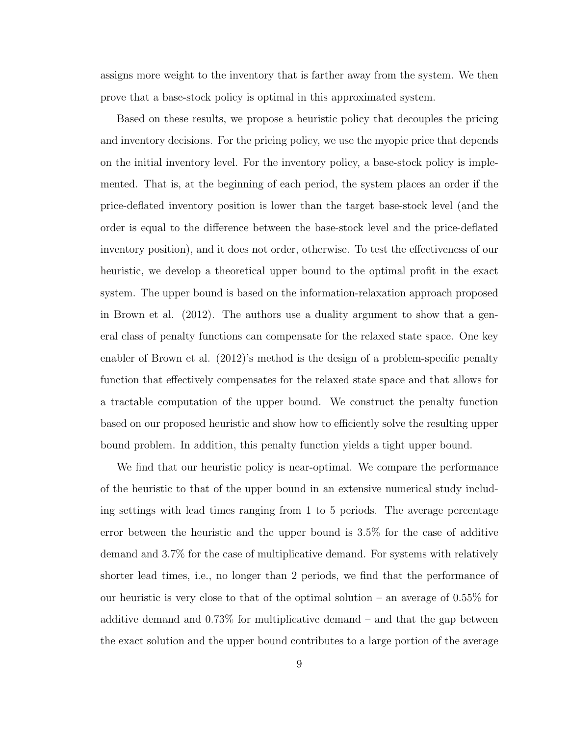assigns more weight to the inventory that is farther away from the system. We then prove that a base-stock policy is optimal in this approximated system.

Based on these results, we propose a heuristic policy that decouples the pricing and inventory decisions. For the pricing policy, we use the myopic price that depends on the initial inventory level. For the inventory policy, a base-stock policy is implemented. That is, at the beginning of each period, the system places an order if the price-deflated inventory position is lower than the target base-stock level (and the order is equal to the difference between the base-stock level and the price-deflated inventory position), and it does not order, otherwise. To test the effectiveness of our heuristic, we develop a theoretical upper bound to the optimal profit in the exact system. The upper bound is based on the information-relaxation approach proposed in Brown et al. (2012). The authors use a duality argument to show that a general class of penalty functions can compensate for the relaxed state space. One key enabler of Brown et al. (2012)'s method is the design of a problem-specific penalty function that effectively compensates for the relaxed state space and that allows for a tractable computation of the upper bound. We construct the penalty function based on our proposed heuristic and show how to efficiently solve the resulting upper bound problem. In addition, this penalty function yields a tight upper bound.

We find that our heuristic policy is near-optimal. We compare the performance of the heuristic to that of the upper bound in an extensive numerical study including settings with lead times ranging from 1 to 5 periods. The average percentage error between the heuristic and the upper bound is 3.5% for the case of additive demand and 3.7% for the case of multiplicative demand. For systems with relatively shorter lead times, i.e., no longer than 2 periods, we find that the performance of our heuristic is very close to that of the optimal solution – an average of  $0.55\%$  for additive demand and 0.73% for multiplicative demand – and that the gap between the exact solution and the upper bound contributes to a large portion of the average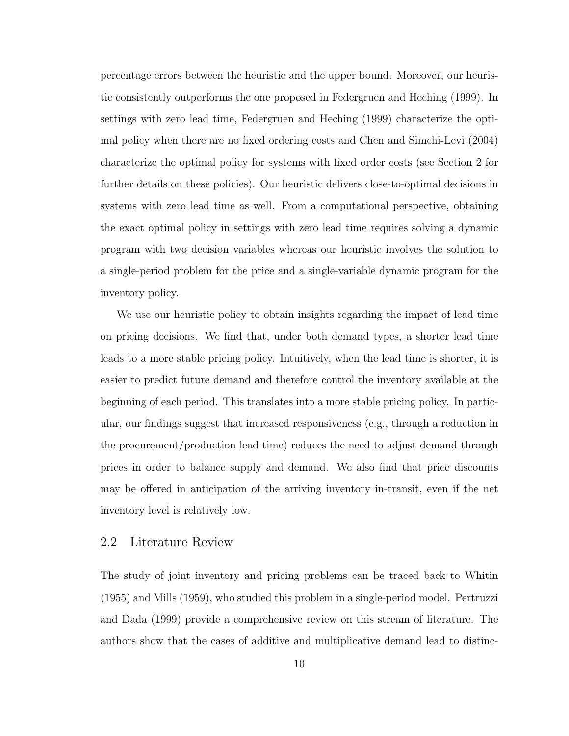percentage errors between the heuristic and the upper bound. Moreover, our heuristic consistently outperforms the one proposed in Federgruen and Heching (1999). In settings with zero lead time, Federgruen and Heching (1999) characterize the optimal policy when there are no fixed ordering costs and Chen and Simchi-Levi (2004) characterize the optimal policy for systems with fixed order costs (see Section 2 for further details on these policies). Our heuristic delivers close-to-optimal decisions in systems with zero lead time as well. From a computational perspective, obtaining the exact optimal policy in settings with zero lead time requires solving a dynamic program with two decision variables whereas our heuristic involves the solution to a single-period problem for the price and a single-variable dynamic program for the inventory policy.

We use our heuristic policy to obtain insights regarding the impact of lead time on pricing decisions. We find that, under both demand types, a shorter lead time leads to a more stable pricing policy. Intuitively, when the lead time is shorter, it is easier to predict future demand and therefore control the inventory available at the beginning of each period. This translates into a more stable pricing policy. In particular, our findings suggest that increased responsiveness (e.g., through a reduction in the procurement/production lead time) reduces the need to adjust demand through prices in order to balance supply and demand. We also find that price discounts may be offered in anticipation of the arriving inventory in-transit, even if the net inventory level is relatively low.

### <span id="page-23-0"></span>2.2 Literature Review

The study of joint inventory and pricing problems can be traced back to Whitin (1955) and Mills (1959), who studied this problem in a single-period model. Pertruzzi and Dada (1999) provide a comprehensive review on this stream of literature. The authors show that the cases of additive and multiplicative demand lead to distinc-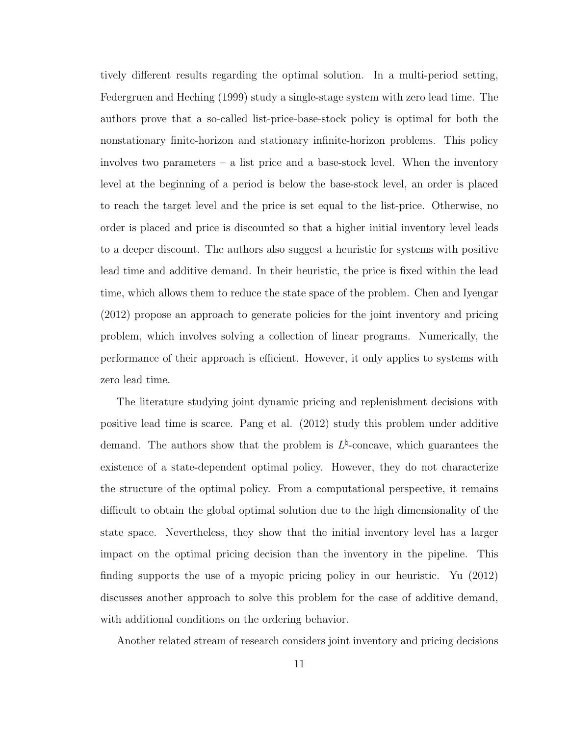tively different results regarding the optimal solution. In a multi-period setting, Federgruen and Heching (1999) study a single-stage system with zero lead time. The authors prove that a so-called list-price-base-stock policy is optimal for both the nonstationary finite-horizon and stationary infinite-horizon problems. This policy involves two parameters – a list price and a base-stock level. When the inventory level at the beginning of a period is below the base-stock level, an order is placed to reach the target level and the price is set equal to the list-price. Otherwise, no order is placed and price is discounted so that a higher initial inventory level leads to a deeper discount. The authors also suggest a heuristic for systems with positive lead time and additive demand. In their heuristic, the price is fixed within the lead time, which allows them to reduce the state space of the problem. Chen and Iyengar (2012) propose an approach to generate policies for the joint inventory and pricing problem, which involves solving a collection of linear programs. Numerically, the performance of their approach is efficient. However, it only applies to systems with zero lead time.

The literature studying joint dynamic pricing and replenishment decisions with positive lead time is scarce. Pang et al. (2012) study this problem under additive demand. The authors show that the problem is  $L^{\natural}$ -concave, which guarantees the existence of a state-dependent optimal policy. However, they do not characterize the structure of the optimal policy. From a computational perspective, it remains difficult to obtain the global optimal solution due to the high dimensionality of the state space. Nevertheless, they show that the initial inventory level has a larger impact on the optimal pricing decision than the inventory in the pipeline. This finding supports the use of a myopic pricing policy in our heuristic. Yu (2012) discusses another approach to solve this problem for the case of additive demand, with additional conditions on the ordering behavior.

Another related stream of research considers joint inventory and pricing decisions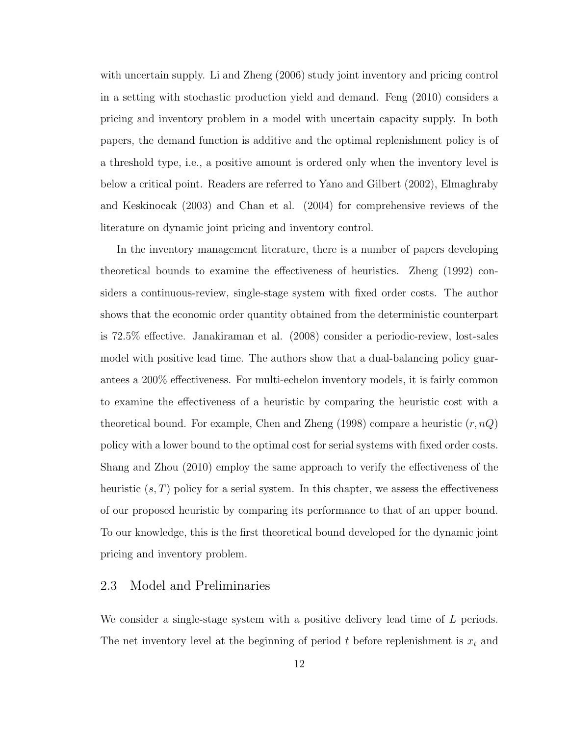with uncertain supply. Li and Zheng (2006) study joint inventory and pricing control in a setting with stochastic production yield and demand. Feng (2010) considers a pricing and inventory problem in a model with uncertain capacity supply. In both papers, the demand function is additive and the optimal replenishment policy is of a threshold type, i.e., a positive amount is ordered only when the inventory level is below a critical point. Readers are referred to Yano and Gilbert (2002), Elmaghraby and Keskinocak (2003) and Chan et al. (2004) for comprehensive reviews of the literature on dynamic joint pricing and inventory control.

In the inventory management literature, there is a number of papers developing theoretical bounds to examine the effectiveness of heuristics. Zheng (1992) considers a continuous-review, single-stage system with fixed order costs. The author shows that the economic order quantity obtained from the deterministic counterpart is 72.5% effective. Janakiraman et al. (2008) consider a periodic-review, lost-sales model with positive lead time. The authors show that a dual-balancing policy guarantees a 200% effectiveness. For multi-echelon inventory models, it is fairly common to examine the effectiveness of a heuristic by comparing the heuristic cost with a theoretical bound. For example, Chen and Zheng (1998) compare a heuristic  $(r, nQ)$ policy with a lower bound to the optimal cost for serial systems with fixed order costs. Shang and Zhou (2010) employ the same approach to verify the effectiveness of the heuristic  $(s, T)$  policy for a serial system. In this chapter, we assess the effectiveness of our proposed heuristic by comparing its performance to that of an upper bound. To our knowledge, this is the first theoretical bound developed for the dynamic joint pricing and inventory problem.

### <span id="page-25-0"></span>2.3 Model and Preliminaries

We consider a single-stage system with a positive delivery lead time of L periods. The net inventory level at the beginning of period  $t$  before replenishment is  $x_t$  and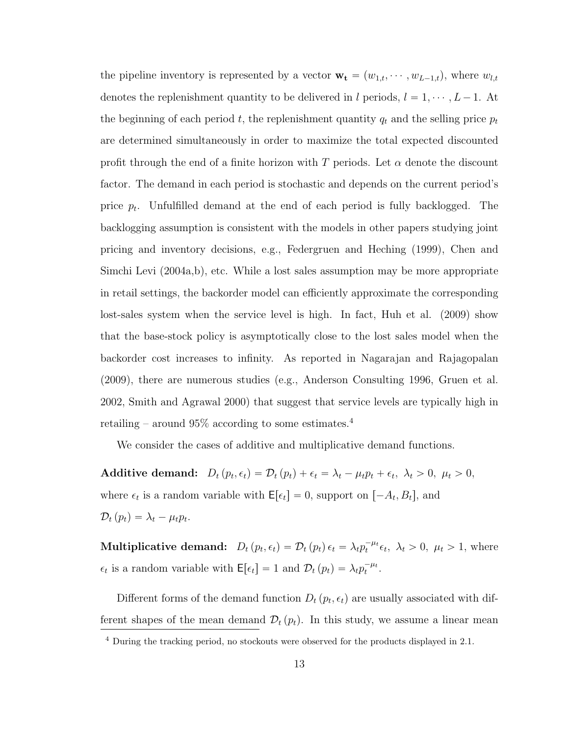the pipeline inventory is represented by a vector  $\mathbf{w}_{\mathbf{t}} = (w_{1,t}, \dots, w_{L-1,t})$ , where  $w_{l,t}$ denotes the replenishment quantity to be delivered in l periods,  $l = 1, \dots, L - 1$ . At the beginning of each period t, the replenishment quantity  $q_t$  and the selling price  $p_t$ are determined simultaneously in order to maximize the total expected discounted profit through the end of a finite horizon with T periods. Let  $\alpha$  denote the discount factor. The demand in each period is stochastic and depends on the current period's price  $p_t$ . Unfulfilled demand at the end of each period is fully backlogged. The backlogging assumption is consistent with the models in other papers studying joint pricing and inventory decisions, e.g., Federgruen and Heching (1999), Chen and Simchi Levi (2004a,b), etc. While a lost sales assumption may be more appropriate in retail settings, the backorder model can efficiently approximate the corresponding lost-sales system when the service level is high. In fact, Huh et al. (2009) show that the base-stock policy is asymptotically close to the lost sales model when the backorder cost increases to infinity. As reported in Nagarajan and Rajagopalan (2009), there are numerous studies (e.g., Anderson Consulting 1996, Gruen et al. 2002, Smith and Agrawal 2000) that suggest that service levels are typically high in retailing – around  $95\%$  according to some estimates.<sup>[4](#page-26-0)</sup>

We consider the cases of additive and multiplicative demand functions.

Additive demand:  $D_t(p_t, \epsilon_t) = \mathcal{D}_t(p_t) + \epsilon_t = \lambda_t - \mu_t p_t + \epsilon_t, \ \lambda_t > 0, \ \mu_t > 0,$ where  $\epsilon_t$  is a random variable with  $\mathsf{E}[\epsilon_t] = 0$ , support on  $[-A_t, B_t]$ , and  $\mathcal{D}_t(p_t) = \lambda_t - \mu_t p_t.$ 

**Multiplicative demand:**  $D_t(p_t, \epsilon_t) = \mathcal{D}_t(p_t) \epsilon_t = \lambda_t p_t^{-\mu_t} \epsilon_t$ ,  $\lambda_t > 0$ ,  $\mu_t > 1$ , where  $\epsilon_t$  is a random variable with  $\mathsf{E}[\epsilon_t] = 1$  and  $\mathcal{D}_t(p_t) = \lambda_t p_t^{-\mu_t}$ .

Different forms of the demand function  $D_t(p_t, \epsilon_t)$  are usually associated with different shapes of the mean demand  $\mathcal{D}_t(p_t)$ . In this study, we assume a linear mean

<span id="page-26-0"></span><sup>4</sup> During the tracking period, no stockouts were observed for the products displayed in [2.1.](#page-20-0)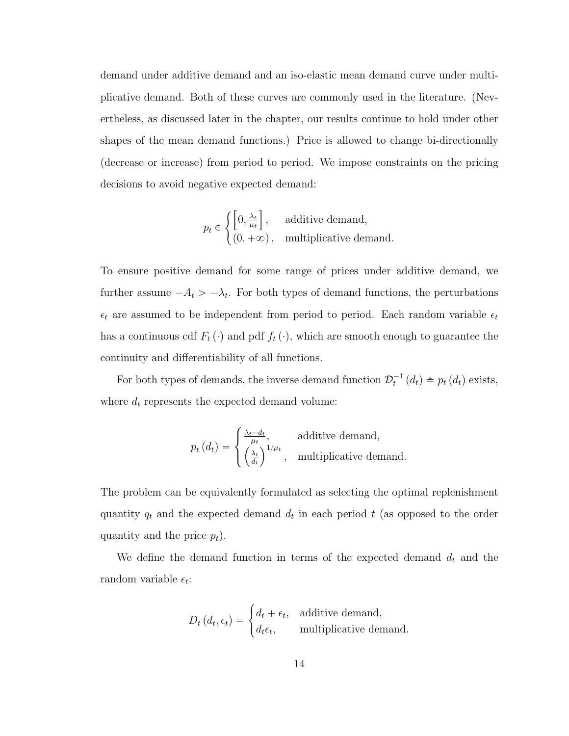demand under additive demand and an iso-elastic mean demand curve under multiplicative demand. Both of these curves are commonly used in the literature. (Nevertheless, as discussed later in the chapter, our results continue to hold under other shapes of the mean demand functions.) Price is allowed to change bi-directionally (decrease or increase) from period to period. We impose constraints on the pricing decisions to avoid negative expected demand:

$$
p_t \in \left\{ \begin{bmatrix} 0, \frac{\lambda_t}{\mu_t} \end{bmatrix}, \quad \text{additive demand,} \begin{bmatrix} 0, +\infty \end{bmatrix}, \quad \text{multiplicative demand.} \end{bmatrix} \right.
$$

To ensure positive demand for some range of prices under additive demand, we further assume  $-A_t > -\lambda_t$ . For both types of demand functions, the perturbations  $\epsilon_t$  are assumed to be independent from period to period. Each random variable  $\epsilon_t$ has a continuous cdf  $F_t(\cdot)$  and pdf  $f_t(\cdot)$ , which are smooth enough to guarantee the continuity and differentiability of all functions.

For both types of demands, the inverse demand function  $\mathcal{D}_t^{-1}(d_t) \triangleq p_t(d_t)$  exists, where  $d_t$  represents the expected demand volume:

$$
p_t(d_t) = \begin{cases} \frac{\lambda_t - d_t}{\mu_t}, & \text{additive demand,} \\ \left(\frac{\lambda_t}{d_t}\right)^{1/\mu_t}, & \text{multiplicative demand.} \end{cases}
$$

The problem can be equivalently formulated as selecting the optimal replenishment quantity  $q_t$  and the expected demand  $d_t$  in each period t (as opposed to the order quantity and the price  $p_t$ ).

We define the demand function in terms of the expected demand  $d_t$  and the random variable  $\epsilon_t$ :

$$
D_t (d_t, \epsilon_t) = \begin{cases} d_t + \epsilon_t, & \text{additive demand,} \\ d_t \epsilon_t, & \text{multiplicative demand.} \end{cases}
$$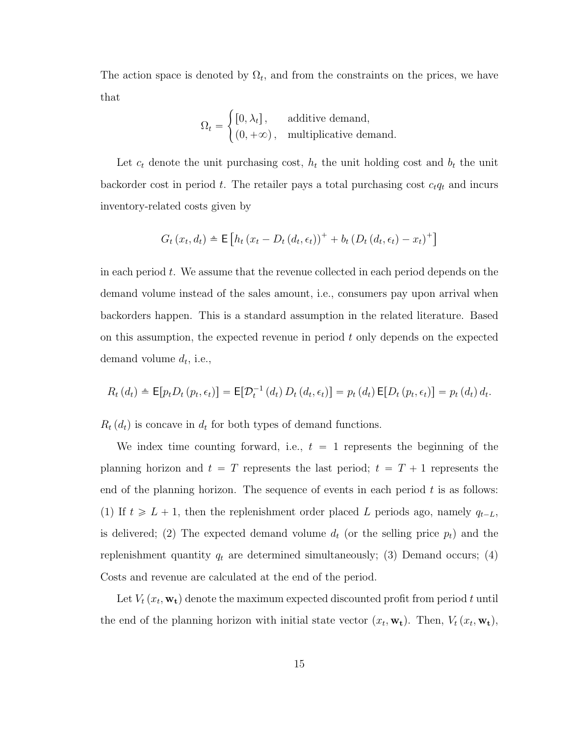The action space is denoted by  $\Omega_t$ , and from the constraints on the prices, we have that #

$$
\Omega_t = \begin{cases} [0, \lambda_t], & \text{additive demand,} \\ (0, +\infty), & \text{multiplicative demand.} \end{cases}
$$

Let  $c_t$  denote the unit purchasing cost,  $h_t$  the unit holding cost and  $b_t$  the unit backorder cost in period t. The retailer pays a total purchasing cost  $c_t q_t$  and incurs inventory-related costs given by

$$
G_t(x_t, d_t) \triangleq \mathsf{E}\left[h_t(x_t - D_t(d_t, \epsilon_t))^+ + b_t(D_t(d_t, \epsilon_t) - x_t)^+\right]
$$

in each period  $t$ . We assume that the revenue collected in each period depends on the demand volume instead of the sales amount, i.e., consumers pay upon arrival when backorders happen. This is a standard assumption in the related literature. Based on this assumption, the expected revenue in period  $t$  only depends on the expected demand volume  $d_t$ , i.e.,

$$
R_t(d_t) \triangleq \mathsf{E}[p_t D_t(p_t, \epsilon_t)] = \mathsf{E}[\mathcal{D}_t^{-1}(d_t) D_t(d_t, \epsilon_t)] = p_t(d_t) \mathsf{E}[D_t(p_t, \epsilon_t)] = p_t(d_t) d_t.
$$

 $R_t(d_t)$  is concave in  $d_t$  for both types of demand functions.

We index time counting forward, i.e.,  $t = 1$  represents the beginning of the planning horizon and  $t = T$  represents the last period;  $t = T + 1$  represents the end of the planning horizon. The sequence of events in each period  $t$  is as follows: (1) If  $t \ge L + 1$ , then the replenishment order placed L periods ago, namely  $q_{t-L}$ , is delivered; (2) The expected demand volume  $d_t$  (or the selling price  $p_t$ ) and the replenishment quantity  $q_t$  are determined simultaneously; (3) Demand occurs; (4) Costs and revenue are calculated at the end of the period.

Let  $V_t(x_t, \mathbf{w_t})$  denote the maximum expected discounted profit from period t until the end of the planning horizon with initial state vector  $(x_t, \mathbf{w_t})$ . Then,  $V_t (x_t, \mathbf{w_t})$ ,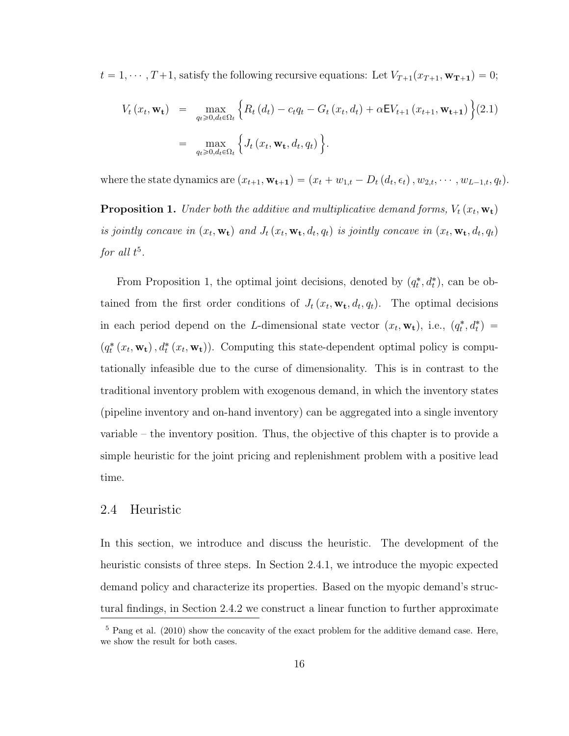$t = 1, \dots, T + 1$ , satisfy the following recursive equations: Let  $V_{T+1}(x_{T+1}, \mathbf{w_{T+1}}) = 0$ ;

$$
V_t(x_t, \mathbf{w_t}) = \max_{q_t \geq 0, d_t \in \Omega_t} \left\{ R_t(d_t) - c_t q_t - G_t(x_t, d_t) + \alpha E V_{t+1}(x_{t+1}, \mathbf{w_{t+1}}) \right\} (2.1)
$$
  
= 
$$
\max_{q_t \geq 0, d_t \in \Omega_t} \left\{ J_t(x_t, \mathbf{w_t}, d_t, q_t) \right\}.
$$

where the state dynamics are  $(x_{t+1}, \mathbf{w_{t+1}}) = (x_t + w_{1,t} - D_t (d_t, \epsilon_t), w_{2,t}, \cdots, w_{L-1,t}, q_t).$ 

<span id="page-29-2"></span>**Proposition 1.** Under both the additive and multiplicative demand forms,  $V_t(x_t, \mathbf{w_t})$ is jointly concave in  $(x_t, \mathbf{w_t})$  and  $J_t(x_t, \mathbf{w_t}, d_t, q_t)$  is jointly concave in  $(x_t, \mathbf{w_t}, d_t, q_t)$ for all  $t^5$  $t^5$ .

From Proposition [1,](#page-29-2) the optimal joint decisions, denoted by  $(q_t^*, d_t^*)$ , can be obtained from the first order conditions of  $J_t(x_t, \mathbf{w_t}, d_t, q_t)$ . The optimal decisions in each period depend on the L-dimensional state vector  $(x_t, \mathbf{w}_t)$ , i.e.,  $(q_t^*, d_t^*)$  $(q_t^*(x_t, \mathbf{w_t}), d_t^*(x_t, \mathbf{w_t}))$ . Computing this state-dependent optimal policy is computationally infeasible due to the curse of dimensionality. This is in contrast to the traditional inventory problem with exogenous demand, in which the inventory states (pipeline inventory and on-hand inventory) can be aggregated into a single inventory variable – the inventory position. Thus, the objective of this chapter is to provide a simple heuristic for the joint pricing and replenishment problem with a positive lead time.

#### <span id="page-29-0"></span>2.4 Heuristic

In this section, we introduce and discuss the heuristic. The development of the heuristic consists of three steps. In Section [2.4.1,](#page-30-0) we introduce the myopic expected demand policy and characterize its properties. Based on the myopic demand's structural findings, in Section [2.4.2](#page-34-0) we construct a linear function to further approximate

<span id="page-29-1"></span><sup>&</sup>lt;sup>5</sup> Pang et al. (2010) show the concavity of the exact problem for the additive demand case. Here, we show the result for both cases.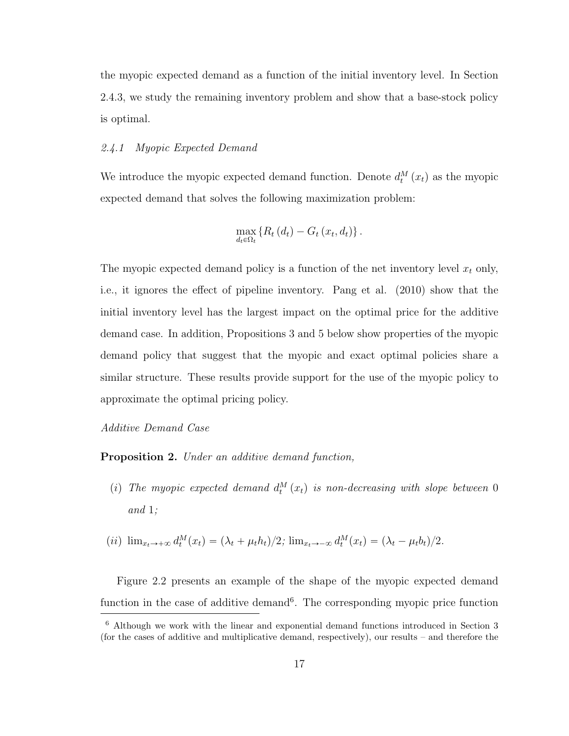the myopic expected demand as a function of the initial inventory level. In Section [2.4.3,](#page-37-0) we study the remaining inventory problem and show that a base-stock policy is optimal.

### <span id="page-30-0"></span>2.4.1 Myopic Expected Demand

We introduce the myopic expected demand function. Denote  $d_t^M(x_t)$  as the myopic expected demand that solves the following maximization problem:

$$
\max_{d_t \in \Omega_t} \left\{ R_t \left( d_t \right) - G_t \left( x_t, d_t \right) \right\}.
$$

The myopic expected demand policy is a function of the net inventory level  $x_t$  only, i.e., it ignores the effect of pipeline inventory. Pang et al. (2010) show that the initial inventory level has the largest impact on the optimal price for the additive demand case. In addition, Propositions [3](#page-31-1) and [5](#page-34-1) below show properties of the myopic demand policy that suggest that the myopic and exact optimal policies share a similar structure. These results provide support for the use of the myopic policy to approximate the optimal pricing policy.

<span id="page-30-2"></span>Additive Demand Case

Proposition 2. Under an additive demand function,

(i) The myopic expected demand  $d_t^M(x_t)$  is non-decreasing with slope between 0 and 1;

$$
(ii) \ \lim_{x_t \to +\infty} d_t^M(x_t) = (\lambda_t + \mu_t h_t)/2; \ \lim_{x_t \to -\infty} d_t^M(x_t) = (\lambda_t - \mu_t h_t)/2.
$$

Figure [2.2](#page-31-0) presents an example of the shape of the myopic expected demand function in the case of additive demand<sup>[6](#page-30-1)</sup>. The corresponding myopic price function

<span id="page-30-1"></span><sup>6</sup> Although we work with the linear and exponential demand functions introduced in Section 3 (for the cases of additive and multiplicative demand, respectively), our results – and therefore the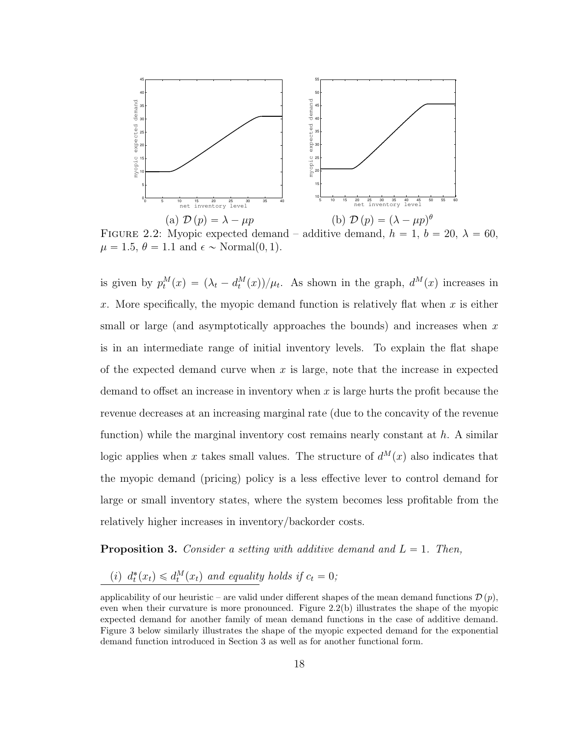

<span id="page-31-0"></span>FIGURE 2.2: Myopic expected demand – additive demand,  $h = 1$ ,  $b = 20$ ,  $\lambda = 60$ ,  $\mu = 1.5, \theta = 1.1$  and  $\epsilon \sim \text{Normal}(0, 1)$ .

is given by  $p_t^M(x) = (\lambda_t - d_t^M(x))/\mu_t$ . As shown in the graph,  $d^M(x)$  increases in x. More specifically, the myopic demand function is relatively flat when  $x$  is either small or large (and asymptotically approaches the bounds) and increases when  $x$ is in an intermediate range of initial inventory levels. To explain the flat shape of the expected demand curve when  $x$  is large, note that the increase in expected demand to offset an increase in inventory when  $x$  is large hurts the profit because the revenue decreases at an increasing marginal rate (due to the concavity of the revenue function) while the marginal inventory cost remains nearly constant at  $h$ . A similar logic applies when x takes small values. The structure of  $d^M(x)$  also indicates that the myopic demand (pricing) policy is a less effective lever to control demand for large or small inventory states, where the system becomes less profitable from the relatively higher increases in inventory/backorder costs.

<span id="page-31-1"></span>**Proposition 3.** Consider a setting with additive demand and  $L = 1$ . Then,

(i)  $d_t^*(x_t) \leq d_t^M(x_t)$  and equality holds if  $c_t = 0$ ;

applicability of our heuristic – are valid under different shapes of the mean demand functions  $\mathcal{D}(p)$ , even when their curvature is more pronounced. Figure [2.2\(](#page-31-0)b) illustrates the shape of the myopic expected demand for another family of mean demand functions in the case of additive demand. Figure 3 below similarly illustrates the shape of the myopic expected demand for the exponential demand function introduced in Section 3 as well as for another functional form.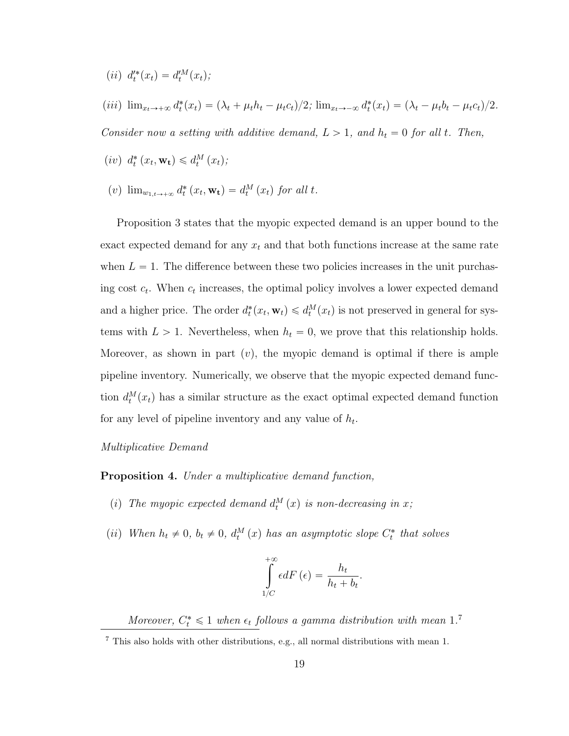- (*ii*)  $d_t^{\prime*}(x_t) = d_t^{\prime M}(x_t);$
- (*iii*)  $\lim_{x_t \to +\infty} d_t^*(x_t) = (\lambda_t + \mu_t h_t \mu_t c_t)/2$ ;  $\lim_{x_t \to -\infty} d_t^*(x_t) = (\lambda_t \mu_t b_t \mu_t c_t)/2$ .

Consider now a setting with additive demand,  $L > 1$ , and  $h_t = 0$  for all t. Then,

- $(iv) d_t^*(x_t, \mathbf{w_t}) \leq d_t^M(x_t);$
- (v)  $\lim_{w_{1,t\to+\infty}} d_t^* (x_t, \mathbf{w_t}) = d_t^M (x_t)$  for all t.

Proposition [3](#page-31-1) states that the myopic expected demand is an upper bound to the exact expected demand for any  $x_t$  and that both functions increase at the same rate when  $L = 1$ . The difference between these two policies increases in the unit purchasing cost  $c_t$ . When  $c_t$  increases, the optimal policy involves a lower expected demand and a higher price. The order  $d_t^*(x_t, \mathbf{w}_t) \le d_t^M(x_t)$  is not preserved in general for systems with  $L > 1$ . Nevertheless, when  $h_t = 0$ , we prove that this relationship holds. Moreover, as shown in part  $(v)$ , the myopic demand is optimal if there is ample pipeline inventory. Numerically, we observe that the myopic expected demand function  $d_t^M(x_t)$  has a similar structure as the exact optimal expected demand function for any level of pipeline inventory and any value of  $h_t$ .

#### Multiplicative Demand

<span id="page-32-1"></span>Proposition 4. Under a multiplicative demand function,

- (i) The myopic expected demand  $d_t^M(x)$  is non-decreasing in x;
- (ii) When  $h_t \neq 0$ ,  $b_t \neq 0$ ,  $d_t^M(x)$  has an asymptotic slope  $C_t^*$  that solves

$$
\int_{1/C}^{+\infty} \epsilon dF\left(\epsilon\right) = \frac{h_t}{h_t + b_t}.
$$

Moreover,  $C_t^* \leq 1$  when  $\epsilon_t$  follows a gamma distribution with mean 1.<sup>[7](#page-32-0)</sup>

<span id="page-32-0"></span> $^7$  This also holds with other distributions, e.g., all normal distributions with mean  $1.$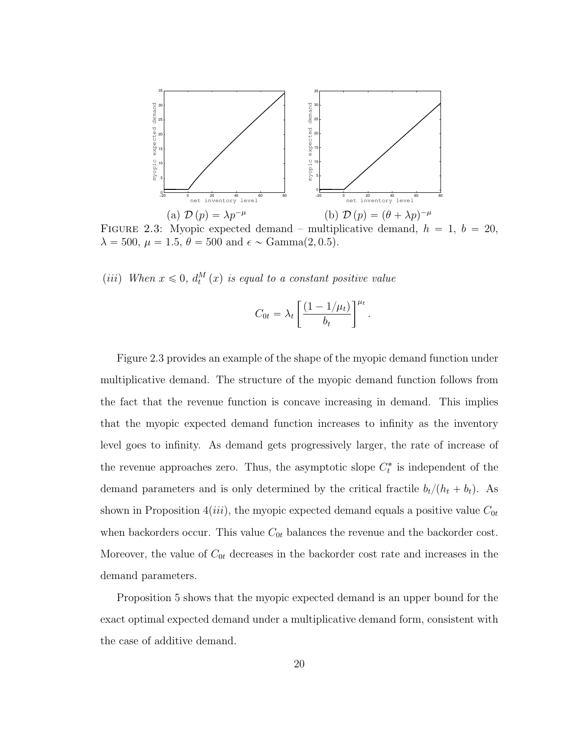

<span id="page-33-0"></span>FIGURE 2.3: Myopic expected demand – multiplicative demand,  $h = 1, b = 20$ ,  $\lambda = 500, \mu = 1.5, \theta = 500 \text{ and } \epsilon \sim \text{Gamma}(2, 0.5).$ 

(*iii*) When  $x \leq 0$ ,  $d_t^M(x)$  is equal to a constant positive value

$$
C_{0t} = \lambda_t \left[ \frac{(1 - 1/\mu_t)}{b_t} \right]^{\mu_t}
$$

.

Figure [2.3](#page-33-0) provides an example of the shape of the myopic demand function under multiplicative demand. The structure of the myopic demand function follows from the fact that the revenue function is concave increasing in demand. This implies that the myopic expected demand function increases to infinity as the inventory level goes to infinity. As demand gets progressively larger, the rate of increase of the revenue approaches zero. Thus, the asymptotic slope  $C_t^*$  is independent of the demand parameters and is only determined by the critical fractile  $b_t/(h_t + b_t)$ . As shown in Proposition [4](#page-32-1)(*iii*), the myopic expected demand equals a positive value  $C_{0t}$ when backorders occur. This value  $C_{0t}$  balances the revenue and the backorder cost. Moreover, the value of  $C_{0t}$  decreases in the backorder cost rate and increases in the demand parameters.

Proposition [5](#page-34-1) shows that the myopic expected demand is an upper bound for the exact optimal expected demand under a multiplicative demand form, consistent with the case of additive demand.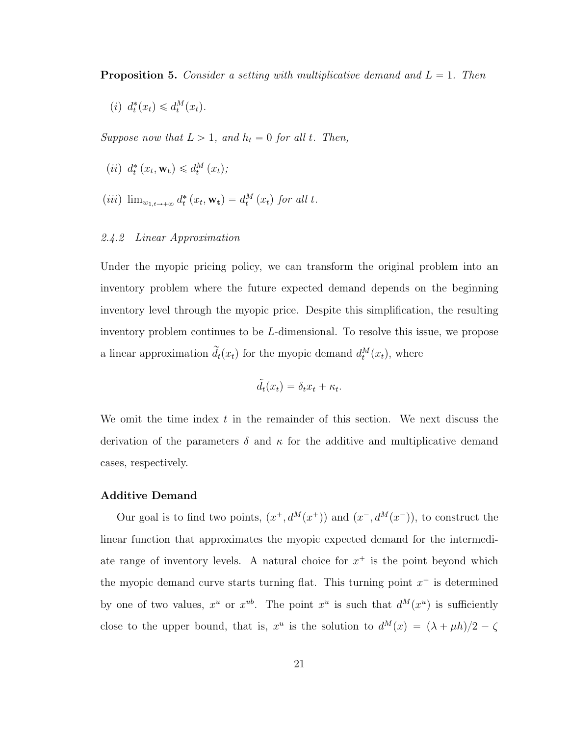<span id="page-34-1"></span>**Proposition 5.** Consider a setting with multiplicative demand and  $L = 1$ . Then

(i)  $d_t^*(x_t) \leq d_t^M(x_t)$ .

Suppose now that  $L > 1$ , and  $h_t = 0$  for all t. Then,

- (*ii*)  $d_t^* (x_t, \mathbf{w_t}) \leq d_t^M (x_t);$
- (iii)  $\lim_{w_{1,t\to+\infty}} d_t^* (x_t, \mathbf{w_t}) = d_t^M (x_t)$  for all t.

#### <span id="page-34-0"></span>2.4.2 Linear Approximation

Under the myopic pricing policy, we can transform the original problem into an inventory problem where the future expected demand depends on the beginning inventory level through the myopic price. Despite this simplification, the resulting inventory problem continues to be L-dimensional. To resolve this issue, we propose a linear approximation  $\tilde{d}_t(x_t)$  for the myopic demand  $d_t^M(x_t)$ , where

$$
\tilde{d}_t(x_t) = \delta_t x_t + \kappa_t.
$$

We omit the time index  $t$  in the remainder of this section. We next discuss the derivation of the parameters  $\delta$  and  $\kappa$  for the additive and multiplicative demand cases, respectively.

#### Additive Demand

Our goal is to find two points,  $(x^+, d^M(x^+))$  and  $(x^-, d^M(x^-))$ , to construct the linear function that approximates the myopic expected demand for the intermediate range of inventory levels. A natural choice for  $x^+$  is the point beyond which the myopic demand curve starts turning flat. This turning point  $x^+$  is determined by one of two values,  $x^u$  or  $x^{ub}$ . The point  $x^u$  is such that  $d^M(x^u)$  is sufficiently close to the upper bound, that is,  $x^u$  is the solution to  $d^M(x) = (\lambda + \mu h)/2 - \zeta$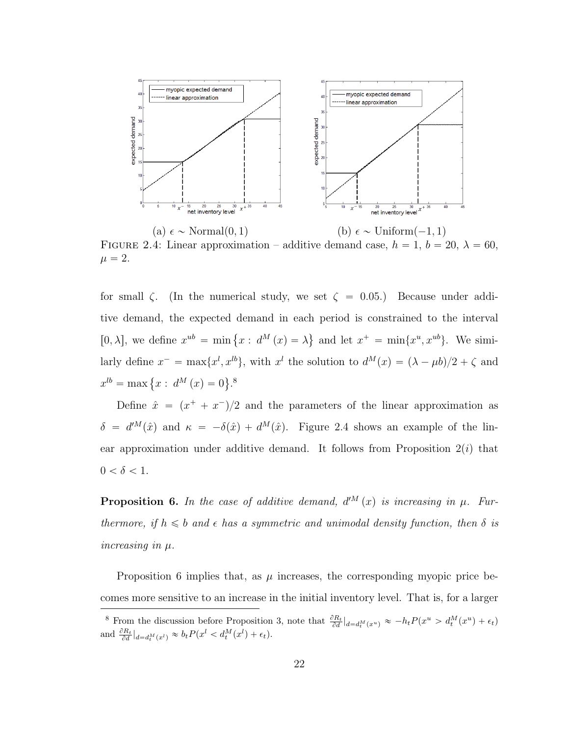

<span id="page-35-0"></span>(a)  $\epsilon \sim \text{Normal}(0, 1)$  (b)  $\epsilon \sim \text{Uniform}(-1, 1)$ FIGURE 2.4: Linear approximation – additive demand case,  $h = 1$ ,  $b = 20$ ,  $\lambda = 60$ ,  $\mu = 2.$ 

for small  $\zeta$ . (In the numerical study, we set  $\zeta = 0.05$ .) Because under additive demand, the expected demand in each period is constrained to the interval [0,  $\lambda$ ], we define  $x^{ub} = \min \{x : d^M(x) = \lambda\}$ **(a)** and let  $x^+ = \min\{x^u, x^{ub}\}.$  We similarly define  $x^- = \max\{x^l, x^{lb}\},\$  with  $x^l$  the solution to  $d^M(x) = (\lambda - \mu b)/2 + \zeta$  and  $x^{lb} = \max \{x : d^M(x) = 0\}$ .<sup>[8](#page-35-1)</sup> **(a)** 

Define  $\hat{x} = (x^+ + x^-)/2$  and the parameters of the linear approximation as  $\delta = d^M(\hat{x})$  and  $\kappa = -\delta(\hat{x}) + d^M(\hat{x})$ . Figure [2.4](#page-35-0) shows an example of the linear approximation under additive demand. It follows from Proposition  $2(i)$  $2(i)$  that  $0<\delta<1.$ 

<span id="page-35-2"></span>**Proposition 6.** In the case of additive demand,  $d^M(x)$  is increasing in  $\mu$ . Furthermore, if  $h \leq b$  and  $\epsilon$  has a symmetric and unimodal density function, then  $\delta$  is increasing in µ.

Proposition [6](#page-35-2) implies that, as  $\mu$  increases, the corresponding myopic price becomes more sensitive to an increase in the initial inventory level. That is, for a larger

<span id="page-35-1"></span><sup>&</sup>lt;sup>8</sup> From the discussion before Proposition [3,](#page-31-1) note that  $\frac{\partial R_t}{\partial d}\big|_{d=d_t^M(x^u)} \approx -h_tP(x^u > d_t^M(x^u) + \epsilon_t)$ and  $\frac{\partial R_t}{\partial d}\big|_{d=d_t^M(x^l)} \approx b_t P(x^l < d_t^M(x^l) + \epsilon_t).$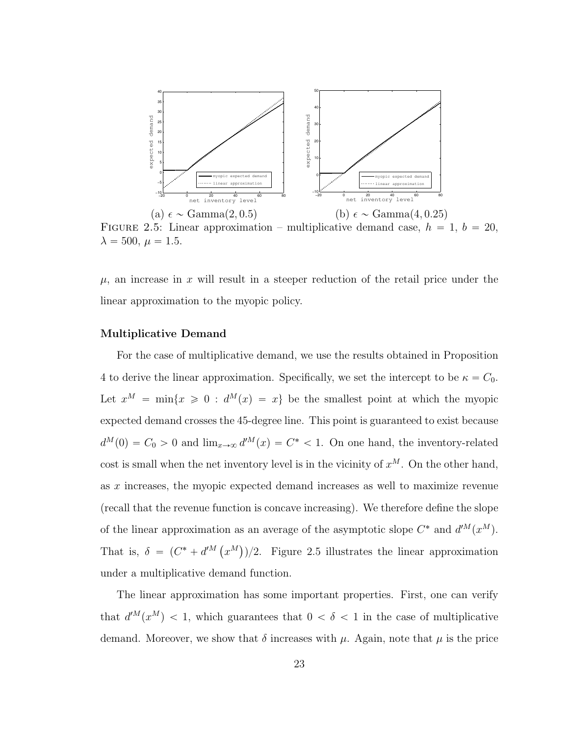

<span id="page-36-0"></span>FIGURE 2.5: Linear approximation – multiplicative demand case,  $h = 1, b = 20$ ,  $\lambda = 500, \mu = 1.5.$ 

 $\mu$ , an increase in x will result in a steeper reduction of the retail price under the linear approximation to the myopic policy.

#### Multiplicative Demand

For the case of multiplicative demand, we use the results obtained in Proposition [4](#page-32-0) to derive the linear approximation. Specifically, we set the intercept to be  $\kappa = C_0$ . Let  $x^M = \min\{x \geq 0 : d^M(x) = x\}$  be the smallest point at which the myopic expected demand crosses the 45-degree line. This point is guaranteed to exist because  $d^M(0) = C_0 > 0$  and  $\lim_{x\to\infty} d^M(x) = C^* < 1$ . On one hand, the inventory-related cost is small when the net inventory level is in the vicinity of  $x^M$ . On the other hand, as x increases, the myopic expected demand increases as well to maximize revenue (recall that the revenue function is concave increasing). We therefore define the slope of the linear approximation as an average of the asymptotic slope  $C^*$  and  $d^M(x^M)$ . That is,  $\delta = (C^* + d^M)$  $x^M$  $)/2$ . Figure [2.5](#page-36-0) illustrates the linear approximation under a multiplicative demand function.

The linear approximation has some important properties. First, one can verify that  $d^{M}(x^{M}) < 1$ , which guarantees that  $0 < \delta < 1$  in the case of multiplicative demand. Moreover, we show that  $\delta$  increases with  $\mu$ . Again, note that  $\mu$  is the price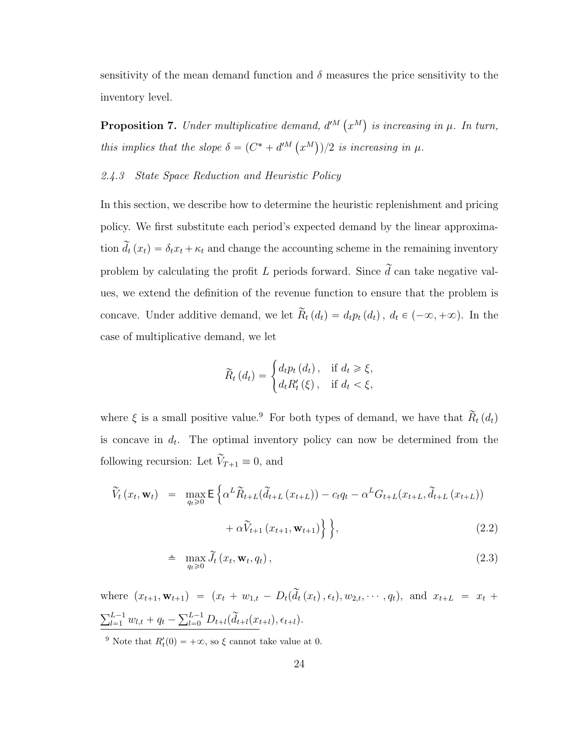sensitivity of the mean demand function and  $\delta$  measures the price sensitivity to the inventory level.

**Proposition 7.** Under multiplicative demand,  $d^{M}$  (  $x^M$ is increasing in  $\mu$ . In turn, this implies that the slope  $\delta = (C^* + d^M)$  $x^M$  $)/2$  is increasing in  $\mu$ .

### <span id="page-37-2"></span>2.4.3 State Space Reduction and Heuristic Policy

In this section, we describe how to determine the heuristic replenishment and pricing policy. We first substitute each period's expected demand by the linear approximation  $\tilde{d}_t(x_t) = \delta_t x_t + \kappa_t$  and change the accounting scheme in the remaining inventory problem by calculating the profit L periods forward. Since  $\tilde{d}$  can take negative values, we extend the definition of the revenue function to ensure that the problem is concave. Under additive demand, we let  $\widetilde{R}_t(d_t) = d_t p_t(d_t)$ ,  $d_t \in (-\infty, +\infty)$ . In the case of multiplicative demand, we let

$$
\widetilde{R}_t\left(d_t\right) = \begin{cases} d_t p_t\left(d_t\right), & \text{if } d_t \geq \xi, \\ d_t R'_t\left(\xi\right), & \text{if } d_t < \xi, \end{cases}
$$

where  $\xi$  is a small positive value.<sup>[9](#page-37-0)</sup> For both types of demand, we have that  $\widetilde{R}_t(d_t)$ is concave in  $d_t$ . The optimal inventory policy can now be determined from the following recursion: Let  $\widetilde{V}_{T+1} \equiv 0$ , and

<span id="page-37-1"></span>
$$
\widetilde{V}_t(x_t, \mathbf{w}_t) = \max_{q_t \geq 0} \mathsf{E} \left\{ \alpha^L \widetilde{R}_{t+L}(\widetilde{d}_{t+L}(x_{t+L})) - c_t q_t - \alpha^L G_{t+L}(x_{t+L}, \widetilde{d}_{t+L}(x_{t+L})) + \alpha \widetilde{V}_{t+1}(x_{t+1}, \mathbf{w}_{t+1}) \right\} \right\},\tag{2.2}
$$

$$
\triangleq \max_{q_t \geq 0} \widetilde{J}_t(x_t, \mathbf{w}_t, q_t), \qquad (2.3)
$$

where  $(x_{t+1}, \mathbf{w}_{t+1}) = (x_t + w_{1,t} - D_t(\tilde{d}_t(x_t), \epsilon_t), w_{2,t}, \cdots, q_t),$  and  $x_{t+L} = x_t +$  $\nabla^{L-1}$  $\frac{L-1}{l=1} w_{l,t} + q_t$  –  $\sum_{l=0}^{L-1} D_{t+l}(\tilde{d}_{t+l}(x_{t+l}), \epsilon_{t+l}).$ 

<span id="page-37-0"></span><sup>9</sup> Note that  $R'_t(0) = +\infty$ , so  $\xi$  cannot take value at 0.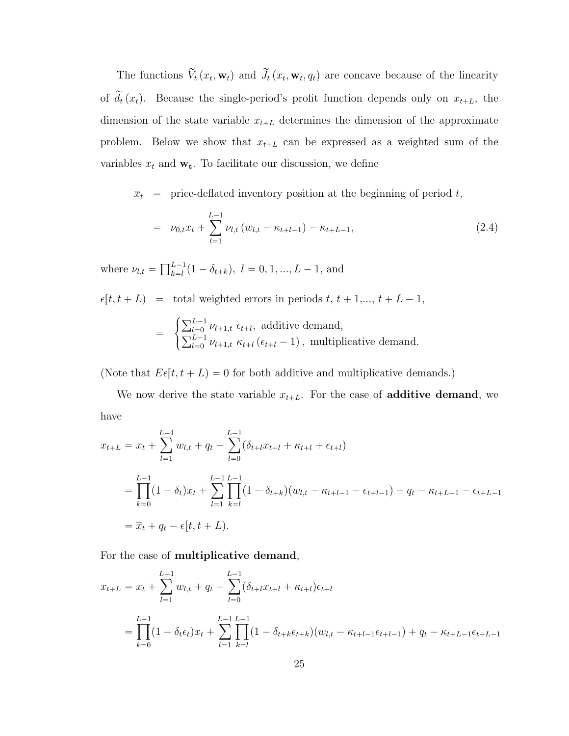The functions  $\widetilde{V}_t(x_t, \mathbf{w}_t)$  and  $\widetilde{J}_t(x_t, \mathbf{w}_t, q_t)$  are concave because of the linearity of  $\tilde{d}_t(x_t)$ . Because the single-period's profit function depends only on  $x_{t+L}$ , the dimension of the state variable  $x_{t+L}$  determines the dimension of the approximate problem. Below we show that  $x_{t+L}$  can be expressed as a weighted sum of the variables  $x_t$  and  $\mathbf{w}_t$ . To facilitate our discussion, we define

<span id="page-38-0"></span> $\overline{x}_t$  = price-deflated inventory position at the beginning of period t,

$$
= \nu_{0,t} x_t + \sum_{l=1}^{L-1} \nu_{l,t} \left( w_{l,t} - \kappa_{t+l-1} \right) - \kappa_{t+L-1}, \tag{2.4}
$$

where  $\nu_{l,t} = \prod_{k=l}^{L-1}$  $_{k=l}^{L-1}(1-\delta_{t+k}), l = 0, 1, ..., L-1,$  and

 $\epsilon[t, t + L] = \text{total weighted errors in periods } t, t + 1, \ldots, t + L - 1,$  $\int \nabla^{L-1}$ 

$$
= \begin{cases} \sum_{l=0}^{L-1} \nu_{l+1,t} \epsilon_{t+l}, \text{ additive demand,} \\ \sum_{l=0}^{L-1} \nu_{l+1,t} \kappa_{t+l} \left( \epsilon_{t+l} - 1 \right), \text{ multiplicative demand.} \end{cases}
$$

(Note that  $E \epsilon[t, t + L] = 0$  for both additive and multiplicative demands.)

We now derive the state variable  $x_{t+L}$ . For the case of **additive demand**, we have

$$
x_{t+L} = x_t + \sum_{l=1}^{L-1} w_{l,t} + q_t - \sum_{l=0}^{L-1} (\delta_{t+l} x_{t+l} + \kappa_{t+l} + \epsilon_{t+l})
$$
  
= 
$$
\prod_{k=0}^{L-1} (1 - \delta_t) x_t + \sum_{l=1}^{L-1} \prod_{k=l}^{L-1} (1 - \delta_{t+k}) (w_{l,t} - \kappa_{t+l-1} - \epsilon_{t+l-1}) + q_t - \kappa_{t+L-1} - \epsilon_{t+L-1}
$$
  
= 
$$
\overline{x}_t + q_t - \epsilon[t, t+L).
$$

For the case of multiplicative demand,

$$
x_{t+L} = x_t + \sum_{l=1}^{L-1} w_{l,t} + q_t - \sum_{l=0}^{L-1} (\delta_{t+l} x_{t+l} + \kappa_{t+l}) \epsilon_{t+l}
$$
  
= 
$$
\prod_{k=0}^{L-1} (1 - \delta_t \epsilon_t) x_t + \sum_{l=1}^{L-1} \prod_{k=l}^{L-1} (1 - \delta_{t+k} \epsilon_{t+k}) (w_{l,t} - \kappa_{t+l-1} \epsilon_{t+l-1}) + q_t - \kappa_{t+L-1} \epsilon_{t+L-1}
$$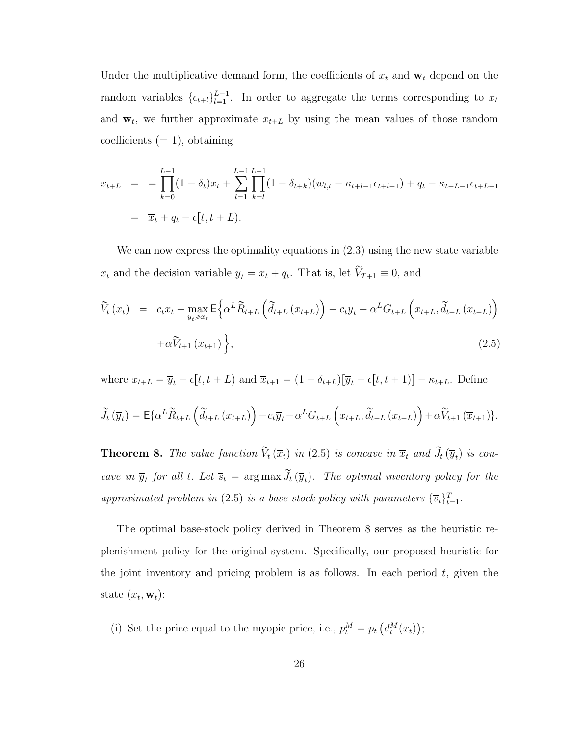Under the multiplicative demand form, the coefficients of  $x_t$  and  $\mathbf{w}_t$  depend on the random variables  $\{\epsilon_{t+l}\}_{l=1}^{L-1}$  $\frac{L-1}{L-1}$ . In order to aggregate the terms corresponding to  $x_t$ and  $\mathbf{w}_t$ , we further approximate  $x_{t+L}$  by using the mean values of those random coefficients  $(= 1)$ , obtaining

$$
x_{t+L} = \prod_{k=0}^{L-1} (1 - \delta_t) x_t + \sum_{l=1}^{L-1} \prod_{k=l}^{L-1} (1 - \delta_{t+k}) (w_{l,t} - \kappa_{t+l-1} \epsilon_{t+l-1}) + q_t - \kappa_{t+L-1} \epsilon_{t+L-1}
$$
  
=  $\overline{x}_t + q_t - \epsilon[t, t+L).$ 

We can now express the optimality equations in  $(2.3)$  using the new state variable  $\overline{x}_t$  and the decision variable  $\overline{y}_t = \overline{x}_t + q_t$ . That is, let  $\widetilde{V}_{T+1} \equiv 0$ , and

<span id="page-39-0"></span>
$$
\widetilde{V}_{t}(\overline{x}_{t}) = c_{t}\overline{x}_{t} + \max_{\overline{y}_{t}\geqslant\overline{x}_{t}} \mathsf{E}\Big\{\alpha^{L}\widetilde{R}_{t+L}\left(\widetilde{d}_{t+L}(x_{t+L})\right) - c_{t}\overline{y}_{t} - \alpha^{L}G_{t+L}\left(x_{t+L},\widetilde{d}_{t+L}(x_{t+L})\right) + \alpha\widetilde{V}_{t+1}\left(\overline{x}_{t+1}\right)\Big\},\tag{2.5}
$$

where  $x_{t+L} = \overline{y}_t - \epsilon[t, t + L]$  and  $\overline{x}_{t+1} = (1 - \delta_{t+L})[\overline{y}_t - \epsilon[t, t + 1)] - \kappa_{t+L}$ . Define

$$
\widetilde{J}_{t}(\overline{y}_{t}) = \mathsf{E}\{\alpha^{L}\widetilde{R}_{t+L}\left(\widetilde{d}_{t+L}\left(x_{t+L}\right)\right) - c_{t}\overline{y}_{t} - \alpha^{L}G_{t+L}\left(x_{t+L}, \widetilde{d}_{t+L}\left(x_{t+L}\right)\right) + \alpha\widetilde{V}_{t+1}\left(\overline{x}_{t+1}\right)\}.
$$

<span id="page-39-1"></span>**Theorem 8.** The value function  $\widetilde{V}_t(\overline{x}_t)$  in ([2](#page-39-0).5) is concave in  $\overline{x}_t$  and  $\widetilde{J}_t(\overline{y}_t)$  is concave in  $\overline{y}_t$  for all t. Let  $\overline{s}_t = \arg \max \widetilde{J}_t(\overline{y}_t)$ . The optimal inventory policy for the approximated problem in ([2](#page-39-0).5) is a base-stock policy with parameters  $\{\overline{s}_t\}_{t=1}^T$ .

The optimal base-stock policy derived in Theorem [8](#page-39-1) serves as the heuristic replenishment policy for the original system. Specifically, our proposed heuristic for the joint inventory and pricing problem is as follows. In each period  $t$ , given the state  $(x_t, \mathbf{w}_t)$ :

(i) Set the price equal to the myopic price, i.e.,  $p_t^M = p_t$  $d_t^M(x_t)$ ;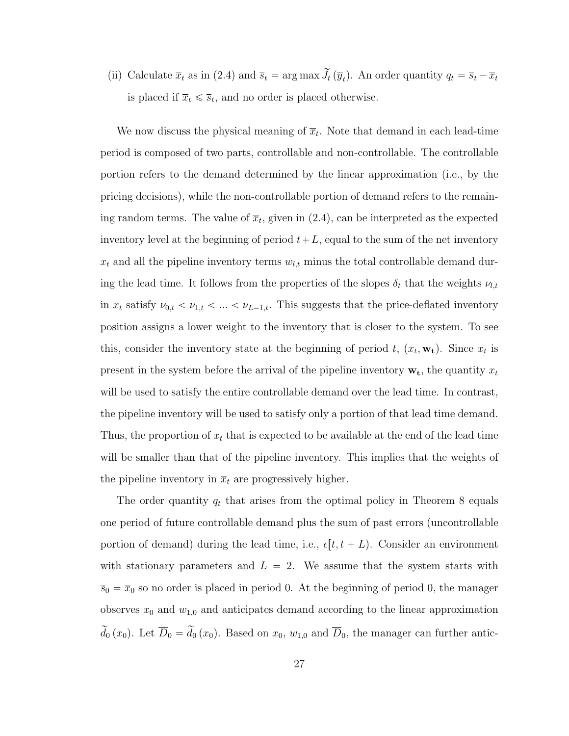(ii) Calculate  $\overline{x}_t$  as in [\(2.4\)](#page-38-0) and  $\overline{s}_t = \arg \max \widetilde{J}_t(\overline{y}_t)$ . An order quantity  $q_t = \overline{s}_t - \overline{x}_t$ is placed if  $\overline{x}_t \leq \overline{s}_t$ , and no order is placed otherwise.

We now discuss the physical meaning of  $\overline{x}_t$ . Note that demand in each lead-time period is composed of two parts, controllable and non-controllable. The controllable portion refers to the demand determined by the linear approximation (i.e., by the pricing decisions), while the non-controllable portion of demand refers to the remaining random terms. The value of  $\bar{x}_t$ , given in  $(2.4)$ , can be interpreted as the expected inventory level at the beginning of period  $t+L$ , equal to the sum of the net inventory  $x_t$  and all the pipeline inventory terms  $w_{l,t}$  minus the total controllable demand during the lead time. It follows from the properties of the slopes  $\delta_t$  that the weights  $\nu_{l,t}$ in  $\bar{x}_t$  satisfy  $\nu_{0,t} < \nu_{1,t} < ... < \nu_{L-1,t}$ . This suggests that the price-deflated inventory position assigns a lower weight to the inventory that is closer to the system. To see this, consider the inventory state at the beginning of period t,  $(x_t, \mathbf{w_t})$ . Since  $x_t$  is present in the system before the arrival of the pipeline inventory  $\mathbf{w}_t$ , the quantity  $x_t$ will be used to satisfy the entire controllable demand over the lead time. In contrast, the pipeline inventory will be used to satisfy only a portion of that lead time demand. Thus, the proportion of  $x_t$  that is expected to be available at the end of the lead time will be smaller than that of the pipeline inventory. This implies that the weights of the pipeline inventory in  $\overline{x}_t$  are progressively higher.

The order quantity  $q_t$  that arises from the optimal policy in Theorem [8](#page-39-1) equals one period of future controllable demand plus the sum of past errors (uncontrollable portion of demand) during the lead time, i.e.,  $\epsilon[t, t + L)$ . Consider an environment with stationary parameters and  $L = 2$ . We assume that the system starts with  $\overline{s}_0 = \overline{x}_0$  so no order is placed in period 0. At the beginning of period 0, the manager observes  $x_0$  and  $w_{1,0}$  and anticipates demand according to the linear approximation  $\tilde{d}_0(x_0)$ . Let  $\overline{D}_0 = \tilde{d}_0(x_0)$ . Based on  $x_0$ ,  $w_{1,0}$  and  $\overline{D}_0$ , the manager can further antic-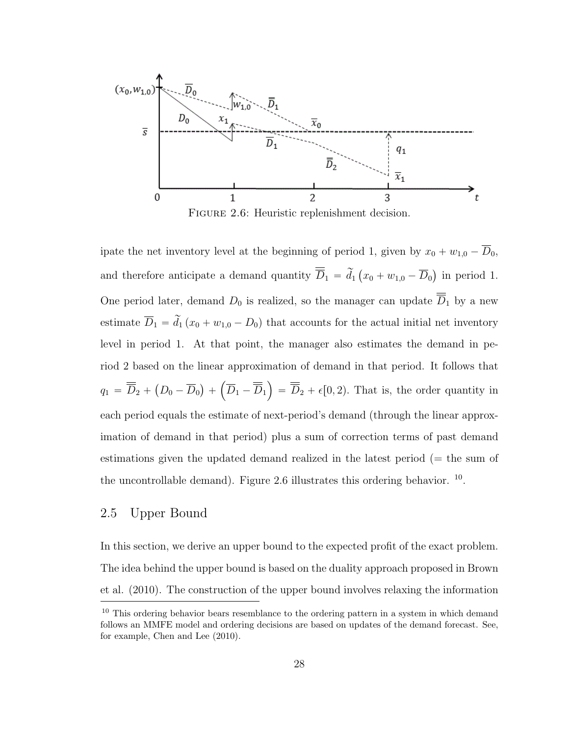

<span id="page-41-0"></span>Figure 2.6: Heuristic replenishment decision.

ipate the net inventory level at the beginning of period 1, given by  $x_0 + w_{1,0} - \overline{D}_0$ , and therefore anticipate a demand quantity  $\overline{\overline{D}}_1 = \widetilde{d}_1$  (  $x_0 + w_{1,0} - \overline{D}_0$ in period 1. One period later, demand  $D_0$  is realized, so the manager can update  $\overline{D}_1$  by a new estimate  $\overline{D}_1 = \tilde{d}_1 (x_0 + w_{1,0} - D_0)$  that accounts for the actual initial net inventory level in period 1. At that point, the manager also estimates the demand in period 2 based on the linear approximation of demand in that period. It follows that  $q_1 = \overline{D}_2 +$  $D_0 - \overline{D}_0$  $^{+}$  $\overline{D}_1 - \overline{D}_1$ ji<br>Li  $= \overline{D}_2 + \epsilon [0, 2)$ . That is, the order quantity in each period equals the estimate of next-period's demand (through the linear approximation of demand in that period) plus a sum of correction terms of past demand estimations given the updated demand realized in the latest period (= the sum of the uncontrollable demand). Figure [2.6](#page-41-0) illustrates this ordering behavior. <sup>[10](#page-41-1)</sup>.

# 2.5 Upper Bound

In this section, we derive an upper bound to the expected profit of the exact problem. The idea behind the upper bound is based on the duality approach proposed in Brown et al. (2010). The construction of the upper bound involves relaxing the information

<span id="page-41-1"></span> $10$  This ordering behavior bears resemblance to the ordering pattern in a system in which demand follows an MMFE model and ordering decisions are based on updates of the demand forecast. See, for example, Chen and Lee (2010).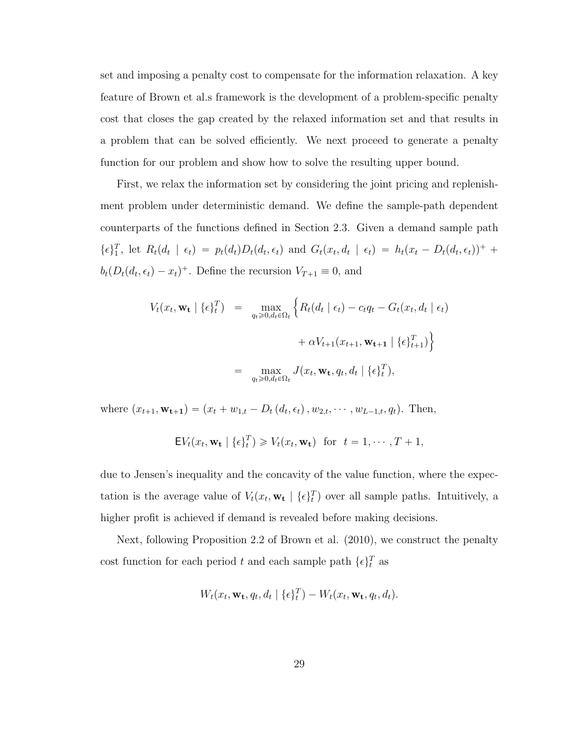set and imposing a penalty cost to compensate for the information relaxation. A key feature of Brown et al.s framework is the development of a problem-specific penalty cost that closes the gap created by the relaxed information set and that results in a problem that can be solved efficiently. We next proceed to generate a penalty function for our problem and show how to solve the resulting upper bound.

First, we relax the information set by considering the joint pricing and replenishment problem under deterministic demand. We define the sample-path dependent counterparts of the functions defined in Section [2.3.](#page-25-0) Given a demand sample path  $\{\epsilon\}_1^T$ , let  $R_t(d_t \mid \epsilon_t) = p_t(d_t)D_t(d_t, \epsilon_t)$  and  $G_t(x_t, d_t \mid \epsilon_t) = h_t(x_t - D_t(d_t, \epsilon_t))^+$  $b_t(D_t(d_t, \epsilon_t) - x_t)^+$ . Define the recursion  $V_{T+1} \equiv 0$ , and

$$
V_t(x_t, \mathbf{w_t} | \{\epsilon\}_t^T) = \max_{q_t \geq 0, d_t \in \Omega_t} \left\{ R_t(d_t | \epsilon_t) - c_t q_t - G_t(x_t, d_t | \epsilon_t) \right\}
$$

$$
+ \alpha V_{t+1}(x_{t+1}, \mathbf{w_{t+1}} | \{\epsilon\}_{t+1}^T) \right\}
$$

$$
= \max_{q_t \geq 0, d_t \in \Omega_t} J(x_t, \mathbf{w_t}, q_t, d_t | \{\epsilon\}_t^T),
$$

where  $(x_{t+1}, \mathbf{w_{t+1}}) = (x_t + w_{1,t} - D_t(d_t, \epsilon_t), w_{2,t}, \cdots, w_{L-1,t}, q_t)$ . Then,

$$
\mathsf{E} V_t(x_t, \mathbf{w_t} \mid \{\epsilon\}_t^T) \geq V_t(x_t, \mathbf{w_t}) \quad \text{for} \quad t = 1, \cdots, T+1,
$$

due to Jensen's inequality and the concavity of the value function, where the expectation is the average value of  $V_t(x_t, \mathbf{w_t} | {\{\epsilon\}}_t^T)$  over all sample paths. Intuitively, a higher profit is achieved if demand is revealed before making decisions.

Next, following Proposition 2.2 of Brown et al. (2010), we construct the penalty cost function for each period t and each sample path  $\{\epsilon\}_t^T$  as

$$
W_t(x_t, \mathbf{w_t}, q_t, d_t \mid \{\epsilon\}_t^T) - W_t(x_t, \mathbf{w_t}, q_t, d_t).
$$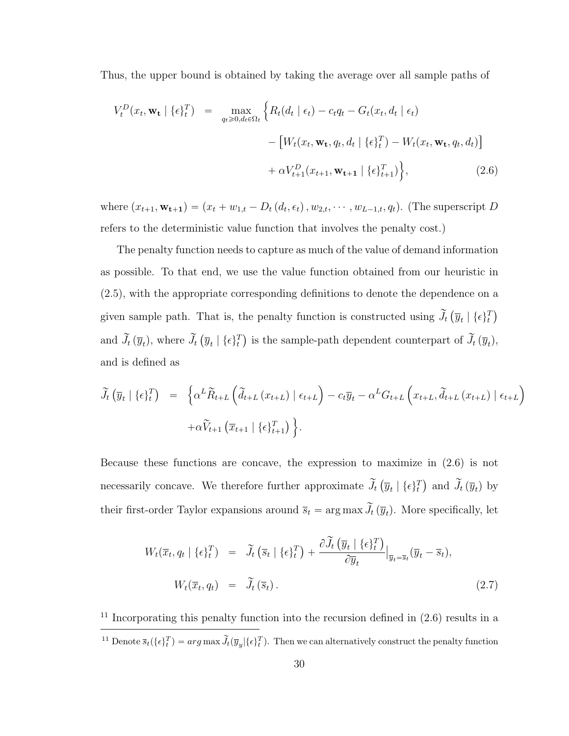Thus, the upper bound is obtained by taking the average over all sample paths of

<span id="page-43-0"></span>
$$
V_t^D(x_t, \mathbf{w_t} \mid \{\epsilon\}_t^T) = \max_{q_t \geq 0, d_t \in \Omega_t} \left\{ R_t(d_t \mid \epsilon_t) - c_t q_t - G_t(x_t, d_t \mid \epsilon_t) - \left[ W_t(x_t, \mathbf{w_t}, q_t, d_t \mid \{\epsilon\}_t^T) - W_t(x_t, \mathbf{w_t}, q_t, d_t) \right] + \alpha V_{t+1}^D(x_{t+1}, \mathbf{w_{t+1}} \mid \{\epsilon\}_{t+1}^T) \right\},
$$
\n(2.6)

where  $(x_{t+1}, \mathbf{w_{t+1}}) = (x_t + w_{1,t} - D_t(d_t, \epsilon_t), w_{2,t}, \cdots, w_{L-1,t}, q_t)$ . (The superscript D refers to the deterministic value function that involves the penalty cost.)

The penalty function needs to capture as much of the value of demand information as possible. To that end, we use the value function obtained from our heuristic in [\(2.5\)](#page-39-0), with the appropriate corresponding definitions to denote the dependence on a given sample path. That is, the penalty function is constructed using  $\widetilde{J}_t$  (  $\overline{y}_t \mid \{\epsilon\}_t^T$ and  $\widetilde{J}_t(\overline{y}_t)$ , where  $\widetilde{J}_t$  (  $\overline{y}_t \mid \{\epsilon\}_t^T$ ) is the sample-path dependent counterpart of  $\widetilde{J}_t(\overline{y}_t)$ , and is defined as

$$
\widetilde{J}_{t}(\overline{y}_{t} | \{\epsilon\}_{t}^{T}) = \left\{ \alpha^{L} \widetilde{R}_{t+L} \left( \widetilde{d}_{t+L} (x_{t+L}) | \epsilon_{t+L} \right) - c_{t} \overline{y}_{t} - \alpha^{L} G_{t+L} \left( x_{t+L}, \widetilde{d}_{t+L} (x_{t+L}) | \epsilon_{t+L} \right) \right\} \n+ \alpha \widetilde{V}_{t+1} \left( \overline{x}_{t+1} | \{\epsilon\}_{t+1}^{T} \right) \left\}.
$$

Because these functions are concave, the expression to maximize in [\(2.6\)](#page-43-0) is not necessarily concave. We therefore further approximate  $\widetilde{J}_t$  (  $\overline{y}_t \mid \{\epsilon\}_t^T$ ) and  $\widetilde{J}_t(\overline{y}_t)$  by their first-order Taylor expansions around  $\bar{s}_t = \arg \max \tilde{J}_t(\bar{y}_t)$ . More specifically, let

<span id="page-43-2"></span>
$$
W_t(\overline{x}_t, q_t | \{\epsilon\}_t^T) = \widetilde{J}_t\left(\overline{s}_t | \{\epsilon\}_t^T\right) + \frac{\partial \widetilde{J}_t\left(\overline{y}_t | \{\epsilon\}_t^T\right)}{\partial \overline{y}_t}\Big|_{\overline{y}_t = \overline{s}_t} (\overline{y}_t - \overline{s}_t),
$$
  
\n
$$
W_t(\overline{x}_t, q_t) = \widetilde{J}_t\left(\overline{s}_t\right). \tag{2.7}
$$

<span id="page-43-1"></span> $11$  Incorporating this penalty function into the recursion defined in  $(2.6)$  results in a <sup>11</sup> Denote  $\overline{s}_t({\{\epsilon\}}_t^T) = arg \max \widetilde{J}_t(\overline{y}_y | {\{\epsilon\}}_t^T)$ . Then we can alternatively construct the penalty function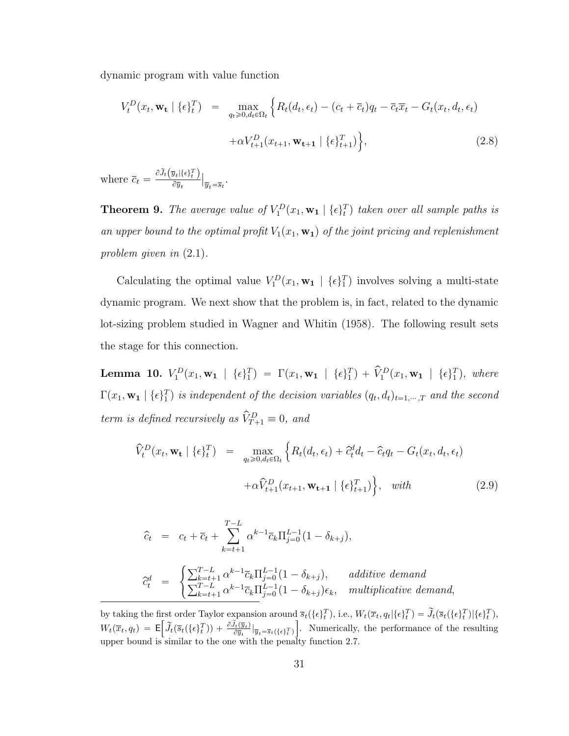dynamic program with value function

<span id="page-44-1"></span>
$$
V_t^D(x_t, \mathbf{w_t} \mid \{\epsilon\}_t^T) = \max_{q_t \geq 0, d_t \in \Omega_t} \left\{ R_t(d_t, \epsilon_t) - (c_t + \overline{c}_t) q_t - \overline{c}_t \overline{x}_t - G_t(x_t, d_t, \epsilon_t) \right. \\ \left. + \alpha V_{t+1}^D(x_{t+1}, \mathbf{w_{t+1}} \mid \{\epsilon\}_{t+1}^T) \right\}, \tag{2.8}
$$

where  $\bar{c}_t = \frac{\partial \tilde{J}_t(\bar{y}_t | \{\epsilon\}_t^T)}{\partial \bar{u}_t}$  $\partial \overline{y}_t$ ˇ ˇ  $\overline{y}_t = \overline{s}_t$ .

**Theorem 9.** The average value of  $V_1^D(x_1, \mathbf{w_1} | \{\epsilon\}_t^T)$  taken over all sample paths is an upper bound to the optimal profit  $V_1(x_1, \mathbf{w}_1)$  of the joint pricing and replenishment problem given in  $(2.1)$  $(2.1)$  $(2.1)$ .

Calculating the optimal value  $V_1^D(x_1, \mathbf{w_1} \mid {\{\epsilon\}}_1^T)$  involves solving a multi-state dynamic program. We next show that the problem is, in fact, related to the dynamic lot-sizing problem studied in Wagner and Whitin (1958). The following result sets the stage for this connection.

**Lemma 10.**  $V_1^D(x_1, \mathbf{w_1} \mid {\epsilon} \mathbf{\epsilon})_1^T$  =  $\Gamma(x_1, \mathbf{w_1} \mid {\epsilon} \mathbf{\epsilon})_1^T$  +  $\hat{V}_1^D(x_1, \mathbf{w_1} \mid {\epsilon} \mathbf{\epsilon})_1^T$ , where  $\Gamma(x_1, \mathbf{w_1} \mid {\epsilon} \mathbf{F}_1^T)$  is independent of the decision variables  $(q_t, d_t)_{t=1,\dots,T}$  and the second term is defined recursively as  $\hat{V}_{T+1}^D \equiv 0$ , and

<span id="page-44-0"></span>
$$
\widehat{V}_t^D(x_t, \mathbf{w_t} \mid \{\epsilon\}_t^T) = \max_{q_t \ge 0, d_t \in \Omega_t} \left\{ R_t(d_t, \epsilon_t) + \widehat{c}_t^d d_t - \widehat{c}_t q_t - G_t(x_t, d_t, \epsilon_t) \right. \left. + \alpha \widehat{V}_{t+1}^D(x_{t+1}, \mathbf{w_{t+1}} \mid \{\epsilon\}_{t+1}^T) \right\}, \quad \text{with} \tag{2.9}
$$

$$
\begin{array}{rcl}\n\widehat{c}_{t} & = & c_{t} + \overline{c}_{t} + \sum_{k=t+1}^{T-L} \alpha^{k-1} \overline{c}_{k} \Pi_{j=0}^{L-1} (1 - \delta_{k+j}), \\
\widehat{c}_{t}^{d} & = & \begin{cases}\n\sum_{k=t+1}^{T-L} \alpha^{k-1} \overline{c}_{k} \Pi_{j=0}^{L-1} (1 - \delta_{k+j}), & additive\ demand \\
\sum_{k=t+1}^{T-L} \alpha^{k-1} \overline{c}_{k} \Pi_{j=0}^{L-1} (1 - \delta_{k+j}) \epsilon_{k}, & multiplicative\ demand,\n\end{cases}\n\end{array}
$$

by taking the first order Taylor expansion around  $\bar{s}_t(\{\epsilon_t^T\})$ , i.e.,  $W_t(\bar{x}_t, q_t | \{\epsilon_t^T\}) = \tilde{J}_t(\bar{s}_t(\{\epsilon_t^T\})|\{\epsilon_t^T\})$ ,  $W_t(\overline{x}_t, q_t) = \mathsf{E}$ r  $\widetilde{J}_t\big(\overline{s}_t\big(\{\epsilon\}_t^T\big)\big) + \frac{\partial \widetilde{J}_t\big(\overline{y}_t\big)}{\partial \overline{y}_t} \big|_{\overline{y}_t = \overline{s}_t\left(\{\epsilon\}_t^T\right)}$ ı . Numerically, the performance of the resulting upper bound is similar to the one with the penalty function [2.7.](#page-43-2)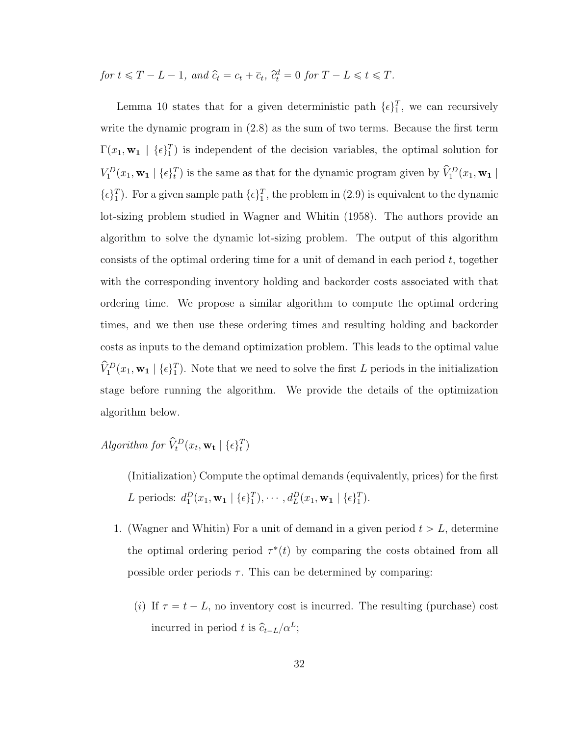for  $t \leq T - L - 1$ , and  $\hat{c}_t = c_t + \overline{c}_t$ ,  $\hat{c}_t^d = 0$  for  $T - L \leq t \leq T$ .

Lemma [10](#page-44-0) states that for a given deterministic path  $\{\epsilon\}_1^T$ , we can recursively write the dynamic program in  $(2.8)$  as the sum of two terms. Because the first term  $\Gamma(x_1, \mathbf{w}_1 \mid {\{\epsilon\}}_1^T)$  is independent of the decision variables, the optimal solution for  $V_1^D(x_1, \mathbf{w_1} \mid \{\epsilon\}_t^T)$  is the same as that for the dynamic program given by  $\widehat{V}_1^D(x_1, \mathbf{w_1} \mid \{\epsilon\}_t^T)$  $\{\epsilon\}_1^T$ ). For a given sample path  $\{\epsilon\}_1^T$ , the problem in [\(2.9\)](#page-44-0) is equivalent to the dynamic lot-sizing problem studied in Wagner and Whitin (1958). The authors provide an algorithm to solve the dynamic lot-sizing problem. The output of this algorithm consists of the optimal ordering time for a unit of demand in each period  $t$ , together with the corresponding inventory holding and backorder costs associated with that ordering time. We propose a similar algorithm to compute the optimal ordering times, and we then use these ordering times and resulting holding and backorder costs as inputs to the demand optimization problem. This leads to the optimal value  $\hat{V}_1^D(x_1, \mathbf{w}_1 \mid {\epsilon}^T_1)$ . Note that we need to solve the first L periods in the initialization stage before running the algorithm. We provide the details of the optimization algorithm below.

Algorithm for  $\hat{V}_t^D(x_t, \mathbf{w_t} \mid \{\epsilon\}_t^T)$ 

(Initialization) Compute the optimal demands (equivalently, prices) for the first L periods:  $d_1^D(x_1, \mathbf{w_1} | {\epsilon}^T_1), \cdots, d_L^D(x_1, \mathbf{w_1} | {\epsilon}^T_1).$ 

- 1. (Wagner and Whitin) For a unit of demand in a given period  $t > L$ , determine the optimal ordering period  $\tau^*(t)$  by comparing the costs obtained from all possible order periods  $\tau$ . This can be determined by comparing:
	- (*i*) If  $\tau = t L$ , no inventory cost is incurred. The resulting (purchase) cost incurred in period t is  $\hat{c}_{t-L}/\alpha^L$ ;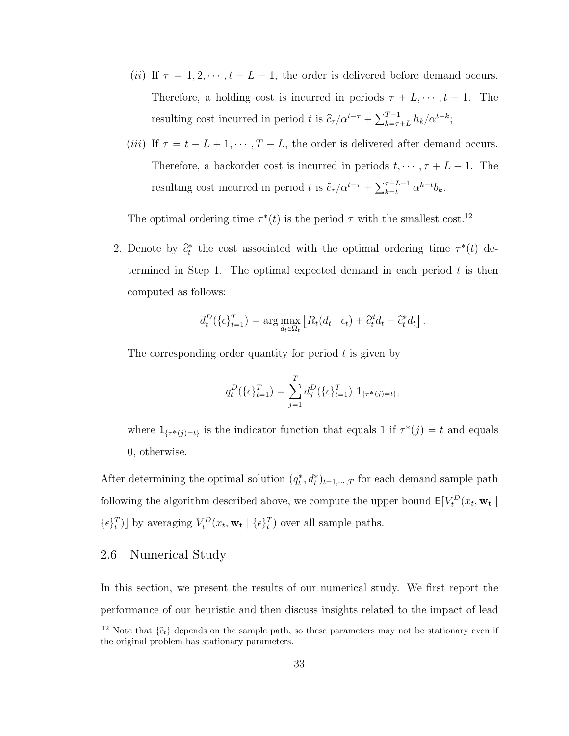- (*ii*) If  $\tau = 1, 2, \dots, t L 1$ , the order is delivered before demand occurs. Therefore, a holding cost is incurred in periods  $\tau + L, \dots, t - 1$ . The resulting cost incurred in period t is  $\hat{c}_{\tau}/\alpha^{t-\tau} + \sum_{k=\tau}^{T-1}$  $_{k=\tau+L}^{T-1}h_k/\alpha^{t-k};$
- (*iii*) If  $\tau = t L + 1, \dots, T L$ , the order is delivered after demand occurs. Therefore, a backorder cost is incurred in periods  $t, \dots, \tau + L - 1$ . The resulting cost incurred in period t is  $\hat{c}_{\tau}/\alpha^{t-\tau} + \sum_{k=t}^{\tau+L-1}$  $\sum_{k=t}^{\tau+L-1} \alpha^{k-t} b_k.$

The optimal ordering time  $\tau^*(t)$  is the period  $\tau$  with the smallest cost.<sup>[12](#page-46-0)</sup>

2. Denote by  $\hat{c}_t^*$  the cost associated with the optimal ordering time  $\tau^*(t)$  determined in Step 1. The optimal expected demand in each period  $t$  is then computed as follows:

$$
d_t^D(\{\epsilon\}_{t=1}^T) = \arg \max_{d_t \in \Omega_t} \left[ R_t(d_t | \epsilon_t) + \hat{c}_t^d d_t - \hat{c}_t^* d_t \right].
$$

The corresponding order quantity for period  $t$  is given by

$$
q_t^D(\{\epsilon\}_{t=1}^T) = \sum_{j=1}^T d_j^D(\{\epsilon\}_{t=1}^T) \mathbf{1}_{\{\tau^*(j) = t\}},
$$

where  $1_{\{\tau^*(j)=t\}}$  is the indicator function that equals 1 if  $\tau^*(j) = t$  and equals 0, otherwise.

After determining the optimal solution  $(q_t^*, d_t^*)_{t=1,\dots,T}$  for each demand sample path following the algorithm described above, we compute the upper bound  $\mathsf{E}[V_t^D(x_t, \mathbf{w_t})]$  $\{\epsilon\}_t^T$ ) by averaging  $V_t^D(x_t, \mathbf{w}_t | \{\epsilon\}_t^T)$  over all sample paths.

# 2.6 Numerical Study

In this section, we present the results of our numerical study. We first report the performance of our heuristic and then discuss insights related to the impact of lead

<span id="page-46-0"></span><sup>&</sup>lt;sup>12</sup> Note that  $\{\hat{c}_t\}$  depends on the sample path, so these parameters may not be stationary even if the original problem has stationary parameters.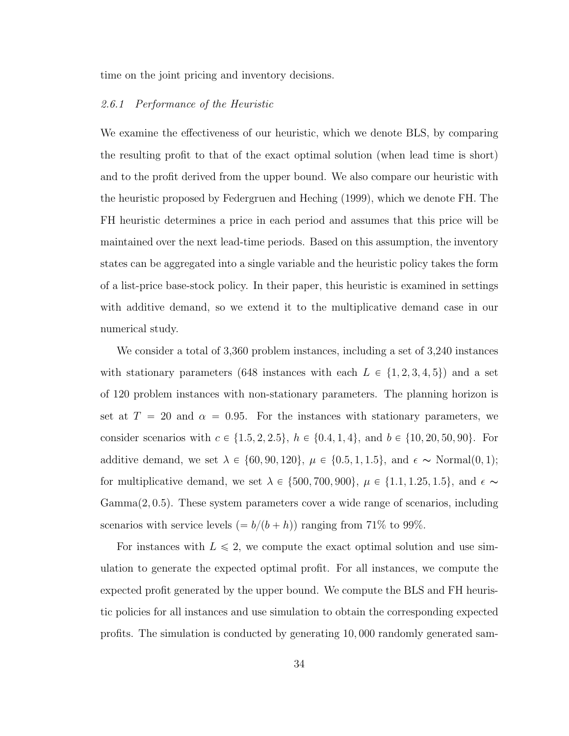time on the joint pricing and inventory decisions.

#### 2.6.1 Performance of the Heuristic

We examine the effectiveness of our heuristic, which we denote BLS, by comparing the resulting profit to that of the exact optimal solution (when lead time is short) and to the profit derived from the upper bound. We also compare our heuristic with the heuristic proposed by Federgruen and Heching (1999), which we denote FH. The FH heuristic determines a price in each period and assumes that this price will be maintained over the next lead-time periods. Based on this assumption, the inventory states can be aggregated into a single variable and the heuristic policy takes the form of a list-price base-stock policy. In their paper, this heuristic is examined in settings with additive demand, so we extend it to the multiplicative demand case in our numerical study.

We consider a total of 3,360 problem instances, including a set of 3,240 instances with stationary parameters (648 instances with each  $L \in \{1, 2, 3, 4, 5\}$ ) and a set of 120 problem instances with non-stationary parameters. The planning horizon is set at  $T = 20$  and  $\alpha = 0.95$ . For the instances with stationary parameters, we consider scenarios with  $c \in \{1.5, 2, 2.5\}, h \in \{0.4, 1, 4\}, \text{ and } b \in \{10, 20, 50, 90\}.$  For additive demand, we set  $\lambda \in \{60, 90, 120\}$ ,  $\mu \in \{0.5, 1, 1.5\}$ , and  $\epsilon \sim \text{Normal}(0, 1)$ ; for multiplicative demand, we set  $\lambda \in \{500, 700, 900\}, \mu \in \{1.1, 1.25, 1.5\}, \text{ and } \epsilon \sim$ Gamma $(2, 0.5)$ . These system parameters cover a wide range of scenarios, including scenarios with service levels  $(= b/(b + h))$  ranging from 71% to 99%.

For instances with  $L \leq 2$ , we compute the exact optimal solution and use simulation to generate the expected optimal profit. For all instances, we compute the expected profit generated by the upper bound. We compute the BLS and FH heuristic policies for all instances and use simulation to obtain the corresponding expected profits. The simulation is conducted by generating 10, 000 randomly generated sam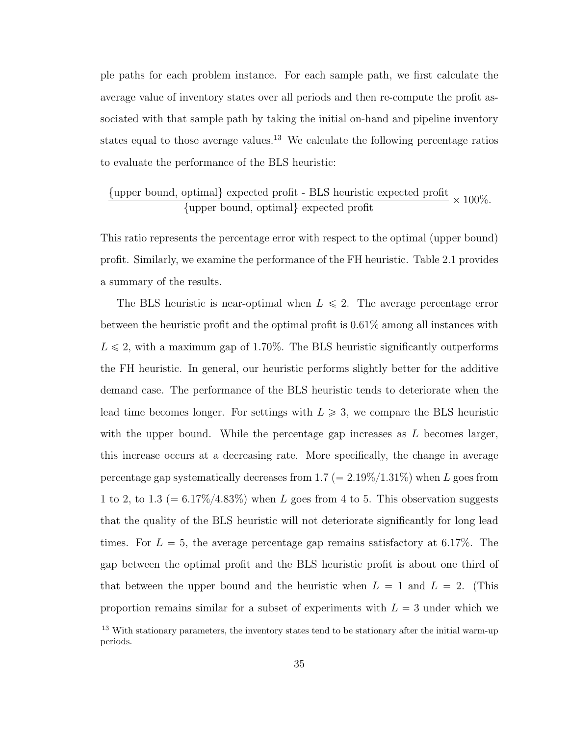ple paths for each problem instance. For each sample path, we first calculate the average value of inventory states over all periods and then re-compute the profit associated with that sample path by taking the initial on-hand and pipeline inventory states equal to those average values.<sup>[13](#page-48-0)</sup> We calculate the following percentage ratios to evaluate the performance of the BLS heuristic:

$$
\frac{{\text{upper bound, optimal}}{\text{upper bound, optimal}}\text{ expected profit - BLS heuristic expected profit}}{\text{upper bound, optimal}}\times 100\%.
$$

This ratio represents the percentage error with respect to the optimal (upper bound) profit. Similarly, we examine the performance of the FH heuristic. Table [2.1](#page-49-0) provides a summary of the results.

The BLS heuristic is near-optimal when  $L \leq 2$ . The average percentage error between the heuristic profit and the optimal profit is 0.61% among all instances with  $L \leq 2$ , with a maximum gap of 1.70%. The BLS heuristic significantly outperforms the FH heuristic. In general, our heuristic performs slightly better for the additive demand case. The performance of the BLS heuristic tends to deteriorate when the lead time becomes longer. For settings with  $L \geq 3$ , we compare the BLS heuristic with the upper bound. While the percentage gap increases as  $L$  becomes larger, this increase occurs at a decreasing rate. More specifically, the change in average percentage gap systematically decreases from  $1.7 (= 2.19\%/1.31\%)$  when L goes from 1 to 2, to 1.3 ( $= 6.17\%/4.83\%$ ) when L goes from 4 to 5. This observation suggests that the quality of the BLS heuristic will not deteriorate significantly for long lead times. For  $L = 5$ , the average percentage gap remains satisfactory at 6.17%. The gap between the optimal profit and the BLS heuristic profit is about one third of that between the upper bound and the heuristic when  $L = 1$  and  $L = 2$ . (This proportion remains similar for a subset of experiments with  $L = 3$  under which we

<span id="page-48-0"></span><sup>&</sup>lt;sup>13</sup> With stationary parameters, the inventory states tend to be stationary after the initial warm-up periods.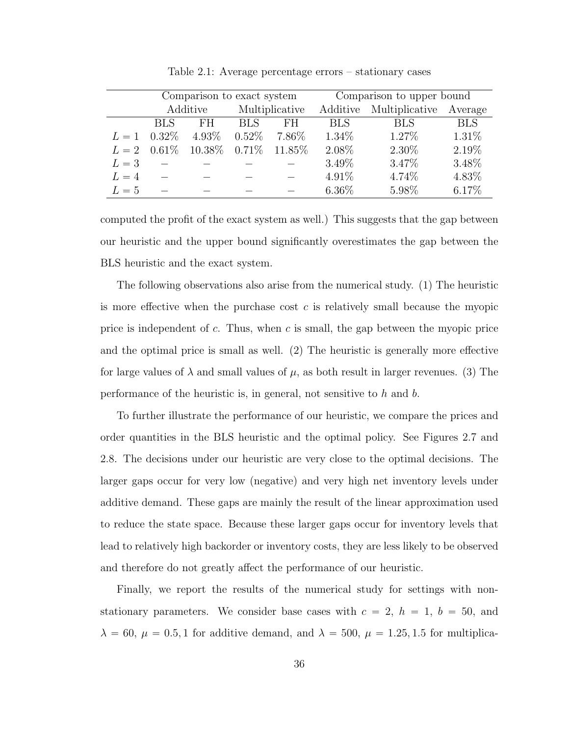|       | Comparison to exact system |                  |                |         | Comparison to upper bound |                |            |
|-------|----------------------------|------------------|----------------|---------|---------------------------|----------------|------------|
|       | Additive                   |                  | Multiplicative |         | Additive                  | Multiplicative | Average    |
|       | <b>BLS</b>                 | FH               | <b>BLS</b>     | FH      | <b>BLS</b>                | <b>BLS</b>     | <b>BLS</b> |
| $L=1$ | $0.32\%$                   | $4.93\%$         | $0.52\%$       | 7.86\%  | 1.34\%                    | $1.27\%$       | 1.31\%     |
| $L=2$ | $0.61\%$                   | $10.38\%$ 0.71\% |                | 11.85\% | 2.08%                     | 2.30%          | 2.19%      |
| $L=3$ |                            |                  |                |         | 3.49%                     | 3.47%          | 3.48%      |
| $L=4$ |                            |                  |                |         | $4.91\%$                  | 4.74%          | 4.83%      |
| $L=5$ |                            |                  |                |         | $6.36\%$                  | 5.98%          | 6.17%      |

<span id="page-49-0"></span>Table 2.1: Average percentage errors – stationary cases

computed the profit of the exact system as well.) This suggests that the gap between our heuristic and the upper bound significantly overestimates the gap between the BLS heuristic and the exact system.

The following observations also arise from the numerical study. (1) The heuristic is more effective when the purchase cost  $c$  is relatively small because the myopic price is independent of c. Thus, when c is small, the gap between the myopic price and the optimal price is small as well. (2) The heuristic is generally more effective for large values of  $\lambda$  and small values of  $\mu$ , as both result in larger revenues. (3) The performance of the heuristic is, in general, not sensitive to  $h$  and  $b$ .

To further illustrate the performance of our heuristic, we compare the prices and order quantities in the BLS heuristic and the optimal policy. See Figures [2.7](#page-50-0) and [2.8.](#page-50-1) The decisions under our heuristic are very close to the optimal decisions. The larger gaps occur for very low (negative) and very high net inventory levels under additive demand. These gaps are mainly the result of the linear approximation used to reduce the state space. Because these larger gaps occur for inventory levels that lead to relatively high backorder or inventory costs, they are less likely to be observed and therefore do not greatly affect the performance of our heuristic.

Finally, we report the results of the numerical study for settings with nonstationary parameters. We consider base cases with  $c = 2$ ,  $h = 1$ ,  $b = 50$ , and  $\lambda = 60, \mu = 0.5, 1$  for additive demand, and  $\lambda = 500, \mu = 1.25, 1.5$  for multiplica-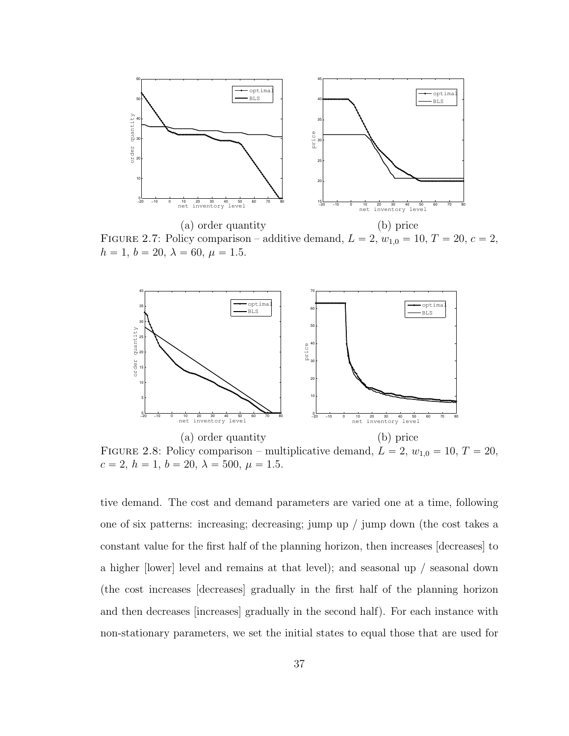

<span id="page-50-0"></span>FIGURE 2.7: Policy comparison – additive demand,  $L = 2$ ,  $w_{1,0} = 10$ ,  $T = 20$ ,  $c = 2$ ,  $h = 1, b = 20, \lambda = 60, \mu = 1.5.$ 



<span id="page-50-1"></span>FIGURE 2.8: Policy comparison – multiplicative demand,  $L = 2$ ,  $w_{1,0} = 10$ ,  $T = 20$ ,  $c = 2, h = 1, b = 20, \lambda = 500, \mu = 1.5.$ 

tive demand. The cost and demand parameters are varied one at a time, following one of six patterns: increasing; decreasing; jump up / jump down (the cost takes a constant value for the first half of the planning horizon, then increases [decreases] to a higher [lower] level and remains at that level); and seasonal up / seasonal down (the cost increases [decreases] gradually in the first half of the planning horizon and then decreases [increases] gradually in the second half). For each instance with non-stationary parameters, we set the initial states to equal those that are used for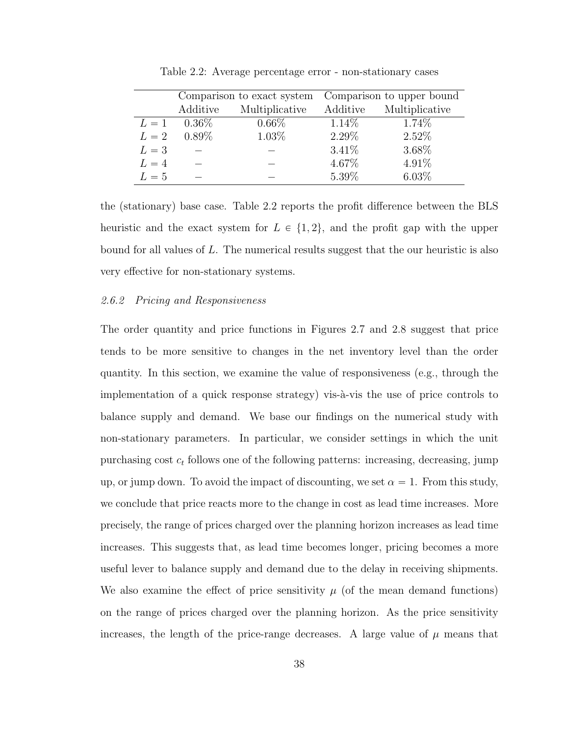|       |          | Comparison to exact system | Comparison to upper bound |                |  |
|-------|----------|----------------------------|---------------------------|----------------|--|
|       | Additive | Multiplicative             | Additive                  | Multiplicative |  |
| $L=1$ | $0.36\%$ | $0.66\%$                   | $1.14\%$                  | 1.74\%         |  |
| $L=2$ | $0.89\%$ | 1.03%                      | 2.29%                     | 2.52%          |  |
| $L=3$ |          |                            | 3.41%                     | 3.68%          |  |
| $L=4$ |          |                            | 4.67%                     | 4.91%          |  |
| $L=5$ |          |                            | 5.39%                     | $6.03\%$       |  |

<span id="page-51-0"></span>Table 2.2: Average percentage error - non-stationary cases

the (stationary) base case. Table [2.2](#page-51-0) reports the profit difference between the BLS heuristic and the exact system for  $L \in \{1, 2\}$ , and the profit gap with the upper bound for all values of L. The numerical results suggest that the our heuristic is also very effective for non-stationary systems.

#### 2.6.2 Pricing and Responsiveness

The order quantity and price functions in Figures [2.7](#page-50-0) and [2.8](#page-50-1) suggest that price tends to be more sensitive to changes in the net inventory level than the order quantity. In this section, we examine the value of responsiveness (e.g., through the implementation of a quick response strategy) vis- $\lambda$ -vis the use of price controls to balance supply and demand. We base our findings on the numerical study with non-stationary parameters. In particular, we consider settings in which the unit purchasing cost  $c_t$  follows one of the following patterns: increasing, decreasing, jump up, or jump down. To avoid the impact of discounting, we set  $\alpha = 1$ . From this study, we conclude that price reacts more to the change in cost as lead time increases. More precisely, the range of prices charged over the planning horizon increases as lead time increases. This suggests that, as lead time becomes longer, pricing becomes a more useful lever to balance supply and demand due to the delay in receiving shipments. We also examine the effect of price sensitivity  $\mu$  (of the mean demand functions) on the range of prices charged over the planning horizon. As the price sensitivity increases, the length of the price-range decreases. A large value of  $\mu$  means that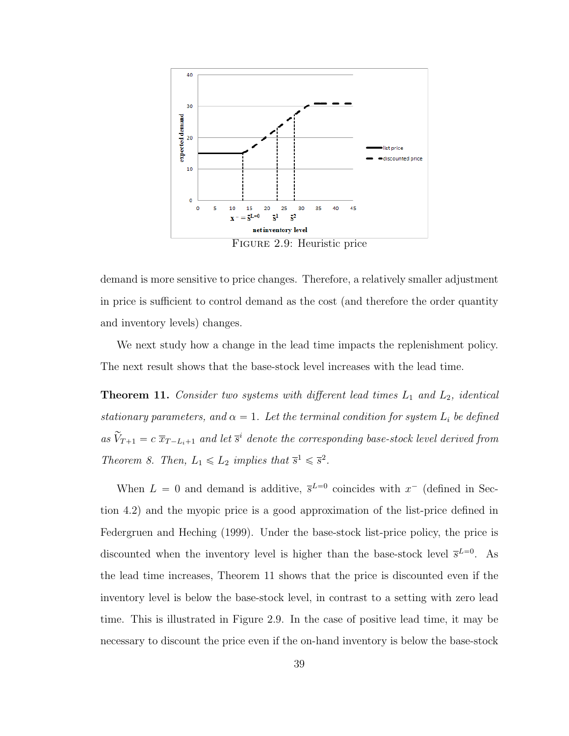

demand is more sensitive to price changes. Therefore, a relatively smaller adjustment in price is sufficient to control demand as the cost (and therefore the order quantity and inventory levels) changes.

We next study how a change in the lead time impacts the replenishment policy. The next result shows that the base-stock level increases with the lead time.

<span id="page-52-0"></span>**Theorem 11.** Consider two systems with different lead times  $L_1$  and  $L_2$ , identical stationary parameters, and  $\alpha = 1$ . Let the terminal condition for system  $L_i$  be defined as  $\widetilde{V}_{T+1} = c \ \overline{x}_{T-L_i+1}$  and let  $\overline{s}^i$  denote the corresponding base-stock level derived from Theorem [8.](#page-39-1) Then,  $L_1 \le L_2$  implies that  $\overline{s}^1 \le \overline{s}^2$ .

When  $L = 0$  and demand is additive,  $\bar{s}^{L=0}$  coincides with  $x^-$  (defined in Section 4.2) and the myopic price is a good approximation of the list-price defined in Federgruen and Heching (1999). Under the base-stock list-price policy, the price is discounted when the inventory level is higher than the base-stock level  $\bar{s}^{L=0}$ . As the lead time increases, Theorem [11](#page-52-0) shows that the price is discounted even if the inventory level is below the base-stock level, in contrast to a setting with zero lead time. This is illustrated in Figure 2.9. In the case of positive lead time, it may be necessary to discount the price even if the on-hand inventory is below the base-stock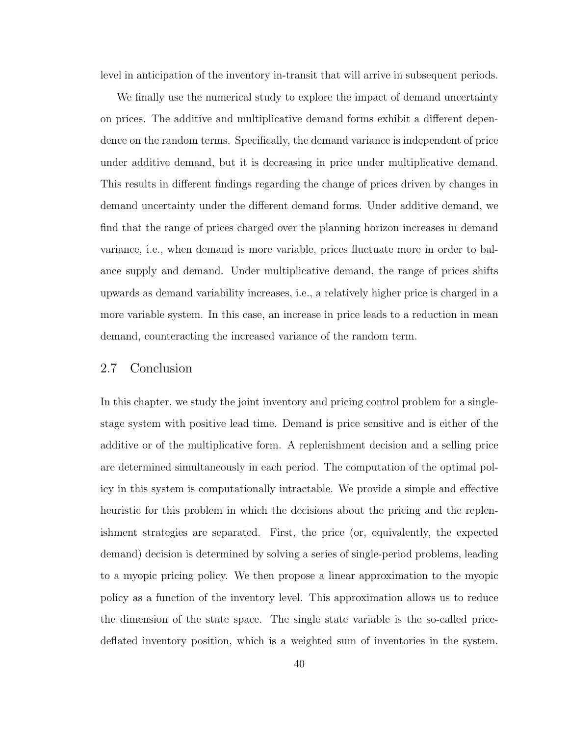level in anticipation of the inventory in-transit that will arrive in subsequent periods.

We finally use the numerical study to explore the impact of demand uncertainty on prices. The additive and multiplicative demand forms exhibit a different dependence on the random terms. Specifically, the demand variance is independent of price under additive demand, but it is decreasing in price under multiplicative demand. This results in different findings regarding the change of prices driven by changes in demand uncertainty under the different demand forms. Under additive demand, we find that the range of prices charged over the planning horizon increases in demand variance, i.e., when demand is more variable, prices fluctuate more in order to balance supply and demand. Under multiplicative demand, the range of prices shifts upwards as demand variability increases, i.e., a relatively higher price is charged in a more variable system. In this case, an increase in price leads to a reduction in mean demand, counteracting the increased variance of the random term.

## 2.7 Conclusion

In this chapter, we study the joint inventory and pricing control problem for a singlestage system with positive lead time. Demand is price sensitive and is either of the additive or of the multiplicative form. A replenishment decision and a selling price are determined simultaneously in each period. The computation of the optimal policy in this system is computationally intractable. We provide a simple and effective heuristic for this problem in which the decisions about the pricing and the replenishment strategies are separated. First, the price (or, equivalently, the expected demand) decision is determined by solving a series of single-period problems, leading to a myopic pricing policy. We then propose a linear approximation to the myopic policy as a function of the inventory level. This approximation allows us to reduce the dimension of the state space. The single state variable is the so-called pricedeflated inventory position, which is a weighted sum of inventories in the system.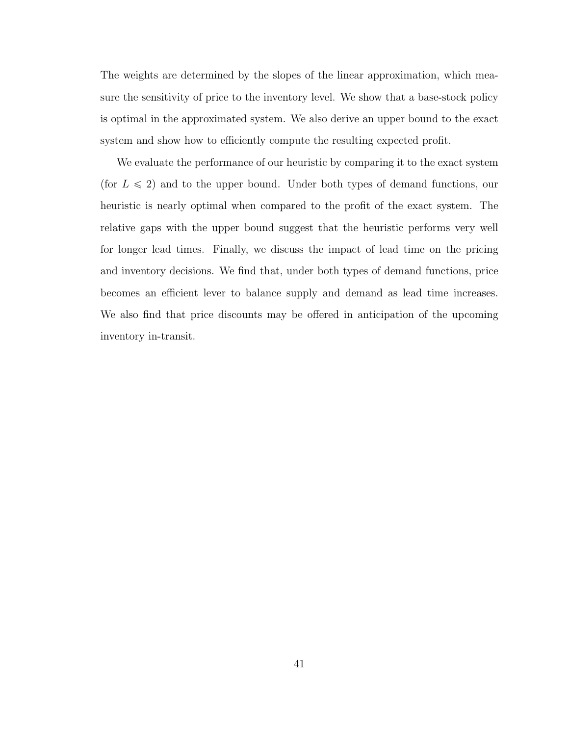The weights are determined by the slopes of the linear approximation, which measure the sensitivity of price to the inventory level. We show that a base-stock policy is optimal in the approximated system. We also derive an upper bound to the exact system and show how to efficiently compute the resulting expected profit.

We evaluate the performance of our heuristic by comparing it to the exact system (for  $L \leq 2$ ) and to the upper bound. Under both types of demand functions, our heuristic is nearly optimal when compared to the profit of the exact system. The relative gaps with the upper bound suggest that the heuristic performs very well for longer lead times. Finally, we discuss the impact of lead time on the pricing and inventory decisions. We find that, under both types of demand functions, price becomes an efficient lever to balance supply and demand as lead time increases. We also find that price discounts may be offered in anticipation of the upcoming inventory in-transit.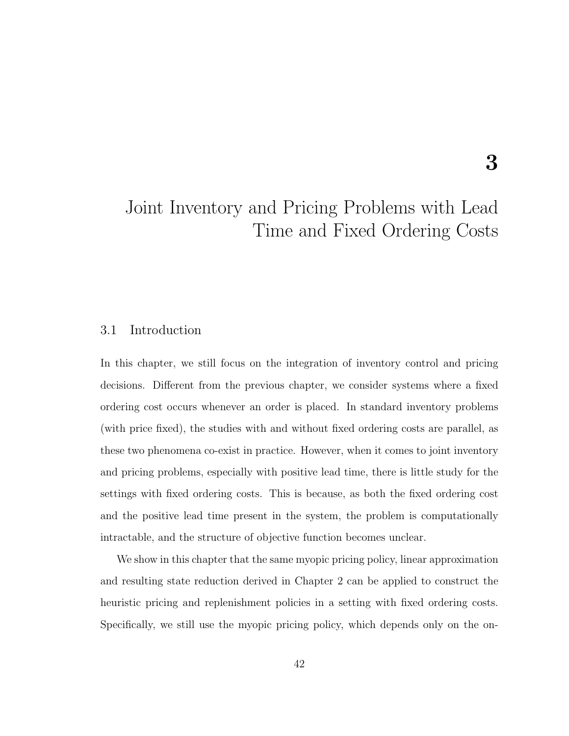# Joint Inventory and Pricing Problems with Lead Time and Fixed Ordering Costs

# 3.1 Introduction

In this chapter, we still focus on the integration of inventory control and pricing decisions. Different from the previous chapter, we consider systems where a fixed ordering cost occurs whenever an order is placed. In standard inventory problems (with price fixed), the studies with and without fixed ordering costs are parallel, as these two phenomena co-exist in practice. However, when it comes to joint inventory and pricing problems, especially with positive lead time, there is little study for the settings with fixed ordering costs. This is because, as both the fixed ordering cost and the positive lead time present in the system, the problem is computationally intractable, and the structure of objective function becomes unclear.

We show in this chapter that the same myopic pricing policy, linear approximation and resulting state reduction derived in Chapter [2](#page-19-0) can be applied to construct the heuristic pricing and replenishment policies in a setting with fixed ordering costs. Specifically, we still use the myopic pricing policy, which depends only on the on-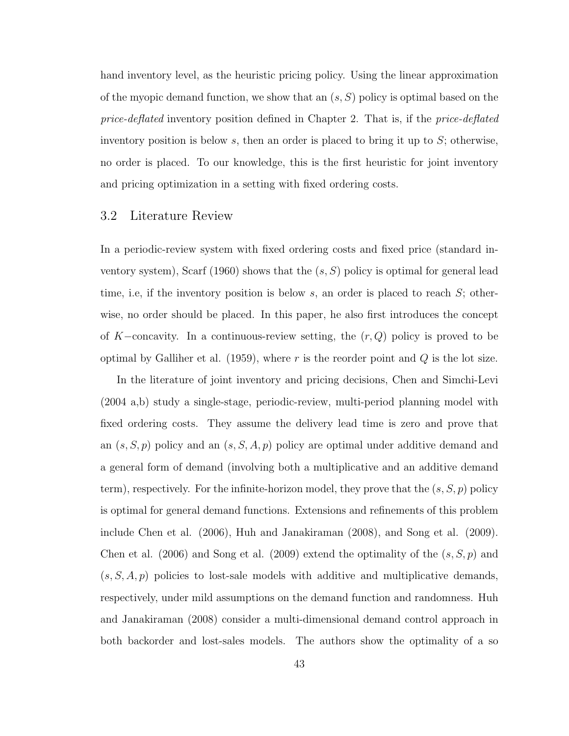hand inventory level, as the heuristic pricing policy. Using the linear approximation of the myopic demand function, we show that an  $(s, S)$  policy is optimal based on the price-deflated inventory position defined in Chapter [2.](#page-19-0) That is, if the *price-deflated* inventory position is below  $s$ , then an order is placed to bring it up to  $S$ ; otherwise, no order is placed. To our knowledge, this is the first heuristic for joint inventory and pricing optimization in a setting with fixed ordering costs.

# 3.2 Literature Review

In a periodic-review system with fixed ordering costs and fixed price (standard inventory system), Scarf (1960) shows that the  $(s, S)$  policy is optimal for general lead time, i.e, if the inventory position is below  $s$ , an order is placed to reach  $S$ ; otherwise, no order should be placed. In this paper, he also first introduces the concept of K-concavity. In a continuous-review setting, the  $(r, Q)$  policy is proved to be optimal by Galliher et al. (1959), where  $r$  is the reorder point and  $Q$  is the lot size.

In the literature of joint inventory and pricing decisions, Chen and Simchi-Levi (2004 a,b) study a single-stage, periodic-review, multi-period planning model with fixed ordering costs. They assume the delivery lead time is zero and prove that an  $(s, S, p)$  policy and an  $(s, S, A, p)$  policy are optimal under additive demand and a general form of demand (involving both a multiplicative and an additive demand term), respectively. For the infinite-horizon model, they prove that the  $(s, S, p)$  policy is optimal for general demand functions. Extensions and refinements of this problem include Chen et al. (2006), Huh and Janakiraman (2008), and Song et al. (2009). Chen et al. (2006) and Song et al. (2009) extend the optimality of the  $(s, S, p)$  and  $(s, S, A, p)$  policies to lost-sale models with additive and multiplicative demands, respectively, under mild assumptions on the demand function and randomness. Huh and Janakiraman (2008) consider a multi-dimensional demand control approach in both backorder and lost-sales models. The authors show the optimality of a so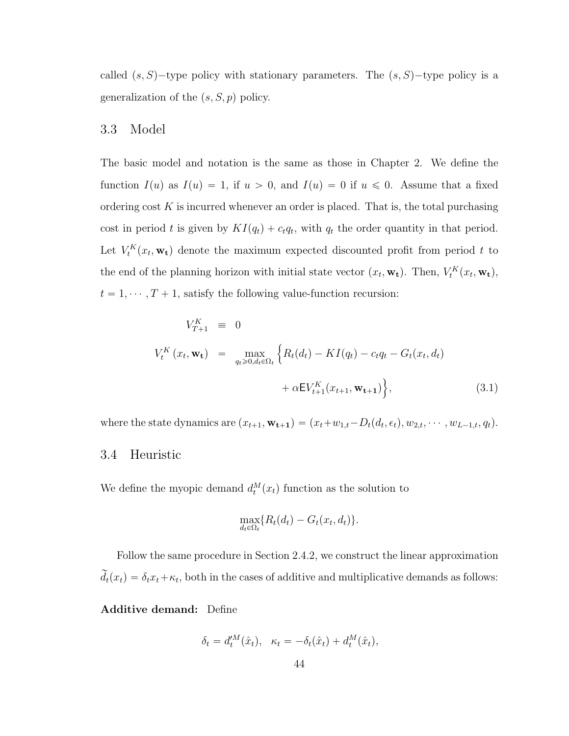called  $(s, S)$ -type policy with stationary parameters. The  $(s, S)$ -type policy is a generalization of the  $(s, S, p)$  policy.

## 3.3 Model

The basic model and notation is the same as those in Chapter [2.](#page-19-0) We define the function  $I(u)$  as  $I(u) = 1$ , if  $u > 0$ , and  $I(u) = 0$  if  $u \le 0$ . Assume that a fixed ordering cost  $K$  is incurred whenever an order is placed. That is, the total purchasing cost in period t is given by  $KI(q_t) + c_t q_t$ , with  $q_t$  the order quantity in that period. Let  $V_t^K(x_t, \mathbf{w_t})$  denote the maximum expected discounted profit from period t to the end of the planning horizon with initial state vector  $(x_t, \mathbf{w_t})$ . Then,  $V_t^K(x_t, \mathbf{w_t})$ ,  $t = 1, \dots, T + 1$ , satisfy the following value-function recursion:

<span id="page-57-0"></span>
$$
V_{T+1}^{K} \equiv 0
$$
  

$$
V_{t}^{K}(x_{t}, \mathbf{w_{t}}) = \max_{q_{t} \geq 0, d_{t} \in \Omega_{t}} \left\{ R_{t}(d_{t}) - K I(q_{t}) - c_{t} q_{t} - G_{t}(x_{t}, d_{t}) + \alpha E V_{t+1}^{K}(x_{t+1}, \mathbf{w_{t+1}}) \right\},
$$
(3.1)

where the state dynamics are  $(x_{t+1}, \mathbf{w_{t+1}}) = (x_t + w_{1,t} - D_t(d_t, \epsilon_t), w_{2,t}, \cdots, w_{L-1,t}, q_t).$ 

### 3.4 Heuristic

We define the myopic demand  $d_t^M(x_t)$  function as the solution to

$$
\max_{d_t \in \Omega_t} \{ R_t(d_t) - G_t(x_t, d_t) \}.
$$

Follow the same procedure in Section [2.4.2,](#page-34-0) we construct the linear approximation  $\widetilde{d}_t(x_t) = \delta_t x_t + \kappa_t$ , both in the cases of additive and multiplicative demands as follows:

Additive demand: Define

$$
\delta_t = d_t^{\prime M}(\hat{x}_t), \quad \kappa_t = -\delta_t(\hat{x}_t) + d_t^M(\hat{x}_t),
$$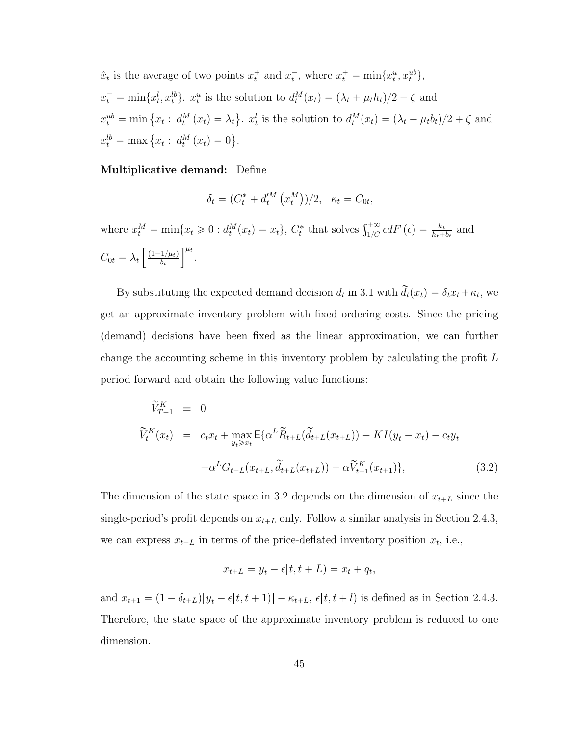$\hat{x}_t$  is the average of two points  $x_t^+$  and  $x_t^-$ , where  $x_t^+ = \min\{x_t^u, x_t^{ub}\},$  $x_t^- = \min\{x_t^l, x_t^{lb}\}\$ .  $x_t^u$  is the solution to  $d_t^M(x_t) = (\lambda_t + \mu_t h_t)/2 - \zeta$  and  $x_t^{ub} = \min \{x_t : d_t^M(x_t) = \lambda_t\}$ ( .  $x_t^l$  is the solution to  $d_t^M(x_t) = (\lambda_t - \mu_t b_t)/2 + \zeta$  and  $x_t^{lb} = \max \{x_t : d_t^M(x_t) = 0\}$ ( .

Multiplicative demand: Define

$$
\delta_t = (C_t^* + d_t^M(x_t^M))/2, \quad \kappa_t = C_{0t},
$$

where  $x_t^M = \min\{x_t \geq 0 : d_t^M(x_t) = x_t\}$ ,  $C_t^*$  that solves  $\int_{1/C}^{+\infty} \epsilon dF$  ( $\epsilon$ ) =  $\frac{h_t}{h_t + b_t}$  and  $C_{0t} = \lambda_t$ .<br>...  $(1{-}1/\mu_t)$  $b_t$  $\frac{1}{1}$ .

By substituting the expected demand decision  $d_t$  in [3.1](#page-57-0) with  $\tilde{d}_t(x_t) = \delta_t x_t + \kappa_t$ , we get an approximate inventory problem with fixed ordering costs. Since the pricing (demand) decisions have been fixed as the linear approximation, we can further change the accounting scheme in this inventory problem by calculating the profit L period forward and obtain the following value functions:

<span id="page-58-0"></span>
$$
\widetilde{V}_{T+1}^{K} \equiv 0
$$
\n
$$
\widetilde{V}_{t}^{K}(\overline{x}_{t}) = c_{t}\overline{x}_{t} + \max_{\overline{y}_{t} \geq \overline{x}_{t}} \mathsf{E}\{\alpha^{L}\widetilde{R}_{t+L}(\widetilde{d}_{t+L}(x_{t+L})) - KI(\overline{y}_{t} - \overline{x}_{t}) - c_{t}\overline{y}_{t}\}\
$$
\n
$$
-\alpha^{L}G_{t+L}(x_{t+L}, \widetilde{d}_{t+L}(x_{t+L})) + \alpha\widetilde{V}_{t+1}^{K}(\overline{x}_{t+1})\},
$$
\n(3.2)

The dimension of the state space in [3.2](#page-58-0) depends on the dimension of  $x_{t+L}$  since the single-period's profit depends on  $x_{t+L}$  only. Follow a similar analysis in Section [2.4.3,](#page-37-2) we can express  $x_{t+L}$  in terms of the price-deflated inventory position  $\overline{x}_t$ , i.e.,

$$
x_{t+L} = \overline{y}_t - \epsilon[t, t+L) = \overline{x}_t + q_t,
$$

and  $\overline{x}_{t+1} = (1 - \delta_{t+L}) [\overline{y}_t - \epsilon[t, t + 1)] - \kappa_{t+L}, \epsilon[t, t + l]$  is defined as in Section [2.4.3.](#page-37-2) Therefore, the state space of the approximate inventory problem is reduced to one dimension.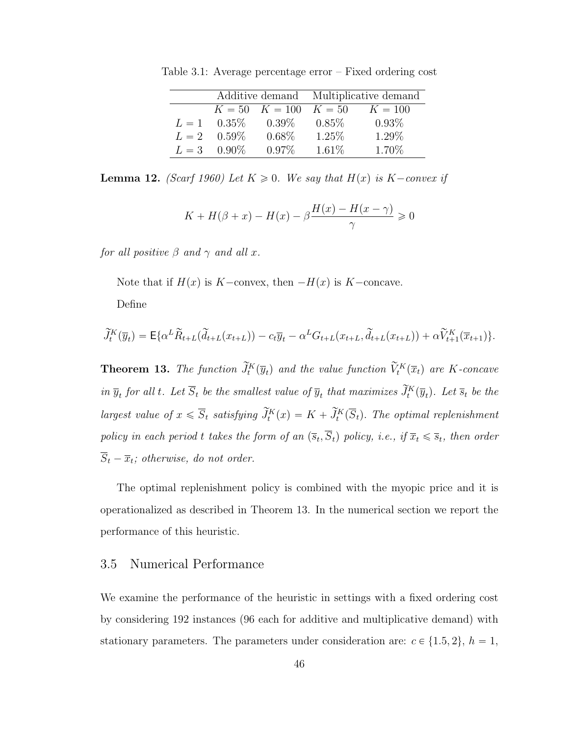<span id="page-59-1"></span>

|       |                      |                    | Additive demand Multiplicative demand |           |  |
|-------|----------------------|--------------------|---------------------------------------|-----------|--|
|       |                      | $K = 50$ $K = 100$ | $K = 50$                              | $K = 100$ |  |
| $L=1$ | $0.35\%$             | $0.39\%$           | $0.85\%$                              | $0.93\%$  |  |
|       | $L = 2 \quad 0.59\%$ | $0.68\%$           | $1.25\%$                              | 1.29%     |  |
| $L=3$ | $0.90\%$             | $0.97\%$           | $1.61\%$                              | 1.70\%    |  |

Table 3.1: Average percentage error – Fixed ordering cost

**Lemma 12.** (Scarf 1960) Let  $K \geq 0$ . We say that  $H(x)$  is  $K-convex$  if

$$
K + H(\beta + x) - H(x) - \beta \frac{H(x) - H(x - \gamma)}{\gamma} \ge 0
$$

for all positive  $\beta$  and  $\gamma$  and all x.

Note that if  $H(x)$  is K-convex, then  $-H(x)$  is K-concave.

Define

$$
\widetilde{J}_t^K(\overline{y}_t) = \mathsf{E}\{\alpha^L \widetilde{R}_{t+L}(\widetilde{d}_{t+L}(x_{t+L})) - c_t \overline{y}_t - \alpha^L G_{t+L}(x_{t+L}, \widetilde{d}_{t+L}(x_{t+L})) + \alpha \widetilde{V}_{t+1}^K(\overline{x}_{t+1})\}.
$$

<span id="page-59-0"></span>**Theorem 13.** The function  $\tilde{J}_t^K(\overline{y}_t)$  and the value function  $\tilde{V}_t^K(\overline{x}_t)$  are K-concave in  $\overline{y}_t$  for all t. Let  $\overline{S}_t$  be the smallest value of  $\overline{y}_t$  that maximizes  $\widetilde{J}_t^K(\overline{y}_t)$ . Let  $\overline{s}_t$  be the largest value of  $x \leq \overline{S}_t$  satisfying  $\widetilde{J}_t^K(x) = K + \widetilde{J}_t^K(\overline{S}_t)$ . The optimal replenishment policy in each period t takes the form of an  $(\overline{s}_t, S_t)$  policy, i.e., if  $\overline{x}_t \leq \overline{s}_t$ , then order  $S_t - \overline{x}_t$ ; otherwise, do not order.

The optimal replenishment policy is combined with the myopic price and it is operationalized as described in Theorem [13.](#page-59-0) In the numerical section we report the performance of this heuristic.

# 3.5 Numerical Performance

We examine the performance of the heuristic in settings with a fixed ordering cost by considering 192 instances (96 each for additive and multiplicative demand) with stationary parameters. The parameters under consideration are:  $c \in \{1.5, 2\}, h = 1$ ,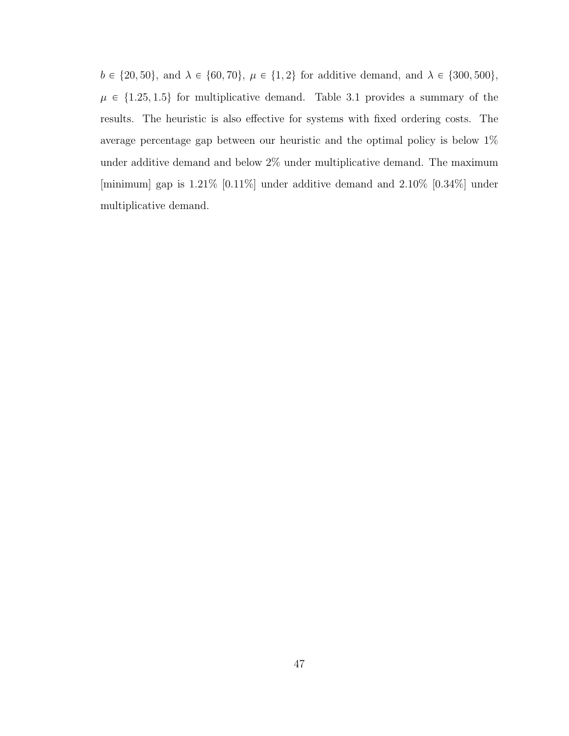$b \in \{20, 50\}$ , and  $\lambda \in \{60, 70\}$ ,  $\mu \in \{1, 2\}$  for additive demand, and  $\lambda \in \{300, 500\}$ ,  $\mu \in \{1.25, 1.5\}$  for multiplicative demand. Table [3.1](#page-59-1) provides a summary of the results. The heuristic is also effective for systems with fixed ordering costs. The average percentage gap between our heuristic and the optimal policy is below 1% under additive demand and below 2% under multiplicative demand. The maximum [minimum] gap is  $1.21\%$  [0.11%] under additive demand and  $2.10\%$  [0.34%] under multiplicative demand.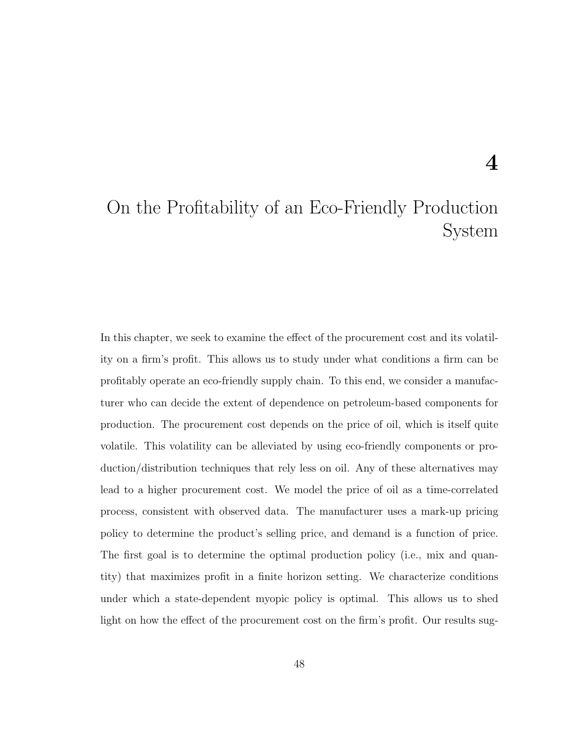# On the Profitability of an Eco-Friendly Production System

In this chapter, we seek to examine the effect of the procurement cost and its volatility on a firm's profit. This allows us to study under what conditions a firm can be profitably operate an eco-friendly supply chain. To this end, we consider a manufacturer who can decide the extent of dependence on petroleum-based components for production. The procurement cost depends on the price of oil, which is itself quite volatile. This volatility can be alleviated by using eco-friendly components or production/distribution techniques that rely less on oil. Any of these alternatives may lead to a higher procurement cost. We model the price of oil as a time-correlated process, consistent with observed data. The manufacturer uses a mark-up pricing policy to determine the product's selling price, and demand is a function of price. The first goal is to determine the optimal production policy (i.e., mix and quantity) that maximizes profit in a finite horizon setting. We characterize conditions under which a state-dependent myopic policy is optimal. This allows us to shed light on how the effect of the procurement cost on the firm's profit. Our results sug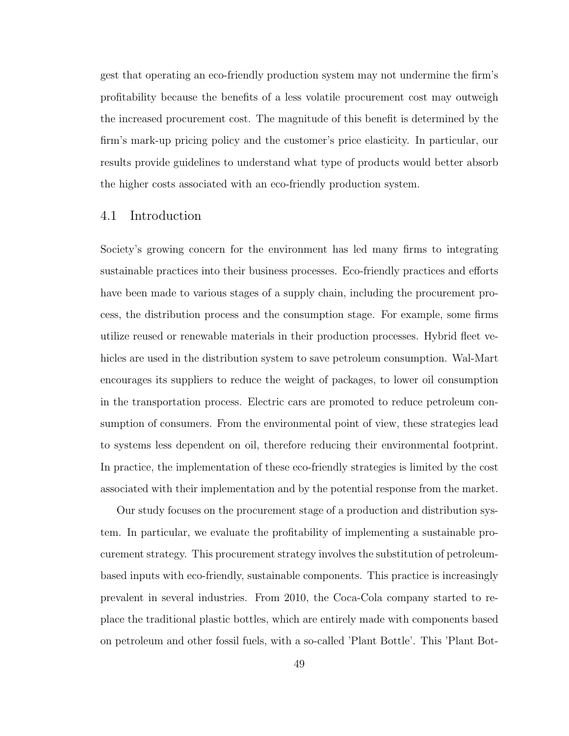gest that operating an eco-friendly production system may not undermine the firm's profitability because the benefits of a less volatile procurement cost may outweigh the increased procurement cost. The magnitude of this benefit is determined by the firm's mark-up pricing policy and the customer's price elasticity. In particular, our results provide guidelines to understand what type of products would better absorb the higher costs associated with an eco-friendly production system.

### 4.1 Introduction

Society's growing concern for the environment has led many firms to integrating sustainable practices into their business processes. Eco-friendly practices and efforts have been made to various stages of a supply chain, including the procurement process, the distribution process and the consumption stage. For example, some firms utilize reused or renewable materials in their production processes. Hybrid fleet vehicles are used in the distribution system to save petroleum consumption. Wal-Mart encourages its suppliers to reduce the weight of packages, to lower oil consumption in the transportation process. Electric cars are promoted to reduce petroleum consumption of consumers. From the environmental point of view, these strategies lead to systems less dependent on oil, therefore reducing their environmental footprint. In practice, the implementation of these eco-friendly strategies is limited by the cost associated with their implementation and by the potential response from the market.

Our study focuses on the procurement stage of a production and distribution system. In particular, we evaluate the profitability of implementing a sustainable procurement strategy. This procurement strategy involves the substitution of petroleumbased inputs with eco-friendly, sustainable components. This practice is increasingly prevalent in several industries. From 2010, the Coca-Cola company started to replace the traditional plastic bottles, which are entirely made with components based on petroleum and other fossil fuels, with a so-called 'Plant Bottle'. This 'Plant Bot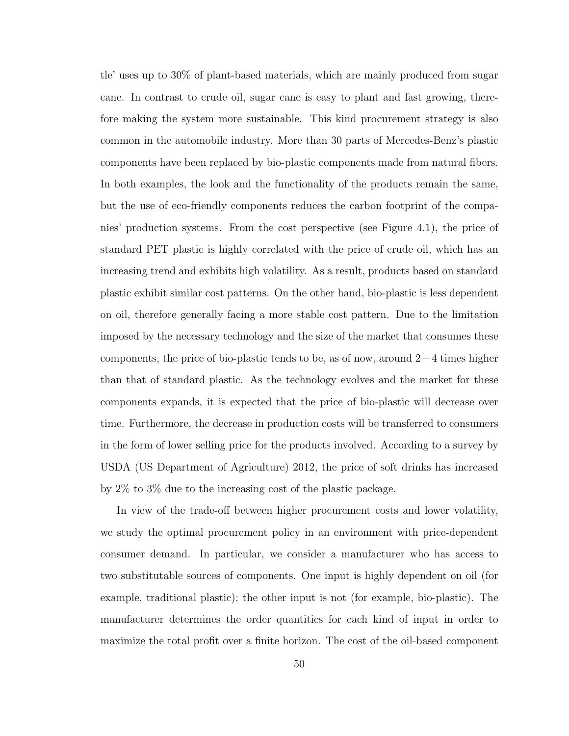tle' uses up to 30% of plant-based materials, which are mainly produced from sugar cane. In contrast to crude oil, sugar cane is easy to plant and fast growing, therefore making the system more sustainable. This kind procurement strategy is also common in the automobile industry. More than 30 parts of Mercedes-Benz's plastic components have been replaced by bio-plastic components made from natural fibers. In both examples, the look and the functionality of the products remain the same, but the use of eco-friendly components reduces the carbon footprint of the companies' production systems. From the cost perspective (see Figure [4.1\)](#page-64-0), the price of standard PET plastic is highly correlated with the price of crude oil, which has an increasing trend and exhibits high volatility. As a result, products based on standard plastic exhibit similar cost patterns. On the other hand, bio-plastic is less dependent on oil, therefore generally facing a more stable cost pattern. Due to the limitation imposed by the necessary technology and the size of the market that consumes these components, the price of bio-plastic tends to be, as of now, around  $2-4$  times higher than that of standard plastic. As the technology evolves and the market for these components expands, it is expected that the price of bio-plastic will decrease over time. Furthermore, the decrease in production costs will be transferred to consumers in the form of lower selling price for the products involved. According to a survey by USDA (US Department of Agriculture) 2012, the price of soft drinks has increased by 2% to 3% due to the increasing cost of the plastic package.

In view of the trade-off between higher procurement costs and lower volatility, we study the optimal procurement policy in an environment with price-dependent consumer demand. In particular, we consider a manufacturer who has access to two substitutable sources of components. One input is highly dependent on oil (for example, traditional plastic); the other input is not (for example, bio-plastic). The manufacturer determines the order quantities for each kind of input in order to maximize the total profit over a finite horizon. The cost of the oil-based component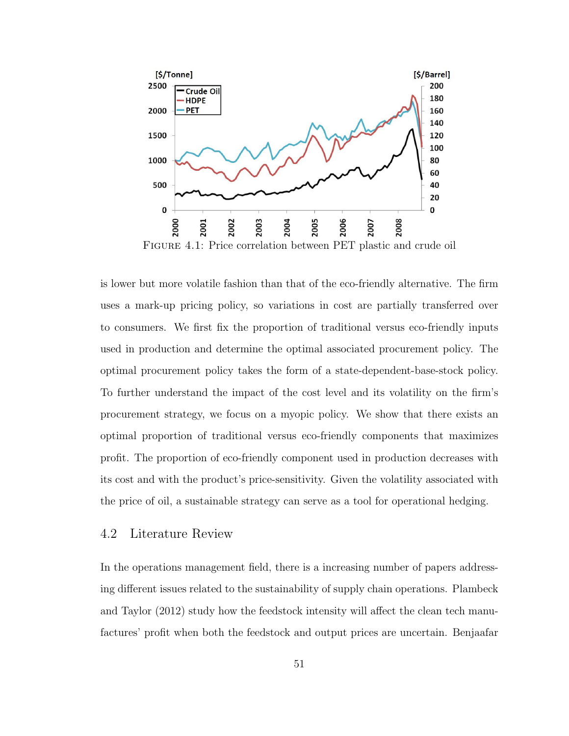

<span id="page-64-0"></span>Figure 4.1: Price correlation between PET plastic and crude oil

is lower but more volatile fashion than that of the eco-friendly alternative. The firm uses a mark-up pricing policy, so variations in cost are partially transferred over to consumers. We first fix the proportion of traditional versus eco-friendly inputs used in production and determine the optimal associated procurement policy. The optimal procurement policy takes the form of a state-dependent-base-stock policy. To further understand the impact of the cost level and its volatility on the firm's procurement strategy, we focus on a myopic policy. We show that there exists an optimal proportion of traditional versus eco-friendly components that maximizes profit. The proportion of eco-friendly component used in production decreases with its cost and with the product's price-sensitivity. Given the volatility associated with the price of oil, a sustainable strategy can serve as a tool for operational hedging.

## 4.2 Literature Review

In the operations management field, there is a increasing number of papers addressing different issues related to the sustainability of supply chain operations. Plambeck and Taylor (2012) study how the feedstock intensity will affect the clean tech manufactures' profit when both the feedstock and output prices are uncertain. Benjaafar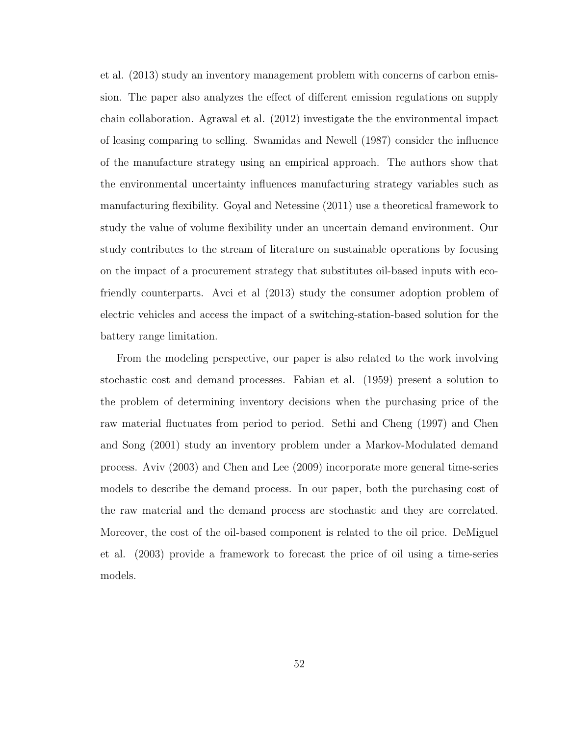et al. (2013) study an inventory management problem with concerns of carbon emission. The paper also analyzes the effect of different emission regulations on supply chain collaboration. Agrawal et al. (2012) investigate the the environmental impact of leasing comparing to selling. Swamidas and Newell (1987) consider the influence of the manufacture strategy using an empirical approach. The authors show that the environmental uncertainty influences manufacturing strategy variables such as manufacturing flexibility. Goyal and Netessine (2011) use a theoretical framework to study the value of volume flexibility under an uncertain demand environment. Our study contributes to the stream of literature on sustainable operations by focusing on the impact of a procurement strategy that substitutes oil-based inputs with ecofriendly counterparts. Avci et al (2013) study the consumer adoption problem of electric vehicles and access the impact of a switching-station-based solution for the battery range limitation.

From the modeling perspective, our paper is also related to the work involving stochastic cost and demand processes. Fabian et al. (1959) present a solution to the problem of determining inventory decisions when the purchasing price of the raw material fluctuates from period to period. Sethi and Cheng (1997) and Chen and Song (2001) study an inventory problem under a Markov-Modulated demand process. Aviv (2003) and Chen and Lee (2009) incorporate more general time-series models to describe the demand process. In our paper, both the purchasing cost of the raw material and the demand process are stochastic and they are correlated. Moreover, the cost of the oil-based component is related to the oil price. DeMiguel et al. (2003) provide a framework to forecast the price of oil using a time-series models.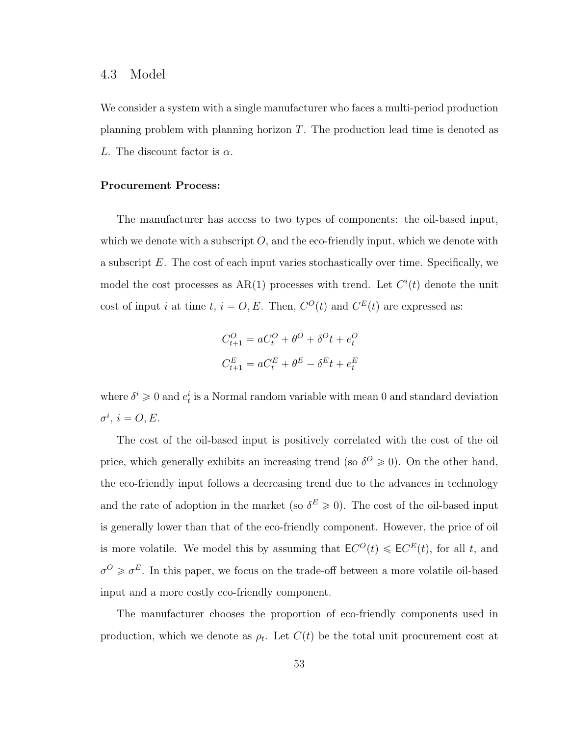#### <span id="page-66-0"></span>4.3 Model

We consider a system with a single manufacturer who faces a multi-period production planning problem with planning horizon  $T$ . The production lead time is denoted as L. The discount factor is  $\alpha$ .

#### Procurement Process:

The manufacturer has access to two types of components: the oil-based input, which we denote with a subscript  $O$ , and the eco-friendly input, which we denote with a subscript E. The cost of each input varies stochastically over time. Specifically, we model the cost processes as  $AR(1)$  processes with trend. Let  $C<sup>i</sup>(t)$  denote the unit cost of input i at time t,  $i = O, E$ . Then,  $C^{O}(t)$  and  $C^{E}(t)$  are expressed as:

$$
C_{t+1}^O = aC_t^O + \theta^O + \delta^O t + e_t^O
$$
  

$$
C_{t+1}^E = aC_t^E + \theta^E - \delta^E t + e_t^E
$$

where  $\delta^i \geq 0$  and  $e_t^i$  is a Normal random variable with mean 0 and standard deviation  $\sigma^i, i = O, E.$ 

The cost of the oil-based input is positively correlated with the cost of the oil price, which generally exhibits an increasing trend (so  $\delta^O \geq 0$ ). On the other hand, the eco-friendly input follows a decreasing trend due to the advances in technology and the rate of adoption in the market (so  $\delta^E \geq 0$ ). The cost of the oil-based input is generally lower than that of the eco-friendly component. However, the price of oil is more volatile. We model this by assuming that  $\mathsf{E} C^O(t) \leq \mathsf{E} C^E(t)$ , for all t, and  $\sigma^O \geq \sigma^E$ . In this paper, we focus on the trade-off between a more volatile oil-based input and a more costly eco-friendly component.

The manufacturer chooses the proportion of eco-friendly components used in production, which we denote as  $\rho_t$ . Let  $C(t)$  be the total unit procurement cost at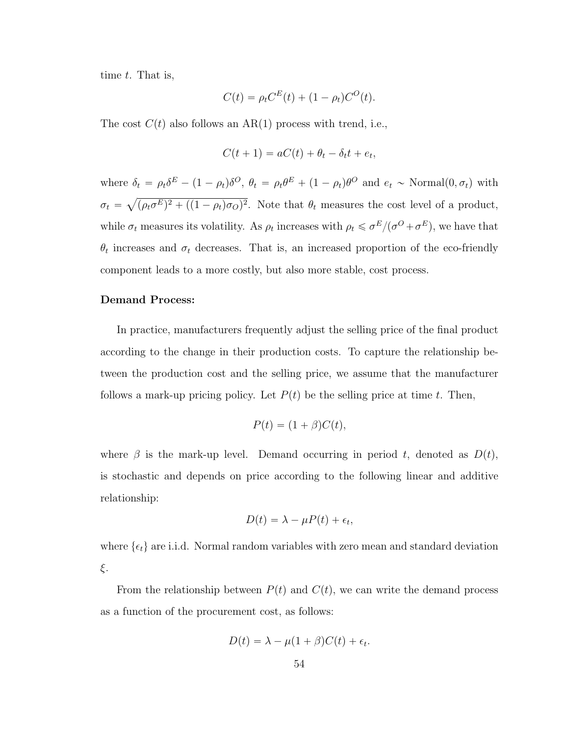time  $t$ . That is,

$$
C(t) = \rho_t C^{E}(t) + (1 - \rho_t) C^{O}(t).
$$

The cost  $C(t)$  also follows an AR(1) process with trend, i.e.,

$$
C(t+1) = aC(t) + \theta_t - \delta_t t + e_t,
$$

where  $\delta_t = \rho_t \delta^E - (1 - \rho_t) \delta^O$ ,  $\theta_t = \rho_t \theta^E + (1 - \rho_t) \theta^O$  and  $e_t \sim \text{Normal}(0, \sigma_t)$  with  $\sigma_t =$  $(\rho_t \sigma^E)^2 + ((1 - \rho_t) \sigma_O)^2$ . Note that  $\theta_t$  measures the cost level of a product, while  $\sigma_t$  measures its volatility. As  $\rho_t$  increases with  $\rho_t \leq \sigma^E/(\sigma^O + \sigma^E)$ , we have that  $\theta_t$  increases and  $\sigma_t$  decreases. That is, an increased proportion of the eco-friendly component leads to a more costly, but also more stable, cost process.

#### Demand Process:

In practice, manufacturers frequently adjust the selling price of the final product according to the change in their production costs. To capture the relationship between the production cost and the selling price, we assume that the manufacturer follows a mark-up pricing policy. Let  $P(t)$  be the selling price at time t. Then,

$$
P(t) = (1 + \beta)C(t),
$$

where  $\beta$  is the mark-up level. Demand occurring in period t, denoted as  $D(t)$ , is stochastic and depends on price according to the following linear and additive relationship:

$$
D(t) = \lambda - \mu P(t) + \epsilon_t,
$$

where  $\{\epsilon_t\}$  are i.i.d. Normal random variables with zero mean and standard deviation ξ.

From the relationship between  $P(t)$  and  $C(t)$ , we can write the demand process as a function of the procurement cost, as follows:

$$
D(t) = \lambda - \mu(1+\beta)C(t) + \epsilon_t.
$$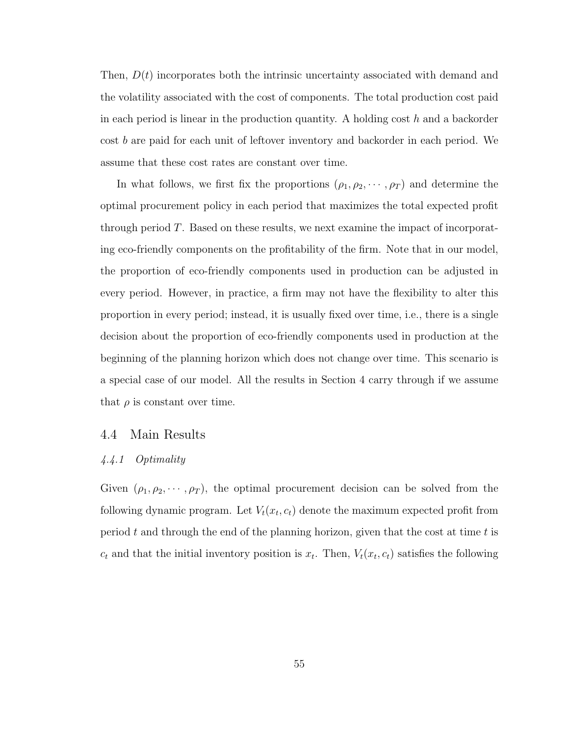Then,  $D(t)$  incorporates both the intrinsic uncertainty associated with demand and the volatility associated with the cost of components. The total production cost paid in each period is linear in the production quantity. A holding cost  $h$  and a backorder cost b are paid for each unit of leftover inventory and backorder in each period. We assume that these cost rates are constant over time.

In what follows, we first fix the proportions  $(\rho_1, \rho_2, \dots, \rho_T)$  and determine the optimal procurement policy in each period that maximizes the total expected profit through period T. Based on these results, we next examine the impact of incorporating eco-friendly components on the profitability of the firm. Note that in our model, the proportion of eco-friendly components used in production can be adjusted in every period. However, in practice, a firm may not have the flexibility to alter this proportion in every period; instead, it is usually fixed over time, i.e., there is a single decision about the proportion of eco-friendly components used in production at the beginning of the planning horizon which does not change over time. This scenario is a special case of our model. All the results in Section 4 carry through if we assume that  $\rho$  is constant over time.

### 4.4 Main Results

#### 4.4.1 Optimality

Given  $(\rho_1, \rho_2, \dots, \rho_T)$ , the optimal procurement decision can be solved from the following dynamic program. Let  $V_t(x_t, c_t)$  denote the maximum expected profit from period  $t$  and through the end of the planning horizon, given that the cost at time  $t$  is  $c_t$  and that the initial inventory position is  $x_t$ . Then,  $V_t(x_t, c_t)$  satisfies the following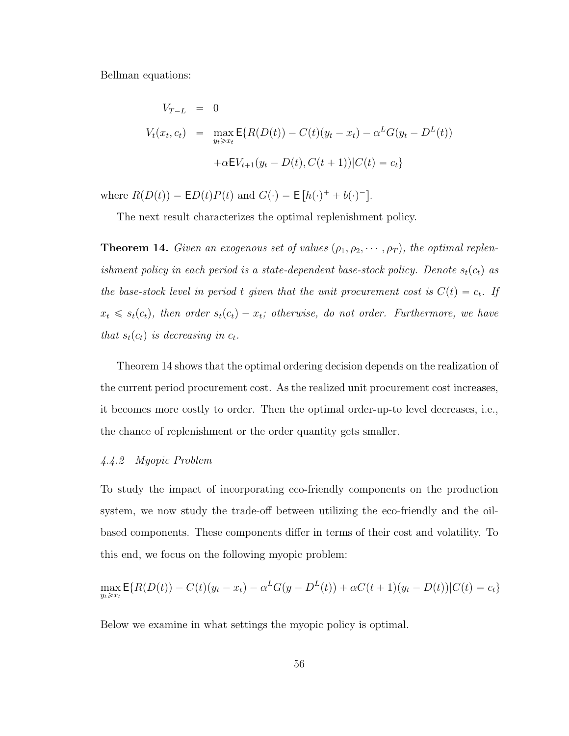Bellman equations:

$$
V_{T-L} = 0
$$
  
\n
$$
V_t(x_t, c_t) = \max_{y_t \ge x_t} E\{R(D(t)) - C(t)(y_t - x_t) - \alpha^L G(y_t - D^L(t))
$$
  
\n
$$
+ \alpha E V_{t+1}(y_t - D(t), C(t+1)) | C(t) = c_t \}
$$

where  $R(D(t)) = \mathsf{E}D(t)P(t)$  and  $G(\cdot) = \mathsf{E}[h(\cdot)^{+} + b(\cdot)^{-}]$ .

The next result characterizes the optimal replenishment policy.

<span id="page-69-0"></span>**Theorem 14.** Given an exogenous set of values  $(\rho_1, \rho_2, \dots, \rho_T)$ , the optimal replenishment policy in each period is a state-dependent base-stock policy. Denote  $s_t(c_t)$  as the base-stock level in period t given that the unit procurement cost is  $C(t) = c_t$ . If  $x_t \leq s_t(c_t)$ , then order  $s_t(c_t) - x_t$ ; otherwise, do not order. Furthermore, we have that  $s_t(c_t)$  is decreasing in  $c_t$ .

Theorem [14](#page-69-0) shows that the optimal ordering decision depends on the realization of the current period procurement cost. As the realized unit procurement cost increases, it becomes more costly to order. Then the optimal order-up-to level decreases, i.e., the chance of replenishment or the order quantity gets smaller.

## 4.4.2 Myopic Problem

To study the impact of incorporating eco-friendly components on the production system, we now study the trade-off between utilizing the eco-friendly and the oilbased components. These components differ in terms of their cost and volatility. To this end, we focus on the following myopic problem:

$$
\max_{y_t \ge x_t} \mathsf{E}\{R(D(t)) - C(t)(y_t - x_t) - \alpha^L G(y - D^L(t)) + \alpha C(t+1)(y_t - D(t))|C(t) = c_t\}
$$

Below we examine in what settings the myopic policy is optimal.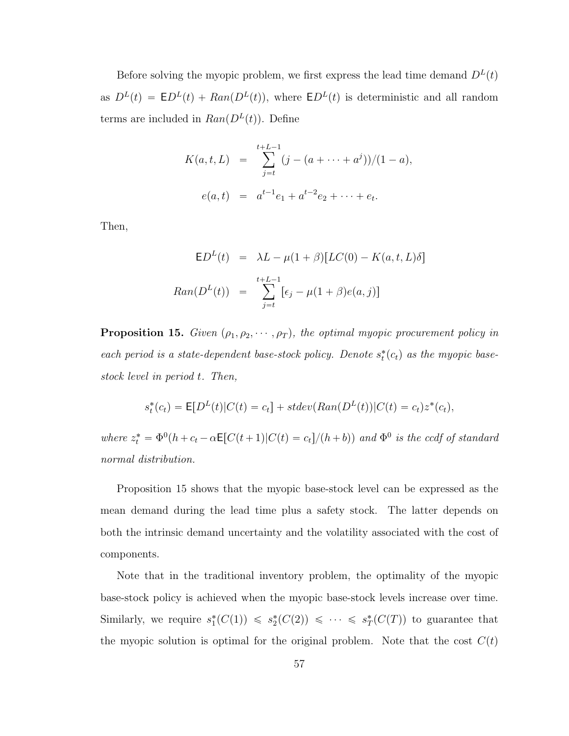Before solving the myopic problem, we first express the lead time demand  $D<sup>L</sup>(t)$ as  $D^{L}(t) = \mathsf{E}D^{L}(t) + Ran(D^{L}(t)),$  where  $\mathsf{E}D^{L}(t)$  is deterministic and all random terms are included in  $Ran(D^{L}(t))$ . Define

$$
K(a, t, L) = \sum_{j=t}^{t+L-1} (j - (a + \dots + a^{j}))/(1 - a),
$$
  
 
$$
e(a, t) = a^{t-1}e_1 + a^{t-2}e_2 + \dots + e_t.
$$

Then,

$$
\mathsf{E}D^{L}(t) = \lambda L - \mu(1+\beta)[LC(0) - K(a, t, L)\delta]
$$

$$
Ran(D^{L}(t)) = \sum_{j=t}^{t+L-1} [\epsilon_{j} - \mu(1+\beta)e(a, j)]
$$

<span id="page-70-0"></span>**Proposition 15.** Given  $(\rho_1, \rho_2, \dots, \rho_T)$ , the optimal myopic procurement policy in each period is a state-dependent base-stock policy. Denote  $s_t^*(c_t)$  as the myopic basestock level in period t. Then,

$$
s_t^*(c_t) = \mathsf{E}[D^L(t)|C(t) = c_t] + stdev(Ran(D^L(t))|C(t) = c_t)z^*(c_t),
$$

where  $z_t^* = \Phi^0(h + c_t - \alpha \mathsf{E}[C(t+1)|C(t) = c_t]/(h + b))$  and  $\Phi^0$  is the ccdf of standard normal distribution.

Proposition [15](#page-70-0) shows that the myopic base-stock level can be expressed as the mean demand during the lead time plus a safety stock. The latter depends on both the intrinsic demand uncertainty and the volatility associated with the cost of components.

Note that in the traditional inventory problem, the optimality of the myopic base-stock policy is achieved when the myopic base-stock levels increase over time. Similarly, we require  $s_1^*(C(1)) \leq s_2^*(C(2)) \leq \cdots \leq s_T^*(C(T))$  to guarantee that the myopic solution is optimal for the original problem. Note that the cost  $C(t)$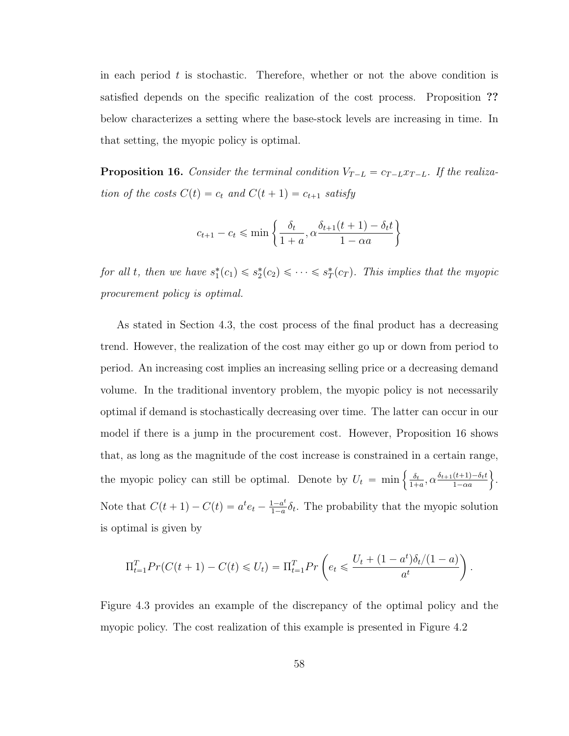in each period  $t$  is stochastic. Therefore, whether or not the above condition is satisfied depends on the specific realization of the cost process. Proposition ?? below characterizes a setting where the base-stock levels are increasing in time. In that setting, the myopic policy is optimal.

<span id="page-71-0"></span>**Proposition 16.** Consider the terminal condition  $V_{T-L} = c_{T-L}x_{T-L}$ . If the realization of the costs  $C(t) = c_t$  and  $C(t + 1) = c_{t+1}$  satisfy

$$
c_{t+1} - c_t \le \min\left\{\frac{\delta_t}{1+a}, \alpha \frac{\delta_{t+1}(t+1) - \delta_t t}{1-\alpha a}\right\}
$$

for all t, then we have  $s_1^*(c_1) \leqslant s_2^*(c_2) \leqslant \cdots \leqslant s_T^*(c_T)$ . This implies that the myopic procurement policy is optimal.

As stated in Section [4.3,](#page-66-0) the cost process of the final product has a decreasing trend. However, the realization of the cost may either go up or down from period to period. An increasing cost implies an increasing selling price or a decreasing demand volume. In the traditional inventory problem, the myopic policy is not necessarily optimal if demand is stochastically decreasing over time. The latter can occur in our model if there is a jump in the procurement cost. However, Proposition [16](#page-71-0) shows that, as long as the magnitude of the cost increase is constrained in a certain range, the myopic policy can still be optimal. Denote by  $U_t = \min \left\{ \frac{\delta_t}{1 + \delta_t} \right\}$  $\frac{\delta_t}{1+a}, \alpha \frac{\delta_{t+1}(t+1) - \delta_t t}{1-\alpha a}$  $\frac{(t+1)-\delta_t t}{1-\alpha a}$ . Note that  $C(t + 1) - C(t) = a^t e_t - \frac{1 - a^t}{1 - a}$  $\frac{1-a^{\iota}}{1-a} \delta_{t}$ . The probability that the myopic solution is optimal is given by

$$
\Pi_{t=1}^{T} Pr(C(t+1) - C(t) \leq U_t) = \Pi_{t=1}^{T} Pr\left(e_t \leq \frac{U_t + (1 - a^t)\delta_t/(1 - a)}{a^t}\right).
$$

Figure [4.3](#page-72-0) provides an example of the discrepancy of the optimal policy and the myopic policy. The cost realization of this example is presented in Figure [4.2](#page-72-1)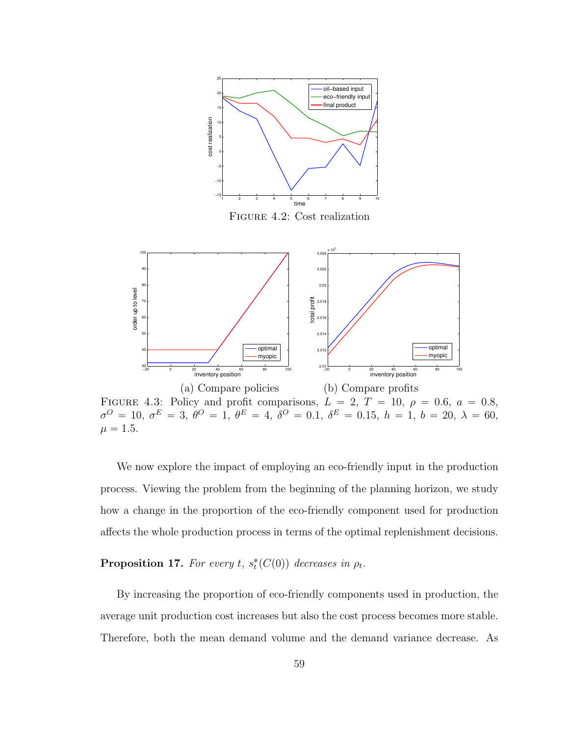

FIGURE 4.3: Policy and profit comparisons,  $L = 2, T = 10, \rho = 0.6, a = 0.8,$  $\sigma^O\,=\,10,\ \sigma^E\,=\,3,\ \theta^O\,=\,1,\ \theta^E\,=\,4,\ \delta^O\,=\,0.1,\ \delta^E\,=\,0.15,\ h\,=\,1,\ b\,=\,20,\ \lambda\,=\,60,$  $\mu = 1.5.$ 

We now explore the impact of employing an eco-friendly input in the production process. Viewing the problem from the beginning of the planning horizon, we study how a change in the proportion of the eco-friendly component used for production affects the whole production process in terms of the optimal replenishment decisions.

<span id="page-72-0"></span>**Proposition 17.** For every t,  $s_t^*(C(0))$  decreases in  $\rho_t$ .

By increasing the proportion of eco-friendly components used in production, the average unit production cost increases but also the cost process becomes more stable. Therefore, both the mean demand volume and the demand variance decrease. As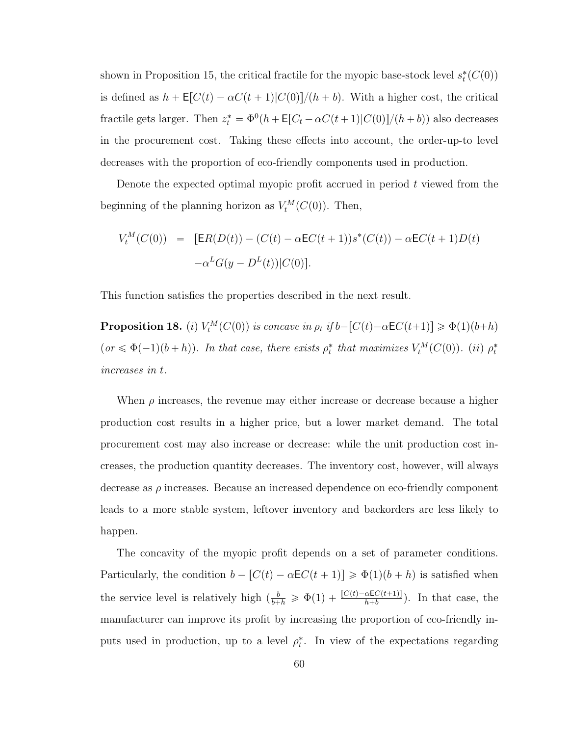shown in Proposition [15,](#page-70-0) the critical fractile for the myopic base-stock level  $s_t^*(C(0))$ is defined as  $h + \mathsf{E}[C(t) - \alpha C(t + 1)|C(0)]/(h + b)$ . With a higher cost, the critical fractile gets larger. Then  $z_t^* = \Phi^0(h + \mathsf{E}[C_t - \alpha C(t+1)|C(0)]/(h+b))$  also decreases in the procurement cost. Taking these effects into account, the order-up-to level decreases with the proportion of eco-friendly components used in production.

Denote the expected optimal myopic profit accrued in period  $t$  viewed from the beginning of the planning horizon as  $V_t^M(C(0))$ . Then,

$$
V_t^M(C(0)) = [ER(D(t)) - (C(t) - \alpha EC(t+1))s^*(C(t)) - \alpha EC(t+1)D(t) -\alpha^{L}G(y - D^{L}(t))|C(0)].
$$

This function satisfies the properties described in the next result.

<span id="page-73-0"></span>**Proposition 18.** (i)  $V_t^M(C(0))$  is concave in  $\rho_t$  if  $b - [C(t) - \alpha EC(t+1)] \ge \Phi(1)(b+h)$  $(or \leq \Phi(-1)(b+h))$ . In that case, there exists  $\rho_t^*$  that maximizes  $V_t^M(C(0))$ . (ii)  $\rho_t^*$ increases in t.

When  $\rho$  increases, the revenue may either increase or decrease because a higher production cost results in a higher price, but a lower market demand. The total procurement cost may also increase or decrease: while the unit production cost increases, the production quantity decreases. The inventory cost, however, will always decrease as  $\rho$  increases. Because an increased dependence on eco-friendly component leads to a more stable system, leftover inventory and backorders are less likely to happen.

The concavity of the myopic profit depends on a set of parameter conditions. Particularly, the condition  $b - [C(t) - \alpha \mathsf{E} C(t + 1)] \geq \Phi(1)(b + h)$  is satisfied when the service level is relatively high  $\left(\frac{b}{b+h} \geq \Phi(1) + \frac{[C(t) - \alpha \mathsf{E} C(t+1)]}{h+b}\right)$ . In that case, the manufacturer can improve its profit by increasing the proportion of eco-friendly inputs used in production, up to a level  $\rho_t^*$ . In view of the expectations regarding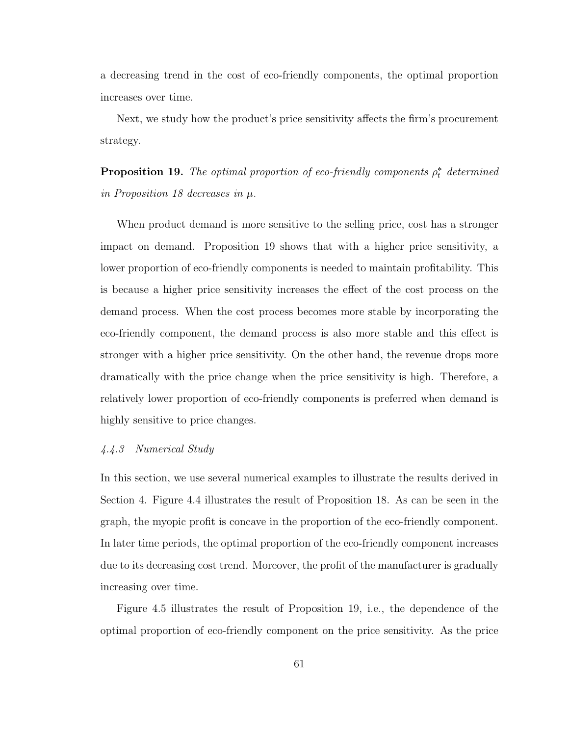a decreasing trend in the cost of eco-friendly components, the optimal proportion increases over time.

Next, we study how the product's price sensitivity affects the firm's procurement strategy.

<span id="page-74-0"></span>**Proposition 19.** The optimal proportion of eco-friendly components  $\rho_t^*$  determined in Proposition [18](#page-73-0) decreases in  $\mu$ .

When product demand is more sensitive to the selling price, cost has a stronger impact on demand. Proposition [19](#page-74-0) shows that with a higher price sensitivity, a lower proportion of eco-friendly components is needed to maintain profitability. This is because a higher price sensitivity increases the effect of the cost process on the demand process. When the cost process becomes more stable by incorporating the eco-friendly component, the demand process is also more stable and this effect is stronger with a higher price sensitivity. On the other hand, the revenue drops more dramatically with the price change when the price sensitivity is high. Therefore, a relatively lower proportion of eco-friendly components is preferred when demand is highly sensitive to price changes.

### 4.4.3 Numerical Study

In this section, we use several numerical examples to illustrate the results derived in Section 4. Figure [4.4](#page-75-0) illustrates the result of Proposition [18.](#page-73-0) As can be seen in the graph, the myopic profit is concave in the proportion of the eco-friendly component. In later time periods, the optimal proportion of the eco-friendly component increases due to its decreasing cost trend. Moreover, the profit of the manufacturer is gradually increasing over time.

Figure [4.5](#page-75-1) illustrates the result of Proposition [19,](#page-74-0) i.e., the dependence of the optimal proportion of eco-friendly component on the price sensitivity. As the price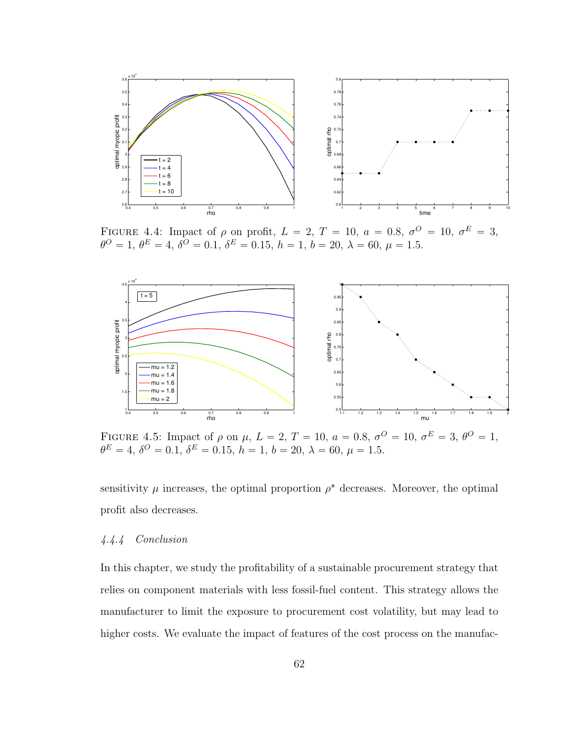

<span id="page-75-0"></span>FIGURE 4.4: Impact of  $\rho$  on profit,  $L = 2, T = 10, a = 0.8, \sigma^O = 10, \sigma^E = 3$ ,  $\theta^O = 1, \, \theta^E = 4, \, \delta^O = 0.1, \, \delta^E = 0.15, \, h = 1, \, b = 20, \, \lambda = 60, \, \mu = 1.5.$ 



<span id="page-75-1"></span>FIGURE 4.5: Impact of  $\rho$  on  $\mu$ ,  $L = 2$ ,  $T = 10$ ,  $a = 0.8$ ,  $\sigma^O = 10$ ,  $\sigma^E = 3$ ,  $\theta^O = 1$ ,  $\theta^E = 4, \delta^O = 0.1, \delta^E = 0.15, h = 1, b = 20, \lambda = 60, \mu = 1.5.$ 

sensitivity  $\mu$  increases, the optimal proportion  $\rho^*$  decreases. Moreover, the optimal profit also decreases.

### 4.4.4 Conclusion

In this chapter, we study the profitability of a sustainable procurement strategy that relies on component materials with less fossil-fuel content. This strategy allows the manufacturer to limit the exposure to procurement cost volatility, but may lead to higher costs. We evaluate the impact of features of the cost process on the manufac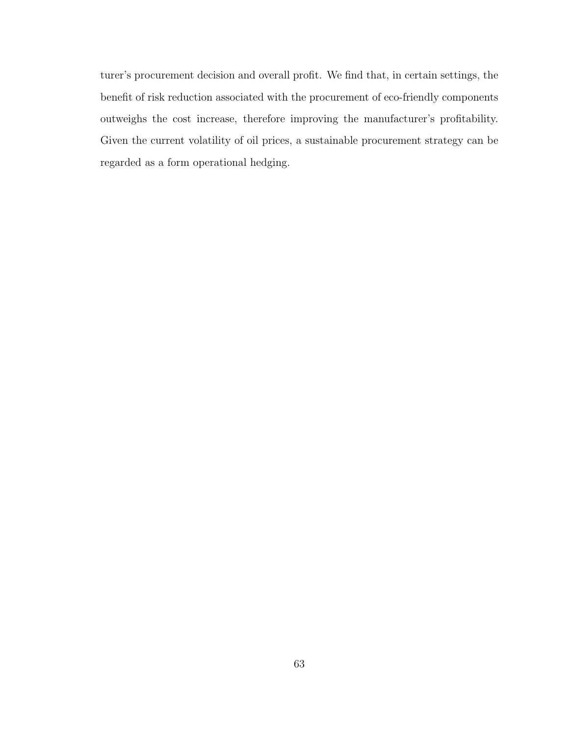turer's procurement decision and overall profit. We find that, in certain settings, the benefit of risk reduction associated with the procurement of eco-friendly components outweighs the cost increase, therefore improving the manufacturer's profitability. Given the current volatility of oil prices, a sustainable procurement strategy can be regarded as a form operational hedging.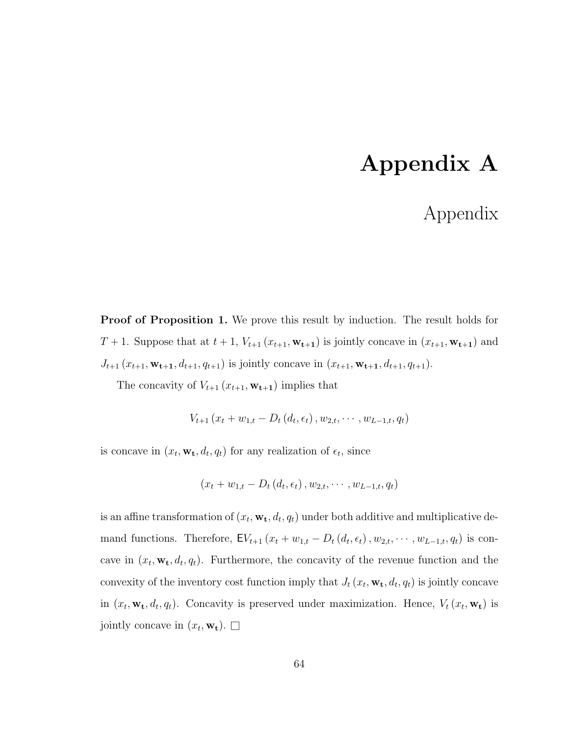# Appendix A

## Appendix

Proof of Proposition [1.](#page-29-0) We prove this result by induction. The result holds for  $T + 1$ . Suppose that at  $t + 1$ ,  $V_{t+1}$   $(x_{t+1}, \mathbf{w_{t+1}})$  is jointly concave in  $(x_{t+1}, \mathbf{w_{t+1}})$  and  $J_{t+1}$   $(x_{t+1}, \mathbf{w_{t+1}}, d_{t+1}, q_{t+1})$  is jointly concave in  $(x_{t+1}, \mathbf{w_{t+1}}, d_{t+1}, q_{t+1})$ .

The concavity of  $V_{t+1}$   $(x_{t+1}, \mathbf{w_{t+1}})$  implies that

$$
V_{t+1}(x_t + w_{1,t} - D_t(d_t, \epsilon_t), w_{2,t}, \cdots, w_{L-1,t}, q_t)
$$

is concave in  $(x_t, \mathbf{w_t}, d_t, q_t)$  for any realization of  $\epsilon_t$ , since

$$
(x_t + w_{1,t} - D_t(d_t, \epsilon_t), w_{2,t}, \cdots, w_{L-1,t}, q_t)
$$

is an affine transformation of  $(x_t, \mathbf{w_t}, d_t, q_t)$  under both additive and multiplicative demand functions. Therefore,  $\mathsf{E}V_{t+1}(x_t + w_{1,t} - D_t(d_t, \epsilon_t), w_{2,t}, \cdots, w_{L-1,t}, q_t)$  is concave in  $(x_t, \mathbf{w_t}, d_t, q_t)$ . Furthermore, the concavity of the revenue function and the convexity of the inventory cost function imply that  $J_t(x_t, \mathbf{w_t}, d_t, q_t)$  is jointly concave in  $(x_t, \mathbf{w_t}, d_t, q_t)$ . Concavity is preserved under maximization. Hence,  $V_t (x_t, \mathbf{w_t})$  is jointly concave in  $(x_t, \mathbf{w_t})$ .  $\Box$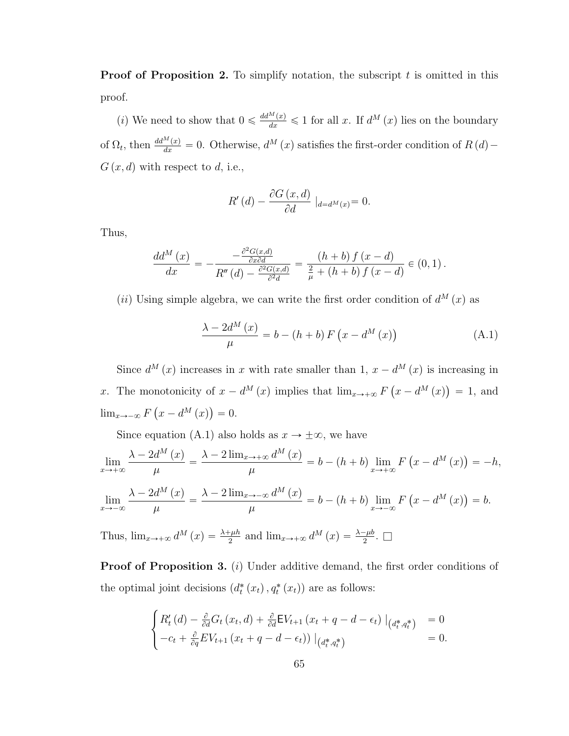**Proof of Proposition [2.](#page-30-0)** To simplify notation, the subscript  $t$  is omitted in this proof.

(*i*) We need to show that  $0 \n\leq \frac{dd^M(x)}{dx} \leq 1$  for all x. If  $d^M(x)$  lies on the boundary of  $\Omega_t$ , then  $\frac{dd^M(x)}{dx} = 0$ . Otherwise,  $d^M(x)$  satisfies the first-order condition of  $R(d)$  –  $G(x, d)$  with respect to d, i.e.,

$$
R'(d) - \frac{\partial G(x, d)}{\partial d} |_{d=d^M(x)} = 0.
$$

Thus,

$$
\frac{dd^{M}(x)}{dx} = -\frac{-\frac{\partial^{2}G(x,d)}{\partial x \partial d}}{R''(d) - \frac{\partial^{2}G(x,d)}{\partial d}} = \frac{(h+b) f(x-d)}{\frac{2}{\mu} + (h+b) f(x-d)} \in (0,1).
$$

(*ii*) Using simple algebra, we can write the first order condition of  $d^M(x)$  as

<span id="page-78-0"></span>
$$
\frac{\lambda - 2d^{M}(x)}{\mu} = b - (h + b) F(x - d^{M}(x))
$$
\n(A.1)

Since  $d^{M}(x)$  increases in x with rate smaller than 1,  $x - d^{M}(x)$  is increasing in x. The monotonicity of  $x - d^M(x)$  implies that  $\lim_{x \to +\infty} F$  $x - d^M(x)$  $= 1$ , and  $\lim_{x\to -\infty} F\left(x - d^M(x)\right) = 0.$  $\sim$ 

Since equation [\(A.1\)](#page-78-0) also holds as  $x \to \pm \infty$ , we have

$$
\lim_{x \to +\infty} \frac{\lambda - 2d^{M}(x)}{\mu} = \frac{\lambda - 2\lim_{x \to +\infty} d^{M}(x)}{\mu} = b - (h + b) \lim_{x \to +\infty} F(x - d^{M}(x)) = -h,
$$
  

$$
\lim_{x \to -\infty} \frac{\lambda - 2d^{M}(x)}{\mu} = \frac{\lambda - 2\lim_{x \to -\infty} d^{M}(x)}{\mu} = b - (h + b) \lim_{x \to -\infty} F(x - d^{M}(x)) = b.
$$

Thus,  $\lim_{x \to +\infty} d^M(x) = \frac{\lambda + \mu h}{2}$  and  $\lim_{x \to +\infty} d^M(x) = \frac{\lambda - \mu b}{2}$ .

**Proof of Proposition [3.](#page-31-0)** (i) Under additive demand, the first order conditions of the optimal joint decisions  $(d_t^*(x_t), q_t^*(x_t))$  are as follows:

$$
\begin{cases}\nR'_t(d) - \frac{\partial}{\partial d} G_t(x_t, d) + \frac{\partial}{\partial d} E V_{t+1}(x_t + q - d - \epsilon_t) \big|_{(d_t^*, q_t^*)} = 0 \\
-c_t + \frac{\partial}{\partial q} E V_{t+1}(x_t + q - d - \epsilon_t) \big|_{(d_t^*, q_t^*)}\n\end{cases} = 0.
$$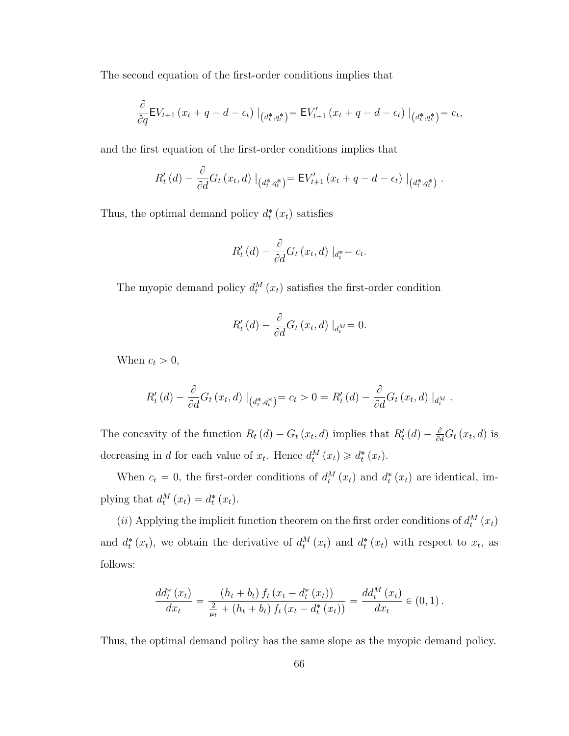The second equation of the first-order conditions implies that

$$
\frac{\partial}{\partial q} \mathsf{E} V_{t+1} \left( x_t + q - d - \epsilon_t \right) \big|_{\left( d^*_t, q^*_t \right)} = \mathsf{E} V'_{t+1} \left( x_t + q - d - \epsilon_t \right) \big|_{\left( d^*_t, q^*_t \right)} = c_t,
$$

and the first equation of the first-order conditions implies that

$$
R'_{t}(d) - \frac{\partial}{\partial d} G_{t}(x_{t}, d) |_{(d_{t}^{*}, q_{t}^{*})} = \mathsf{E} V'_{t+1}(x_{t} + q - d - \epsilon_{t}) |_{(d_{t}^{*}, q_{t}^{*})}.
$$

Thus, the optimal demand policy  $d_t^*(x_t)$  satisfies

$$
R'_t(d) - \frac{\partial}{\partial d}G_t(x_t, d) \mid_{d_t^*} = c_t.
$$

The myopic demand policy  $d_t^M(x_t)$  satisfies the first-order condition

$$
R'_t(d) - \frac{\partial}{\partial d} G_t(x_t, d) |_{d_t^M} = 0.
$$

When  $c_t > 0$ ,

$$
R'_t(d) - \frac{\partial}{\partial d} G_t(x_t, d) |_{(d_t^*, q_t^*)} = c_t > 0 = R'_t(d) - \frac{\partial}{\partial d} G_t(x_t, d) |_{d_t^M}.
$$

The concavity of the function  $R_t(d) - G_t(x_t, d)$  implies that  $R'_t(d) - \frac{\partial}{\partial d} G_t(x_t, d)$  is decreasing in *d* for each value of  $x_t$ . Hence  $d_t^M(x_t) \geq d_t^*(x_t)$ .

When  $c_t = 0$ , the first-order conditions of  $d_t^M(x_t)$  and  $d_t^*(x_t)$  are identical, implying that  $d_t^M(x_t) = d_t^*(x_t)$ .

(*ii*) Applying the implicit function theorem on the first order conditions of  $d_t^M(x_t)$ and  $d_t^*(x_t)$ , we obtain the derivative of  $d_t^M(x_t)$  and  $d_t^*(x_t)$  with respect to  $x_t$ , as follows:

$$
\frac{dd_t^*(x_t)}{dx_t} = \frac{(h_t + b_t) f_t (x_t - d_t^*(x_t))}{\frac{2}{\mu_t} + (h_t + b_t) f_t (x_t - d_t^*(x_t))} = \frac{dd_t^M (x_t)}{dx_t} \in (0, 1).
$$

Thus, the optimal demand policy has the same slope as the myopic demand policy.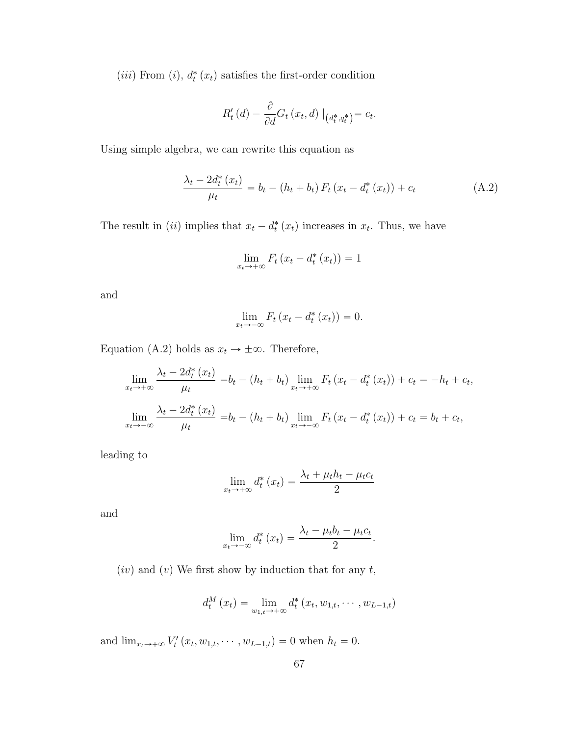(*iii*) From (*i*),  $d_t^*(x_t)$  satisfies the first-order condition

$$
R'_t(d) - \frac{\partial}{\partial d} G_t(x_t, d) |_{(d_t^*, q_t^*)} = c_t.
$$

Using simple algebra, we can rewrite this equation as

<span id="page-80-0"></span>
$$
\frac{\lambda_t - 2d_t^*(x_t)}{\mu_t} = b_t - (h_t + b_t) F_t (x_t - d_t^*(x_t)) + c_t
$$
\n(A.2)

The result in (*ii*) implies that  $x_t - d_t^*(x_t)$  increases in  $x_t$ . Thus, we have

$$
\lim_{x_t \to +\infty} F_t \left( x_t - d_t^* \left( x_t \right) \right) = 1
$$

and

$$
\lim_{x_t \to -\infty} F_t \left( x_t - d_t^* \left( x_t \right) \right) = 0.
$$

Equation [\(A.2\)](#page-80-0) holds as  $x_t \to \pm \infty$ . Therefore,

$$
\lim_{x_t \to +\infty} \frac{\lambda_t - 2d_t^*(x_t)}{\mu_t} = b_t - (h_t + b_t) \lim_{x_t \to +\infty} F_t (x_t - d_t^*(x_t)) + c_t = -h_t + c_t,
$$
\n
$$
\lim_{x_t \to -\infty} \frac{\lambda_t - 2d_t^*(x_t)}{\mu_t} = b_t - (h_t + b_t) \lim_{x_t \to -\infty} F_t (x_t - d_t^*(x_t)) + c_t = b_t + c_t,
$$

leading to

$$
\lim_{x_t \to +\infty} d_t^* (x_t) = \frac{\lambda_t + \mu_t h_t - \mu_t c_t}{2}
$$

and

$$
\lim_{x_t \to -\infty} d_t^* (x_t) = \frac{\lambda_t - \mu_t b_t - \mu_t c_t}{2}.
$$

 $(iv)$  and  $(v)$  We first show by induction that for any t,

$$
d_t^M(x_t) = \lim_{w_{1,t} \to +\infty} d_t^* (x_t, w_{1,t}, \cdots, w_{L-1,t})
$$

and  $\lim_{x_t \to +\infty} V'_t(x_t, w_{1,t}, \cdots, w_{L-1,t}) = 0$  when  $h_t = 0$ .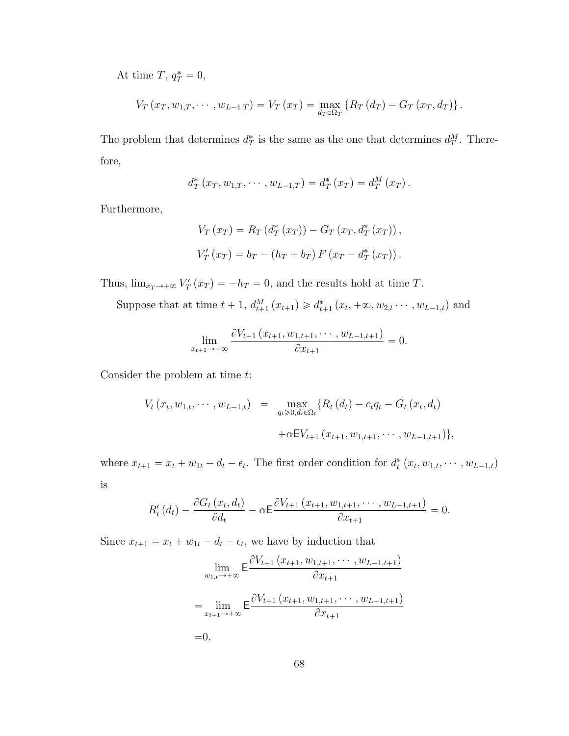At time T,  $q_T^* = 0$ ,

$$
V_T(x_T, w_{1,T}, \cdots, w_{L-1,T}) = V_T(x_T) = \max_{d_T \in \Omega_T} \{ R_T(d_T) - G_T(x_T, d_T) \}.
$$

The problem that determines  $d^*_T$  is the same as the one that determines  $d^M_T$ . Therefore,

$$
d_T^* (x_T, w_{1,T}, \cdots, w_{L-1,T}) = d_T^* (x_T) = d_T^M (x_T).
$$

Furthermore,

$$
V_T (x_T) = R_T (d_T^* (x_T)) - G_T (x_T, d_T^* (x_T)),
$$
  

$$
V'_T (x_T) = b_T - (h_T + b_T) F (x_T - d_T^* (x_T)).
$$

Thus,  $\lim_{x_T \to +\infty} V'_T(x_T) = -h_T = 0$ , and the results hold at time T.

Suppose that at time  $t + 1$ ,  $d_{t+1}^M(x_{t+1}) \ge d_{t+1}^*(x_t, +\infty, w_{2,t} \cdots, w_{L-1,t})$  and

$$
\lim_{x_{t+1}\to+\infty} \frac{\partial V_{t+1}(x_{t+1},w_{1,t+1},\cdots,w_{L-1,t+1})}{\partial x_{t+1}}=0.
$$

Consider the problem at time t:

$$
V_t(x_t, w_{1,t}, \cdots, w_{L-1,t}) = \max_{q_t \geq 0, d_t \in \Omega_t} \{ R_t(d_t) - c_t q_t - G_t(x_t, d_t) + \alpha E V_{t+1}(x_{t+1}, w_{1,t+1}, \cdots, w_{L-1,t+1}) \},
$$

where  $x_{t+1} = x_t + w_{1t} - d_t - \epsilon_t$ . The first order condition for  $d_t^*(x_t, w_{1,t}, \dots, w_{L-1,t})$ is

$$
R'_{t}(d_{t}) - \frac{\partial G_{t}(x_{t}, d_{t})}{\partial d_{t}} - \alpha \mathsf{E} \frac{\partial V_{t+1}(x_{t+1}, w_{1,t+1}, \cdots, w_{L-1,t+1})}{\partial x_{t+1}} = 0.
$$

Since  $x_{t+1} = x_t + w_{1t} - d_t - \epsilon_t$ , we have by induction that

$$
\lim_{w_{1,t}\to+\infty} \mathsf{E} \frac{\partial V_{t+1}(x_{t+1}, w_{1,t+1}, \cdots, w_{L-1,t+1})}{\partial x_{t+1}}
$$
\n
$$
= \lim_{x_{t+1}\to+\infty} \mathsf{E} \frac{\partial V_{t+1}(x_{t+1}, w_{1,t+1}, \cdots, w_{L-1,t+1})}{\partial x_{t+1}}
$$
\n=0.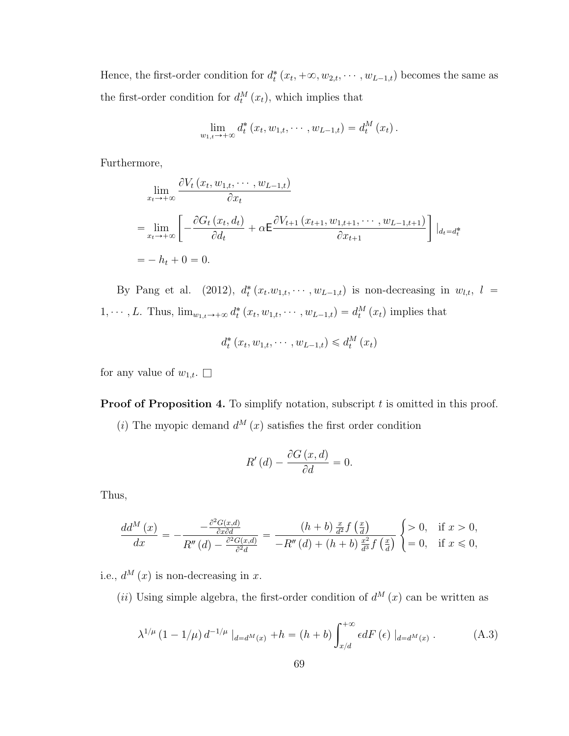Hence, the first-order condition for  $d_t^*(x_t, +\infty, w_{2,t}, \dots, w_{L-1,t})$  becomes the same as the first-order condition for  $d_t^M(x_t)$ , which implies that

$$
\lim_{w_{1,t}\to +\infty} d_t^* (x_t, w_{1,t}, \cdots, w_{L-1,t}) = d_t^M (x_t).
$$

Furthermore,

$$
\lim_{x_t \to +\infty} \frac{\partial V_t(x_t, w_{1,t}, \cdots, w_{L-1,t})}{\partial x_t}
$$
\n
$$
= \lim_{x_t \to +\infty} \left[ -\frac{\partial G_t(x_t, d_t)}{\partial d_t} + \alpha \mathsf{E} \frac{\partial V_{t+1}(x_{t+1}, w_{1,t+1}, \cdots, w_{L-1,t+1})}{\partial x_{t+1}} \right] |_{d_t = d_t^*}
$$
\n
$$
= -h_t + 0 = 0.
$$

By Pang et al. (2012),  $d_t^*(x_t \cdot w_{1,t}, \cdots, w_{L-1,t})$  is non-decreasing in  $w_{l,t}$ ,  $l =$  $1, \dots, L$ . Thus,  $\lim_{w_{1,t}\to+\infty} d_t^* (x_t, w_{1,t}, \dots, w_{L-1,t}) = d_t^M (x_t)$  implies that

$$
d_t^*(x_t, w_{1,t}, \cdots, w_{L-1,t}) \leq d_t^M(x_t)
$$

for any value of  $w_{1,t}$ .  $\Box$ 

**Proof of Proposition [4.](#page-32-0)** To simplify notation, subscript t is omitted in this proof.

(i) The myopic demand  $d^M(x)$  satisfies the first order condition

$$
R'(d) - \frac{\partial G(x, d)}{\partial d} = 0.
$$

Thus,

$$
\frac{dd^{M}(x)}{dx} = -\frac{-\frac{\partial^{2}G(x,d)}{\partial x \partial d}}{R''(d) - \frac{\partial^{2}G(x,d)}{\partial x^{2}d}} = \frac{(h+b)\frac{x}{d^{2}}f\left(\frac{x}{d}\right)}{-R''(d) + (h+b)\frac{x^{2}}{d^{3}}f\left(\frac{x}{d}\right)} \begin{cases} > 0, & \text{if } x > 0, \\ = 0, & \text{if } x \leq 0, \end{cases}
$$

i.e.,  $d^M(x)$  is non-decreasing in x.

(*ii*) Using simple algebra, the first-order condition of  $d^{M}(x)$  can be written as

<span id="page-82-0"></span>
$$
\lambda^{1/\mu} (1 - 1/\mu) d^{-1/\mu} |_{d = d^M(x)} + h = (h + b) \int_{x/d}^{+\infty} \epsilon dF(\epsilon) |_{d = d^M(x)}.
$$
 (A.3)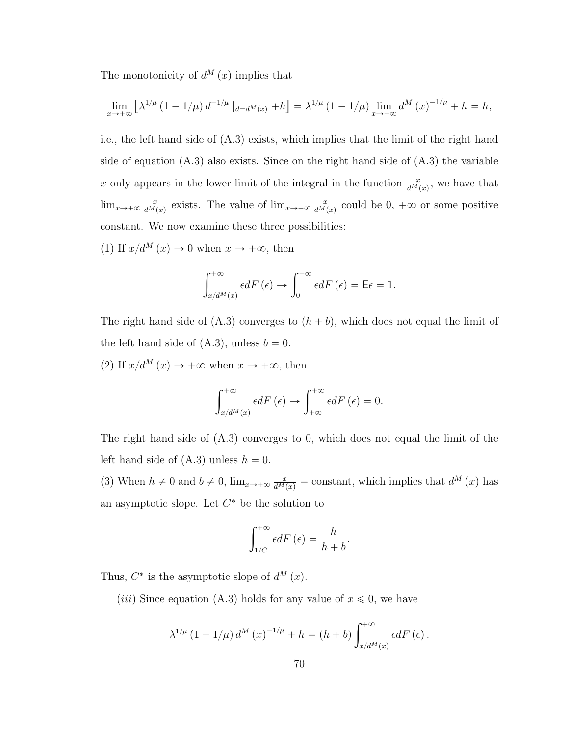The monotonicity of  $d^{M}(x)$  implies that

$$
\lim_{x \to +\infty} \left[ \lambda^{1/\mu} \left( 1 - 1/\mu \right) d^{-1/\mu} \mid_{d=d^M(x)} + h \right] = \lambda^{1/\mu} \left( 1 - 1/\mu \right) \lim_{x \to +\infty} d^M(x)^{-1/\mu} + h = h,
$$

i.e., the left hand side of [\(A.3\)](#page-82-0) exists, which implies that the limit of the right hand side of equation [\(A.3\)](#page-82-0) also exists. Since on the right hand side of [\(A.3\)](#page-82-0) the variable x only appears in the lower limit of the integral in the function  $\frac{x}{d^M(x)}$ , we have that  $\lim_{x\to+\infty}\frac{x}{d^M}$  $\frac{x}{d^M(x)}$  exists. The value of  $\lim_{x\to+\infty}\frac{x}{d^M(x)}$  $\frac{x}{d^M(x)}$  could be  $0, +\infty$  or some positive constant. We now examine these three possibilities:

(1) If  $x/d^M(x) \to 0$  when  $x \to +\infty$ , then

$$
\int_{x/d^{M}(x)}^{+\infty} \epsilon dF\left(\epsilon\right) \to \int_{0}^{+\infty} \epsilon dF\left(\epsilon\right) = \mathsf{E}\epsilon = 1.
$$

The right hand side of  $(A.3)$  converges to  $(h + b)$ , which does not equal the limit of the left hand side of  $(A.3)$ , unless  $b = 0$ .

(2) If  $x/d^M(x) \to +\infty$  when  $x \to +\infty$ , then

$$
\int_{x/d^{M}(x)}^{+\infty} \epsilon dF\left(\epsilon\right) \to \int_{+\infty}^{+\infty} \epsilon dF\left(\epsilon\right) = 0.
$$

The right hand side of [\(A.3\)](#page-82-0) converges to 0, which does not equal the limit of the left hand side of  $(A.3)$  unless  $h = 0$ .

(3) When  $h \neq 0$  and  $b \neq 0$ ,  $\lim_{x \to +\infty} \frac{x}{d^M(x)}$  = constant, which implies that  $d^M(x)$  has an asymptotic slope. Let  $C^*$  be the solution to

$$
\int_{1/C}^{+\infty} \epsilon dF\left(\epsilon\right) = \frac{h}{h+b}.
$$

Thus,  $C^*$  is the asymptotic slope of  $d^M(x)$ .

(*iii*) Since equation [\(A.3\)](#page-82-0) holds for any value of  $x \le 0$ , we have

$$
\lambda^{1/\mu} (1 - 1/\mu) d^M (x)^{-1/\mu} + h = (h + b) \int_{x/d^M(x)}^{+\infty} \epsilon dF (\epsilon).
$$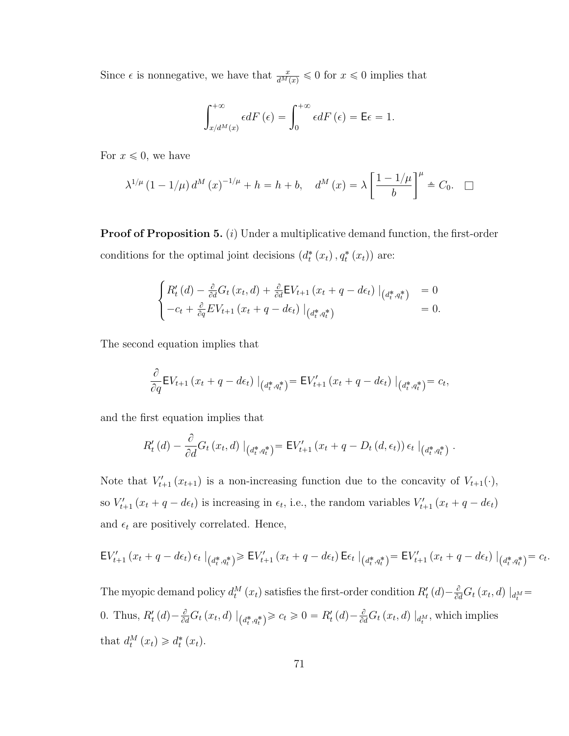Since  $\epsilon$  is nonnegative, we have that  $\frac{x}{d^M(x)} \leq 0$  for  $x \leq 0$  implies that

$$
\int_{x/d^M(x)}^{+\infty} \epsilon dF\left(\epsilon\right) = \int_0^{+\infty} \epsilon dF\left(\epsilon\right) = \mathsf{E}\epsilon = 1.
$$

For  $x \leq 0$ , we have

$$
\lambda^{1/\mu} (1 - 1/\mu) d^{M}(x)^{-1/\mu} + h = h + b, \quad d^{M}(x) = \lambda \left[ \frac{1 - 1/\mu}{b} \right]^{\mu} \triangleq C_0. \quad \Box
$$

**Proof of Proposition [5.](#page-34-0)** (*i*) Under a multiplicative demand function, the first-order conditions for the optimal joint decisions  $(d_t^*(x_t), q_t^*(x_t))$  are:

$$
\begin{cases}\nR'_t(d) - \frac{\partial}{\partial d} G_t(x_t, d) + \frac{\partial}{\partial d} E V_{t+1}(x_t + q - d\epsilon_t) \big|_{(d_t^*, q_t^*)} = 0 \\
-c_t + \frac{\partial}{\partial q} E V_{t+1}(x_t + q - d\epsilon_t) \big|_{(d_t^*, q_t^*)}\n\end{cases} = 0.
$$

The second equation implies that

$$
\frac{\partial}{\partial q}\mathsf{E}V_{t+1}(x_t+q-d\epsilon_t)\big|_{(d_t^*,q_t^*)}=\mathsf{E}V'_{t+1}(x_t+q-d\epsilon_t)\big|_{(d_t^*,q_t^*)}=c_t,
$$

and the first equation implies that

$$
R'_t(d) - \frac{\partial}{\partial d} G_t(x_t, d) |_{(d_t^*, q_t^*)} = \mathsf{E} V'_{t+1}(x_t + q - D_t(d, \epsilon_t)) \epsilon_t |_{(d_t^*, q_t^*)}.
$$

Note that  $V'_{t+1}(x_{t+1})$  is a non-increasing function due to the concavity of  $V_{t+1}(\cdot)$ , so  $V'_{t+1}(x_t + q - d\epsilon_t)$  is increasing in  $\epsilon_t$ , i.e., the random variables  $V'_{t+1}(x_t + q - d\epsilon_t)$ and  $\epsilon_t$  are positively correlated. Hence,

$$
\mathsf{E} V'_{t+1}(x_t + q - d\epsilon_t) \epsilon_t |_{(d^*_t, q^*_t)} \geq \mathsf{E} V'_{t+1}(x_t + q - d\epsilon_t) \mathsf{E} \epsilon_t |_{(d^*_t, q^*_t)} = \mathsf{E} V'_{t+1}(x_t + q - d\epsilon_t) |_{(d^*_t, q^*_t)} = c_t.
$$

The myopic demand policy  $d_t^M(x_t)$  satisfies the first-order condition  $R'_t(d) - \frac{\partial}{\partial d}G_t(x_t, d) \mid_{d_t^M} =$ 0. Thus,  $R'_t(d) - \frac{\partial}{\partial d} G_t(x_t, d) \mid_{(d_t^*, q_t^*)} \geq c_t \geq 0 = R'_t(d) - \frac{\partial}{\partial d} G_t(x_t, d) \mid_{d_t^M}$ , which implies that  $d_t^M(x_t) \geq d_t^*(x_t)$ .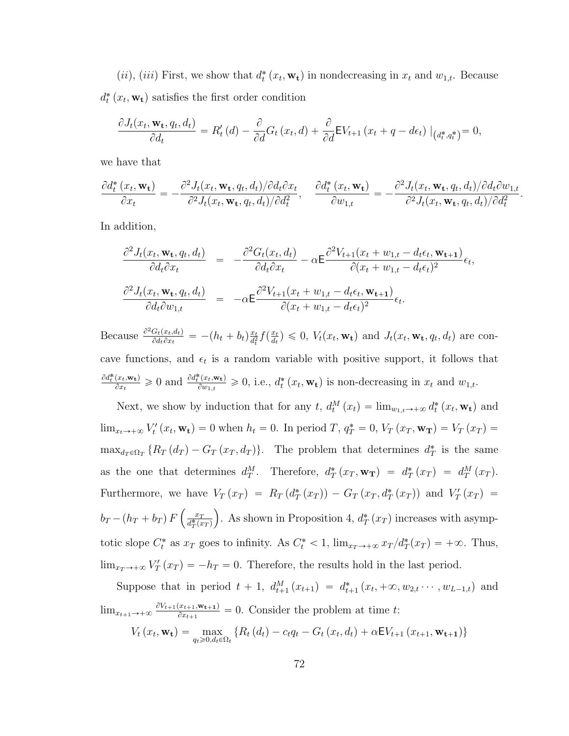(*ii*), (*iii*) First, we show that  $d_t^*(x_t, \mathbf{w_t})$  in nondecreasing in  $x_t$  and  $w_{1,t}$ . Because  $d_t^*(x_t, \mathbf{w_t})$  satisfies the first order condition

$$
\frac{\partial J_t(x_t, \mathbf{w_t}, q_t, d_t)}{\partial d_t} = R'_t(d) - \frac{\partial}{\partial d} G_t(x_t, d) + \frac{\partial}{\partial d} \mathsf{E} V_{t+1}(x_t + q - d\epsilon_t) \big|_{(d_t^*, q_t^*)} = 0,
$$

we have that

$$
\frac{\partial d_t^*(x_t, \mathbf{w_t})}{\partial x_t} = -\frac{\partial^2 J_t(x_t, \mathbf{w_t}, q_t, d_t)/\partial d_t \partial x_t}{\partial^2 J_t(x_t, \mathbf{w_t}, q_t, d_t)/\partial d_t^2}, \quad \frac{\partial d_t^*(x_t, \mathbf{w_t})}{\partial w_{1,t}} = -\frac{\partial^2 J_t(x_t, \mathbf{w_t}, q_t, d_t)/\partial d_t \partial w_{1,t}}{\partial^2 J_t(x_t, \mathbf{w_t}, q_t, d_t)/\partial d_t^2}
$$

.

In addition,

$$
\frac{\partial^2 J_t(x_t, \mathbf{w_t}, q_t, d_t)}{\partial d_t \partial x_t} = -\frac{\partial^2 G_t(x_t, d_t)}{\partial d_t \partial x_t} - \alpha \mathbf{E} \frac{\partial^2 V_{t+1}(x_t + w_{1,t} - d_t \epsilon_t, \mathbf{w_{t+1}})}{\partial (x_t + w_{1,t} - d_t \epsilon_t)^2} \epsilon_t,
$$
\n
$$
\frac{\partial^2 J_t(x_t, \mathbf{w_t}, q_t, d_t)}{\partial d_t \partial w_{1,t}} = -\alpha \mathbf{E} \frac{\partial^2 V_{t+1}(x_t + w_{1,t} - d_t \epsilon_t, \mathbf{w_{t+1}})}{\partial (x_t + w_{1,t} - d_t \epsilon_t)^2} \epsilon_t.
$$

Because  $\frac{\partial^2 G_t(x_t, d_t)}{\partial d_t \partial x_t}$  $\frac{G_t(x_t, d_t)}{\partial d_t \partial x_t} = - (h_t + b_t) \frac{x_t}{d_t^2}$  $\frac{x_t}{d_t^2} f\left(\frac{x_t}{d_t}\right)$  $\left(\frac{x_t}{d_t}\right) \leq 0, V_t(x_t, \mathbf{w_t})$  and  $J_t(x_t, \mathbf{w_t}, q_t, d_t)$  are concave functions, and  $\epsilon_t$  is a random variable with positive support, it follows that  $\partial d_t^*(x_t, \mathbf{w_t})$  $\frac{(\mathbf{x}_t, \mathbf{w_t})}{\partial \mathbf{x}_t} \geq 0$  and  $\frac{\partial d_t^*(\mathbf{x}_t, \mathbf{w_t})}{\partial w_{1,t}}$  $\frac{\partial \mathbf{F}(x_t, \mathbf{w_t})}{\partial w_{1,t}} \geq 0$ , i.e.,  $d_t^* (x_t, \mathbf{w_t})$  is non-decreasing in  $x_t$  and  $w_{1,t}$ .

Next, we show by induction that for any t,  $d_t^M(x_t) = \lim_{w_{1,t} \to +\infty} d_t^*(x_t, \mathbf{w_t})$  and  $\lim_{x_t \to +\infty} V'_t(x_t, \mathbf{w_t}) = 0$  when  $h_t = 0$ . In period T,  $q_T^* = 0$ ,  $V_T(x_T, \mathbf{w_T}) = V_T(x_T) =$  $\max_{d_T \in \Omega_T} \{ R_T(d_T) - G_T(x_T, d_T) \}.$  The problem that determines  $d_T^*$  is the same as the one that determines  $d_T^M$ . Therefore,  $d_T^*(x_T, \mathbf{w_T}) = d_T^*(x_T) = d_T^M(x_T)$ . Furthermore, we have  $V_T(x_T) = R_T(d_T^*(x_T)) - G_T(x_T, d_T^*(x_T))$  and  $V'_T(x_T) =$  $b_T - (h_T + b_T) F \left( \frac{x_T}{d^* \Gamma(r)} \right)$ tarihin kalendar<br>Tarihin kalendar  $\frac{x_T}{d_T^*(x_T)}$ . As shown in Proposition [4,](#page-32-0)  $d_T^*(x_T)$  increases with asymptotic slope  $C_t^*$  as  $x_T$  goes to infinity. As  $C_t^* < 1$ ,  $\lim_{x_T \to +\infty} x_T/d_T^*(x_T) = +\infty$ . Thus,  $\lim_{x_T \to +\infty} V'_T(x_T) = -h_T = 0.$  Therefore, the results hold in the last period.

Suppose that in period  $t + 1$ ,  $d_{t+1}^M(x_{t+1}) = d_{t+1}^*(x_t, +\infty, w_{2,t} \cdots, w_{L-1,t})$  and  $\lim_{x_{t+1}\to+\infty} \frac{\partial V_{t+1}(x_{t+1},\mathbf{w_{t+1}})}{\partial x_{t+1}}$  $\frac{x_{t+1}, \mathbf{w}_{t+1}}{\partial x_{t+1}}$  = 0. Consider the problem at time t:  $V_t(x_t, \mathbf{w_t}) = \max_{q_t \ge 0, d_t \in \Omega_t} \{ R_t(d_t) - c_t q_t - G_t(x_t, d_t) + \alpha E V_{t+1}(x_{t+1}, \mathbf{w_{t+1}}) \}$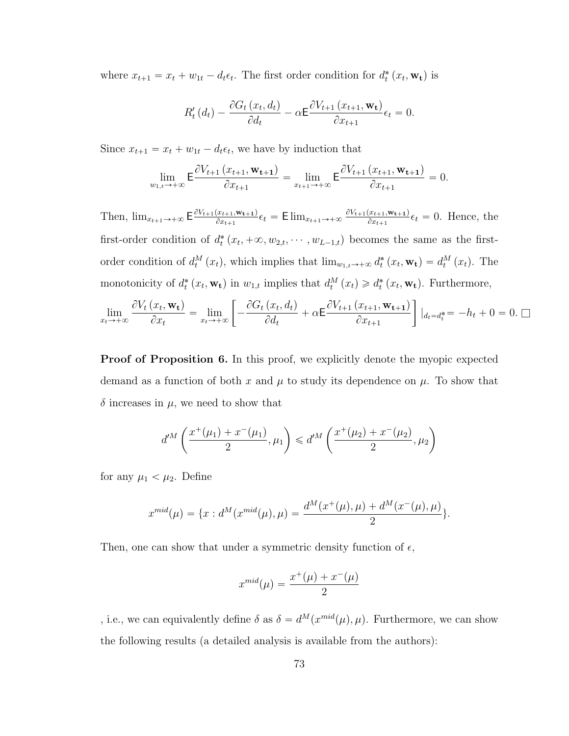where  $x_{t+1} = x_t + w_{1t} - d_t \epsilon_t$ . The first order condition for  $d_t^*(x_t, \mathbf{w_t})$  is

$$
R'_{t}(d_{t}) - \frac{\partial G_{t}(x_{t}, d_{t})}{\partial d_{t}} - \alpha \mathsf{E} \frac{\partial V_{t+1}(x_{t+1}, \mathbf{w}_{t})}{\partial x_{t+1}} \epsilon_{t} = 0.
$$

Since  $x_{t+1} = x_t + w_{1t} - d_t \epsilon_t$ , we have by induction that

$$
\lim_{w_{1,t}\to+\infty} \mathsf{E} \frac{\partial V_{t+1}\left(x_{t+1}, \mathbf{w_{t+1}}\right)}{\partial x_{t+1}} = \lim_{x_{t+1}\to+\infty} \mathsf{E} \frac{\partial V_{t+1}\left(x_{t+1}, \mathbf{w_{t+1}}\right)}{\partial x_{t+1}} = 0.
$$

Then,  $\lim_{x_{t+1}\to+\infty}$   $\mathsf{E} \frac{\partial V_{t+1}(x_{t+1},\mathbf{w_{t+1}})}{\partial x_{t+1}}$  $\frac{(x_{t+1},\mathbf{w_{t+1}})}{\partial x_{t+1}} \epsilon_t = \text{Elim}_{x_{t+1} \to +\infty} \frac{\partial V_{t+1}(x_{t+1},\mathbf{w_{t+1}})}{\partial x_{t+1}}$  $\frac{x_{t+1}, \mathbf{w_{t+1}}}{\partial x_{t+1}} \epsilon_t = 0$ . Hence, the first-order condition of  $d_t^*(x_t, +\infty, w_{2,t}, \cdots, w_{L-1,t})$  becomes the same as the firstorder condition of  $d_t^M(x_t)$ , which implies that  $\lim_{w_{1,t}\to+\infty} d_t^*(x_t, \mathbf{w_t}) = d_t^M(x_t)$ . The monotonicity of  $d_t^*(x_t, \mathbf{w_t})$  in  $w_{1,t}$  implies that  $d_t^M(x_t) \geq d_t^*(x_t, \mathbf{w_t})$ . Furthermore,

$$
\lim_{x_t \to +\infty} \frac{\partial V_t(x_t, \mathbf{w_t})}{\partial x_t} = \lim_{x_t \to +\infty} \left[ -\frac{\partial G_t(x_t, d_t)}{\partial d_t} + \alpha \mathsf{E} \frac{\partial V_{t+1}(x_{t+1}, \mathbf{w_{t+1}})}{\partial x_{t+1}} \right] |_{d_t = d_t^*} = -h_t + 0 = 0. \ \Box
$$

**Proof of Proposition [6.](#page-35-0)** In this proof, we explicitly denote the myopic expected demand as a function of both x and  $\mu$  to study its dependence on  $\mu$ . To show that  $\delta$  increases in  $\mu$ , we need to show that

$$
d^{tM}\left(\frac{x^+(\mu_1) + x^-(\mu_1)}{2}, \mu_1\right) \leq d^{tM}\left(\frac{x^+(\mu_2) + x^-(\mu_2)}{2}, \mu_2\right)
$$

for any  $\mu_1 < \mu_2$ . Define

$$
x^{mid}(\mu) = \{x : d^M(x^{mid}(\mu), \mu) = \frac{d^M(x^+(\mu), \mu) + d^M(x^-(\mu), \mu)}{2}\}.
$$

Then, one can show that under a symmetric density function of  $\epsilon$ ,

$$
x^{mid}(\mu) = \frac{x^+(\mu) + x^-(\mu)}{2}
$$

, i.e., we can equivalently define  $\delta$  as  $\delta = d^M(x^{mid}(\mu), \mu)$ . Furthermore, we can show the following results (a detailed analysis is available from the authors):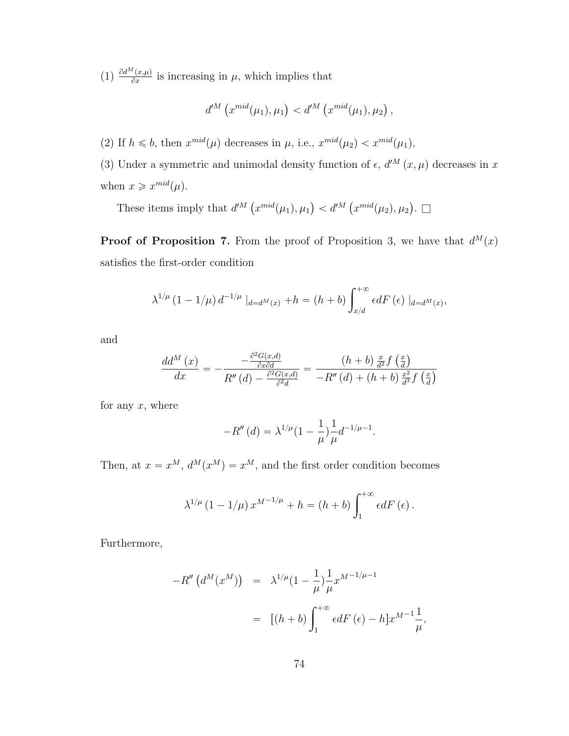$\left(1\right) \frac{\partial d^M(x,\mu)}{\partial x}$  $\frac{\partial^2 (x,\mu)}{\partial x}$  is increasing in  $\mu$ , which implies that

$$
d^{\prime M}(x^{mid}(\mu_1), \mu_1) < d^{\prime M}(x^{mid}(\mu_1), \mu_2),
$$

(2) If  $h \leq b$ , then  $x^{mid}(\mu)$  decreases in  $\mu$ , i.e.,  $x^{mid}(\mu_2) < x^{mid}(\mu_1)$ ,

(3) Under a symmetric and unimodal density function of  $\epsilon$ ,  $d^{M}(x, \mu)$  decreases in x when  $x \geqslant x^{mid}(\mu)$ .

These items imply that  $d^{M}$  (  $x^{mid}(\mu_1), \mu_1$  $d^M$  (  $x^{mid}(\mu_2), \mu_2$ .  $\Box$ 

**Proof of Proposition [7.](#page-37-0)** From the proof of Proposition 3, we have that  $d^M(x)$ satisfies the first-order condition

$$
\lambda^{1/\mu} (1 - 1/\mu) d^{-1/\mu} |_{d = d^M(x)} + h = (h + b) \int_{x/d}^{+\infty} \epsilon dF(\epsilon) |_{d = d^M(x)},
$$

and

$$
\frac{dd^{M}(x)}{dx} = -\frac{-\frac{\partial^{2}G(x,d)}{\partial x \partial d}}{R''(d) - \frac{\partial^{2}G(x,d)}{\partial^{2}d}} = \frac{(h+b)\frac{x}{d^{2}}f(\frac{x}{d})}{-R''(d) + (h+b)\frac{x^{2}}{d^{3}}f(\frac{x}{d})}
$$

for any  $x$ , where

$$
-R''(d) = \lambda^{1/\mu} (1 - \frac{1}{\mu}) \frac{1}{\mu} d^{-1/\mu - 1}.
$$

Then, at  $x = x^M$ ,  $d^M(x^M) = x^M$ , and the first order condition becomes

$$
\lambda^{1/\mu} (1 - 1/\mu) x^{M-1/\mu} + h = (h + b) \int_1^{+\infty} \epsilon dF(\epsilon).
$$

Furthermore,

$$
-R''\left(d^M(x^M)\right) = \lambda^{1/\mu} (1 - \frac{1}{\mu}) \frac{1}{\mu} x^{M-1/\mu-1}
$$
  
= 
$$
[(h+b) \int_1^{+\infty} \epsilon dF(\epsilon) - h] x^{M-1} \frac{1}{\mu},
$$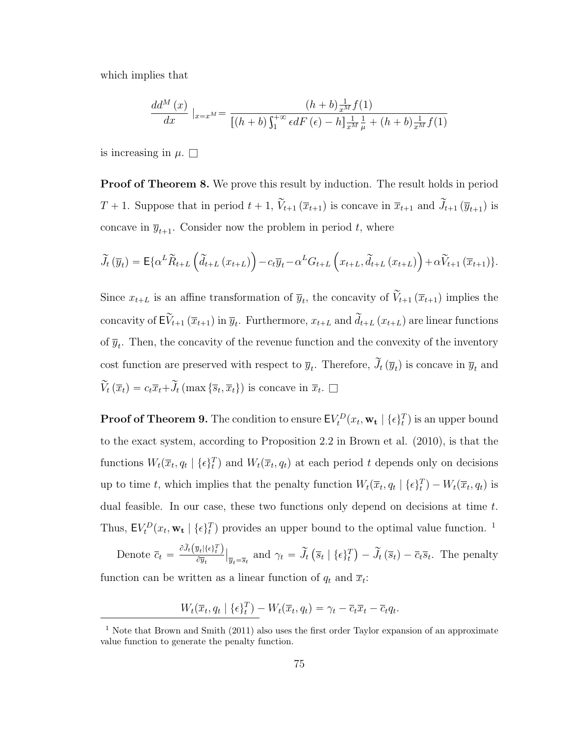which implies that

$$
\frac{dd^{M}(x)}{dx}\Big|_{x=x^{M}} = \frac{(h+b)\frac{1}{x^{M}}f(1)}{[(h+b)\int_{1}^{+\infty} \epsilon dF(\epsilon) - h] \frac{1}{x^{M}} \frac{1}{\mu} + (h+b)\frac{1}{x^{M}}f(1)}
$$

is increasing in  $\mu$ .  $\Box$ 

**Proof of Theorem [8.](#page-39-0)** We prove this result by induction. The result holds in period  $T + 1$ . Suppose that in period  $t + 1$ ,  $\widetilde{V}_{t+1}(\overline{x}_{t+1})$  is concave in  $\overline{x}_{t+1}$  and  $\widetilde{J}_{t+1}(\overline{y}_{t+1})$  is concave in  $\bar{y}_{t+1}$ . Consider now the problem in period t, where

$$
\widetilde{J}_{t}(\overline{y}_{t}) = \mathsf{E}\{\alpha^{L}\widetilde{R}_{t+L}\left(\widetilde{d}_{t+L}\left(x_{t+L}\right)\right) - c_{t}\overline{y}_{t} - \alpha^{L}G_{t+L}\left(x_{t+L}, \widetilde{d}_{t+L}\left(x_{t+L}\right)\right) + \alpha\widetilde{V}_{t+1}\left(\overline{x}_{t+1}\right)\}.
$$

Since  $x_{t+L}$  is an affine transformation of  $\overline{y}_t$ , the concavity of  $\widetilde{V}_{t+1}(\overline{x}_{t+1})$  implies the concavity of  $\mathsf{E} \widetilde{V}_{t+1}(\overline{x}_{t+1})$  in  $\overline{y}_t$ . Furthermore,  $x_{t+L}$  and  $\widetilde{d}_{t+L}(x_{t+L})$  are linear functions of  $\overline{y}_t$ . Then, the concavity of the revenue function and the convexity of the inventory cost function are preserved with respect to  $\overline{y}_t$ . Therefore,  $\widetilde{J}_t(\overline{y}_t)$  is concave in  $\overline{y}_t$  and  $\widetilde{V}_t(\overline{x}_t) = c_t \overline{x}_t + \widetilde{J}_t(\max\{\overline{s}_t,\overline{x}_t\})$  is concave in  $\overline{x}_t$ .

**Proof of Theorem [9.](#page-44-0)** The condition to ensure  $\mathsf{E} V_t^D(x_t, \mathbf{w_t} \mid \{\epsilon\}_t^T)$  is an upper bound to the exact system, according to Proposition 2.2 in Brown et al. (2010), is that the functions  $W_t(\overline{x}_t, q_t | \{\epsilon\}_t^T)$  and  $W_t(\overline{x}_t, q_t)$  at each period t depends only on decisions up to time t, which implies that the penalty function  $W_t(\overline{x}_t, q_t | \{\epsilon\}_t^T) - W_t(\overline{x}_t, q_t)$  is dual feasible. In our case, these two functions only depend on decisions at time t. Thus,  $\mathsf{E} V_t^D(x_t, \mathbf{w_t} \mid \{\epsilon\}_t^T)$  provides an upper bound to the optimal value function. <sup>[1](#page-88-0)</sup>

Denote  $\overline{c}_t = \frac{\partial \widetilde{J}_t(\overline{y}_t | \{\epsilon\}_t^T)}{\partial \overline{y}_t}$  $\partial \overline{y}_t$ ˇ ˇ  $\overline{y}_t = \overline{s}_t$  and  $\gamma_t = \widetilde{J}_t$  (  $\overline{s}_t \mid \{\epsilon\}_t^T$  $\int -\widetilde{J}_t(\overline{s}_t)-\overline{c}_t\overline{s}_t$ . The penalty function can be written as a linear function of  $q_t$  and  $\overline{x}_t$ :

$$
W_t(\overline{x}_t, q_t \mid \{\epsilon\}_t^T) - W_t(\overline{x}_t, q_t) = \gamma_t - \overline{c}_t \overline{x}_t - \overline{c}_t q_t.
$$

<span id="page-88-0"></span><sup>&</sup>lt;sup>1</sup> Note that Brown and Smith (2011) also uses the first order Taylor expansion of an approximate value function to generate the penalty function.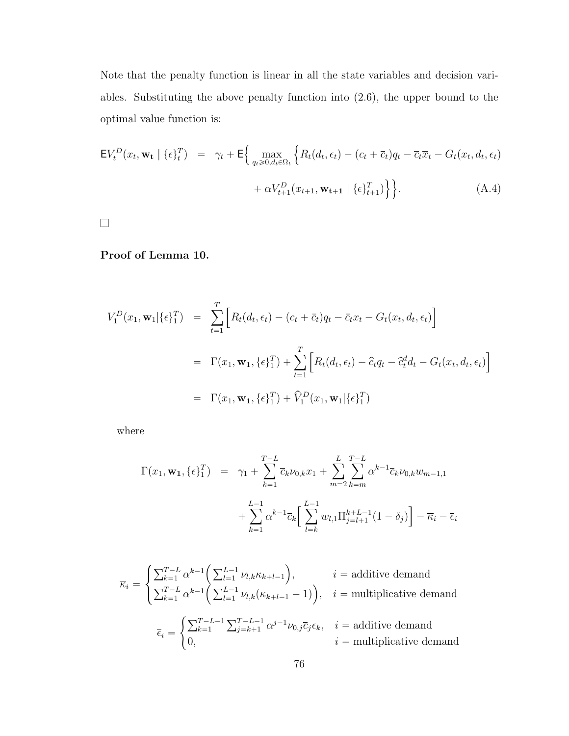Note that the penalty function is linear in all the state variables and decision variables. Substituting the above penalty function into [\(2.6\)](#page-43-0), the upper bound to the optimal value function is:

$$
\mathsf{E}V_t^D(x_t, \mathbf{w_t} \mid \{\epsilon\}_t^T) = \gamma_t + \mathsf{E}\Big\{\max_{q_t \geq 0, d_t \in \Omega_t} \Big\{ R_t(d_t, \epsilon_t) - (c_t + \overline{c}_t)q_t - \overline{c}_t\overline{x}_t - G_t(x_t, d_t, \epsilon_t) + \alpha V_{t+1}^D(x_{t+1}, \mathbf{w_{t+1}} \mid \{\epsilon\}_{t+1}^T) \Big\} \Big\}.
$$
 (A.4)

 $\Box$ 

### Proof of Lemma [10.](#page-44-1)

$$
V_1^D(x_1, \mathbf{w}_1 | {\epsilon}^T_1) = \sum_{t=1}^T \Big[ R_t(d_t, \epsilon_t) - (c_t + \bar{c}_t)q_t - \bar{c}_t x_t - G_t(x_t, d_t, \epsilon_t) \Big]
$$
  

$$
= \Gamma(x_1, \mathbf{w}_1, {\epsilon}^T_1) + \sum_{t=1}^T \Big[ R_t(d_t, \epsilon_t) - \hat{c}_t q_t - \hat{c}_t^d d_t - G_t(x_t, d_t, \epsilon_t) \Big]
$$
  

$$
= \Gamma(x_1, \mathbf{w}_1, {\epsilon}^T_1) + \hat{V}_1^D(x_1, \mathbf{w}_1 | {\epsilon}^T_1)
$$

where

$$
\Gamma(x_1, \mathbf{w}_1, \{\epsilon\}_1^T) = \gamma_1 + \sum_{k=1}^{T-L} \overline{c}_k \nu_{0,k} x_1 + \sum_{m=2}^{L} \sum_{k=m}^{T-L} \alpha^{k-1} \overline{c}_k \nu_{0,k} w_{m-1,1} + \sum_{k=1}^{L-1} \alpha^{k-1} \overline{c}_k \left[ \sum_{l=k}^{L-1} w_{l,1} \Pi_{j=l+1}^{k+L-1} (1 - \delta_j) \right] - \overline{\kappa}_i - \overline{\epsilon}_i
$$

$$
\overline{\kappa}_{i} = \begin{cases}\n\sum_{k=1}^{T-L} \alpha^{k-1} \left( \sum_{l=1}^{L-1} \nu_{l,k} \kappa_{k+l-1} \right), & i = \text{additive demand} \\
\sum_{k=1}^{T-L} \alpha^{k-1} \left( \sum_{l=1}^{L-1} \nu_{l,k} (\kappa_{k+l-1} - 1) \right), & i = \text{multiplicative demand} \\
\overline{\epsilon}_{i} = \begin{cases}\n\sum_{k=1}^{T-L-1} \sum_{j=k+1}^{T-L-1} \alpha^{j-1} \nu_{0,j} \overline{c}_{j} \epsilon_{k}, & i = \text{additive demand} \\
0, & i = \text{multiplicative demand}\n\end{cases}\n\end{cases}
$$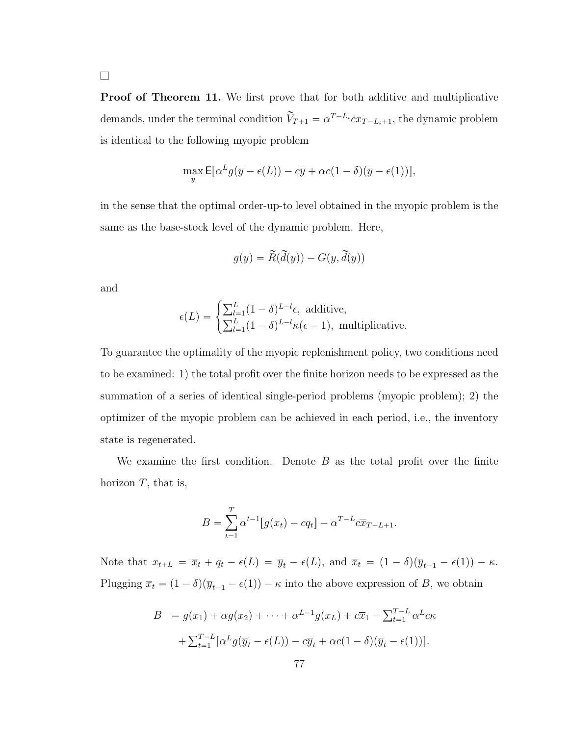$\Box$ 

Proof of Theorem [11.](#page-52-0) We first prove that for both additive and multiplicative demands, under the terminal condition  $\widetilde{V}_{T+1} = \alpha^{T-L_i} c \overline{x}_{T-L_i+1}$ , the dynamic problem is identical to the following myopic problem

$$
\max_{y} \mathsf{E}[\alpha^L g(\overline{y} - \epsilon(L)) - c\overline{y} + \alpha c(1 - \delta)(\overline{y} - \epsilon(1))],
$$

in the sense that the optimal order-up-to level obtained in the myopic problem is the same as the base-stock level of the dynamic problem. Here,

$$
g(y) = \widetilde{R}(\widetilde{d}(y)) - G(y, \widetilde{d}(y))
$$

and

$$
\epsilon(L) = \begin{cases} \sum_{l=1}^{L} (1 - \delta)^{L-l} \epsilon, \text{ additive,} \\ \sum_{l=1}^{L} (1 - \delta)^{L-l} \kappa(\epsilon - 1), \text{ multiplicative.} \end{cases}
$$

To guarantee the optimality of the myopic replenishment policy, two conditions need to be examined: 1) the total profit over the finite horizon needs to be expressed as the summation of a series of identical single-period problems (myopic problem); 2) the optimizer of the myopic problem can be achieved in each period, i.e., the inventory state is regenerated.

We examine the first condition. Denote  $B$  as the total profit over the finite horizon  $T$ , that is,

$$
B = \sum_{t=1}^{T} \alpha^{t-1} [g(x_t) - cq_t] - \alpha^{T-L} c \overline{x}_{T-L+1}.
$$

Note that  $x_{t+L} = \overline{x}_t + q_t - \epsilon(L) = \overline{y}_t - \epsilon(L)$ , and  $\overline{x}_t = (1 - \delta)(\overline{y}_{t-1} - \epsilon(1)) - \kappa$ . Plugging  $\bar{x}_t = (1 - \delta)(\bar{y}_{t-1} - \epsilon(1)) - \kappa$  into the above expression of B, we obtain

$$
B = g(x_1) + \alpha g(x_2) + \cdots + \alpha^{L-1} g(x_L) + c\overline{x}_1 - \sum_{t=1}^{T-L} \alpha^L c\kappa
$$

$$
+ \sum_{t=1}^{T-L} [\alpha^L g(\overline{y}_t - \epsilon(L)) - c\overline{y}_t + \alpha c(1-\delta)(\overline{y}_t - \epsilon(1))].
$$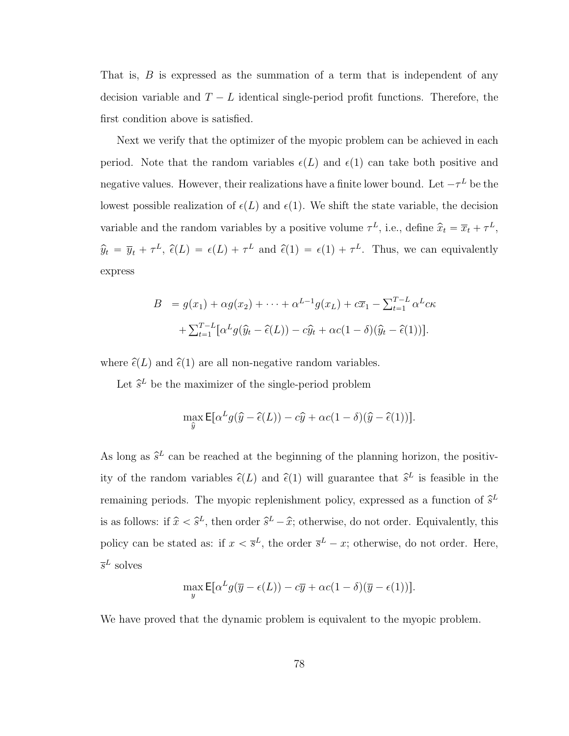That is,  $B$  is expressed as the summation of a term that is independent of any decision variable and  $T - L$  identical single-period profit functions. Therefore, the first condition above is satisfied.

Next we verify that the optimizer of the myopic problem can be achieved in each period. Note that the random variables  $\epsilon(L)$  and  $\epsilon(1)$  can take both positive and negative values. However, their realizations have a finite lower bound. Let  $-\tau^L$  be the lowest possible realization of  $\epsilon(L)$  and  $\epsilon(1)$ . We shift the state variable, the decision variable and the random variables by a positive volume  $\tau^L$ , i.e., define  $\hat{x}_t = \overline{x}_t + \tau^L$ ,  $\hat{y}_t = \overline{y}_t + \tau^L$ ,  $\hat{\epsilon}(L) = \epsilon(L) + \tau^L$  and  $\hat{\epsilon}(1) = \epsilon(1) + \tau^L$ . Thus, we can equivalently express

$$
B = g(x_1) + \alpha g(x_2) + \cdots + \alpha^{L-1} g(x_L) + c\overline{x}_1 - \sum_{t=1}^{T-L} \alpha^L c\kappa
$$

$$
+ \sum_{t=1}^{T-L} [\alpha^L g(\widehat{y}_t - \widehat{\epsilon}(L)) - c\widehat{y}_t + \alpha c(1 - \delta)(\widehat{y}_t - \widehat{\epsilon}(1))].
$$

where  $\hat{\epsilon}(L)$  and  $\hat{\epsilon}(1)$  are all non-negative random variables.

Let  $\hat{s}^L$  be the maximizer of the single-period problem

$$
\max_{\hat{y}} \mathsf{E}[\alpha^L g(\hat{y} - \hat{\epsilon}(L)) - c\hat{y} + \alpha c(1 - \delta)(\hat{y} - \hat{\epsilon}(1))].
$$

As long as  $\hat{s}^L$  can be reached at the beginning of the planning horizon, the positivity of the random variables  $\hat{\epsilon}(L)$  and  $\hat{\epsilon}(1)$  will guarantee that  $\hat{s}^L$  is feasible in the remaining periods. The myopic replenishment policy, expressed as a function of  $\hat{s}^L$ is as follows: if  $\hat{x} < \hat{s}^L$ , then order  $\hat{s}^L - \hat{x}$ ; otherwise, do not order. Equivalently, this policy can be stated as: if  $x < \bar{s}^L$ , the order  $\bar{s}^L - x$ ; otherwise, do not order. Here,  $\overline{s}^L$  solves

$$
\max_{y} \mathsf{E}[\alpha^L g(\overline{y} - \epsilon(L)) - c\overline{y} + \alpha c(1 - \delta)(\overline{y} - \epsilon(1))].
$$

We have proved that the dynamic problem is equivalent to the myopic problem.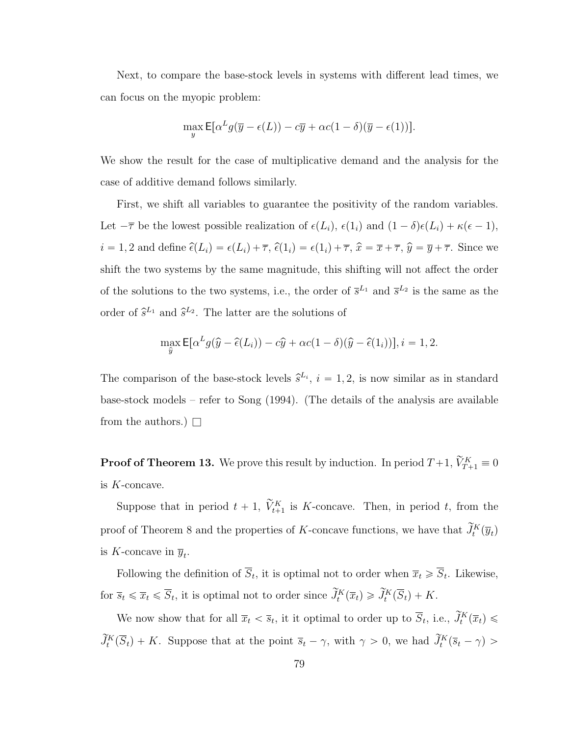Next, to compare the base-stock levels in systems with different lead times, we can focus on the myopic problem:

$$
\max_{y} \mathsf{E}[\alpha^L g(\overline{y} - \epsilon(L)) - c\overline{y} + \alpha c(1 - \delta)(\overline{y} - \epsilon(1))].
$$

We show the result for the case of multiplicative demand and the analysis for the case of additive demand follows similarly.

First, we shift all variables to guarantee the positivity of the random variables. Let  $-\overline{\tau}$  be the lowest possible realization of  $\epsilon(L_i)$ ,  $\epsilon(1_i)$  and  $(1 - \delta)\epsilon(L_i) + \kappa(\epsilon - 1)$ ,  $i = 1, 2$  and define  $\widehat{\epsilon}(L_i) = \epsilon(L_i) + \overline{\tau}$ ,  $\widehat{\epsilon}(1_i) = \epsilon(1_i) + \overline{\tau}$ ,  $\widehat{x} = \overline{x} + \overline{\tau}$ ,  $\widehat{y} = \overline{y} + \overline{\tau}$ . Since we shift the two systems by the same magnitude, this shifting will not affect the order of the solutions to the two systems, i.e., the order of  $\bar{s}^{L_1}$  and  $\bar{s}^{L_2}$  is the same as the order of  $\hat{s}^{L_1}$  and  $\hat{s}^{L_2}$ . The latter are the solutions of

$$
\max_{\hat{y}} \mathsf{E}[\alpha^L g(\hat{y} - \hat{\epsilon}(L_i)) - c\hat{y} + \alpha c(1 - \delta)(\hat{y} - \hat{\epsilon}(1_i))], i = 1, 2.
$$

The comparison of the base-stock levels  $\hat{s}^{L_i}$ ,  $i = 1, 2$ , is now similar as in standard base-stock models – refer to Song (1994). (The details of the analysis are available from the authors.)  $\Box$ 

**Proof of Theorem [13.](#page-59-0)** We prove this result by induction. In period  $T+1$ ,  $\widetilde{V}_{T+1}^K \equiv 0$ is K-concave.

Suppose that in period  $t + 1$ ,  $\widetilde{V}_{t+1}^K$  is K-concave. Then, in period t, from the proof of Theorem [8](#page-39-0) and the properties of K-concave functions, we have that  $\tilde{J}_t^K(\overline{y}_t)$ is K-concave in  $\overline{y}_t$ .

Following the definition of  $S_t$ , it is optimal not to order when  $\overline{x}_t \geq S_t$ . Likewise, for  $\overline{s}_t \leq \overline{x}_t \leq \overline{S}_t$ , it is optimal not to order since  $\widetilde{J}_t^K(\overline{x}_t) \geq \widetilde{J}_t^K(\overline{S}_t) + K$ .

We now show that for all  $\overline{x}_t < \overline{s}_t$ , it it optimal to order up to  $\overline{S}_t$ , i.e.,  $\widetilde{J}_t^K(\overline{x}_t) \leq$  $\widetilde{J}_{t}^{K}(\overline{S}_{t})+K$ . Suppose that at the point  $\overline{s}_{t}-\gamma$ , with  $\gamma > 0$ , we had  $\widetilde{J}_{t}^{K}(\overline{s}_{t}-\gamma)$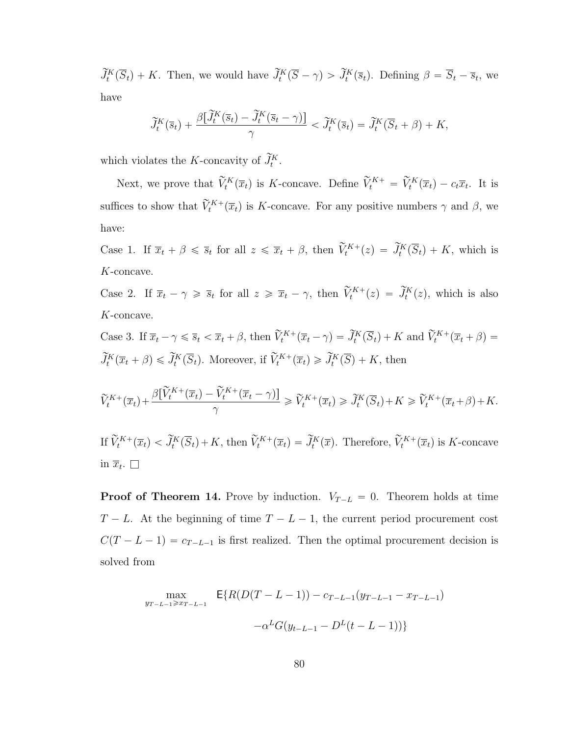$\widetilde{J}_t^K(\overline{S}_t) + K$ . Then, we would have  $\widetilde{J}_t^K(\overline{S} - \gamma) > \widetilde{J}_t^K(\overline{s}_t)$ . Defining  $\beta = \overline{S}_t - \overline{s}_t$ , we have

$$
\widetilde{J}_t^K(\overline{s}_t) + \frac{\beta[\widetilde{J}_t^K(\overline{s}_t) - \widetilde{J}_t^K(\overline{s}_t - \gamma)]}{\gamma} < \widetilde{J}_t^K(\overline{s}_t) = \widetilde{J}_t^K(\overline{S}_t + \beta) + K,
$$

which violates the K-concavity of  $\widetilde{J}_t^K$ .

Next, we prove that  $\widetilde{V}_t^K(\overline{x}_t)$  is K-concave. Define  $\widetilde{V}_t^{K+} = \widetilde{V}_t^K(\overline{x}_t) - c_t\overline{x}_t$ . It is suffices to show that  $\tilde{V}_t^{K+}(\overline{x}_t)$  is K-concave. For any positive numbers  $\gamma$  and  $\beta$ , we have:

Case 1. If  $\overline{x}_t + \beta \leq \overline{s}_t$  for all  $z \leq \overline{x}_t + \beta$ , then  $\widetilde{V}_t^{K+}(z) = \widetilde{J}_t^K(\overline{S}_t) + K$ , which is K-concave.

Case 2. If  $\overline{x}_t - \gamma \geqslant \overline{s}_t$  for all  $z \geqslant \overline{x}_t - \gamma$ , then  $\widetilde{V}_t^{K+}(z) = \widetilde{J}_t^{K}(z)$ , which is also K-concave.

Case 3. If  $\overline{x}_t - \gamma \leq \overline{s}_t < \overline{x}_t + \beta$ , then  $\widetilde{V}_t^{K+}(\overline{x}_t - \gamma) = \widetilde{J}_t^K(\overline{S}_t) + K$  and  $\widetilde{V}_t^{K+}(\overline{x}_t + \beta) =$  $\widetilde{J}_{t}^{K}(\overline{x}_{t}+\beta) \leq \widetilde{J}_{t}^{K}(\overline{S}_{t})$ . Moreover, if  $\widetilde{V}_{t}^{K+}(\overline{x}_{t}) \geq \widetilde{J}_{t}^{K}(\overline{S}) + K$ , then

$$
\widetilde{V}_t^{K+}(\overline{x}_t) + \frac{\beta[\widetilde{V}_t^{K+}(\overline{x}_t) - \widetilde{V}_t^{K+}(\overline{x}_t - \gamma)]}{\gamma} \ge \widetilde{V}_t^{K+}(\overline{x}_t) \ge \widetilde{J}_t^{K}(\overline{S}_t) + K \ge \widetilde{V}_t^{K+}(\overline{x}_t + \beta) + K.
$$

If  $\widetilde{V}_t^{K+}(\overline{x}_t) < \widetilde{J}_t^{K}(\overline{S}_t) + K$ , then  $\widetilde{V}_t^{K+}(\overline{x}_t) = \widetilde{J}_t^{K}(\overline{x})$ . Therefore,  $\widetilde{V}_t^{K+}(\overline{x}_t)$  is K-concave in  $\overline{x}_t$ .  $\Box$ 

**Proof of Theorem [14.](#page-69-0)** Prove by induction.  $V_{T-L} = 0$ . Theorem holds at time  $T - L$ . At the beginning of time  $T - L - 1$ , the current period procurement cost  $C(T - L - 1) = c_{T-L-1}$  is first realized. Then the optimal procurement decision is solved from

$$
\max_{y_{T-L-1} \ge x_{T-L-1}} \mathsf{E}\{R(D(T-L-1)) - c_{T-L-1}(y_{T-L-1} - x_{T-L-1}) -\alpha^{L}G(y_{t-L-1} - D^{L}(t-L-1))\}
$$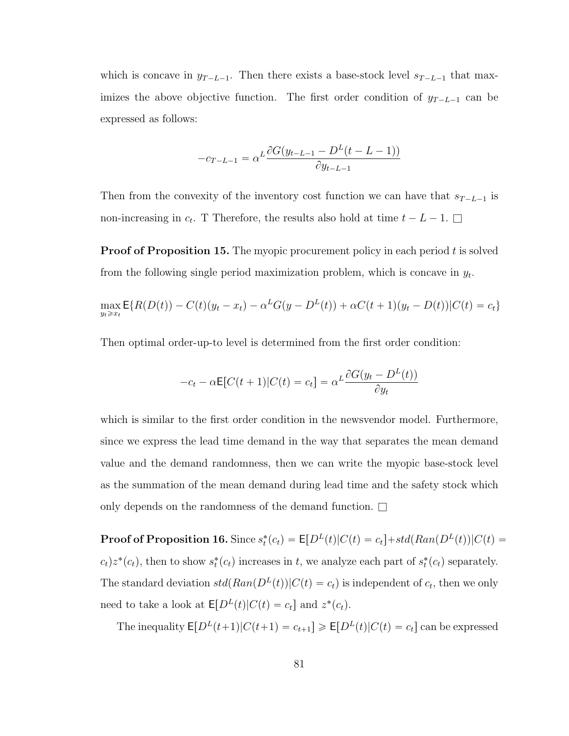which is concave in  $y_{T-L-1}$ . Then there exists a base-stock level  $s_{T-L-1}$  that maximizes the above objective function. The first order condition of  $y_{T-L-1}$  can be expressed as follows:

$$
-c_{T-L-1} = \alpha^L \frac{\partial G(y_{t-L-1} - D^L(t - L - 1))}{\partial y_{t-L-1}}
$$

Then from the convexity of the inventory cost function we can have that  $s_{T-L-1}$  is non-increasing in  $c_t$ . T Therefore, the results also hold at time  $t - L - 1$ .  $\square$ 

**Proof of Proposition [15.](#page-70-0)** The myopic procurement policy in each period  $t$  is solved from the following single period maximization problem, which is concave in  $y_t$ .

$$
\max_{y_t \ge x_t} \mathsf{E}\{R(D(t)) - C(t)(y_t - x_t) - \alpha^L G(y - D^L(t)) + \alpha C(t + 1)(y_t - D(t))|C(t) = c_t\}
$$

Then optimal order-up-to level is determined from the first order condition:

$$
-c_t - \alpha \mathbb{E}[C(t+1)|C(t) = c_t] = \alpha^L \frac{\partial G(y_t - D^L(t))}{\partial y_t}
$$

which is similar to the first order condition in the newsvendor model. Furthermore, since we express the lead time demand in the way that separates the mean demand value and the demand randomness, then we can write the myopic base-stock level as the summation of the mean demand during lead time and the safety stock which only depends on the randomness of the demand function.  $\square$ 

**Proof of Proposition [16.](#page-71-0)** Since  $s_t^*(c_t) = \mathsf{E}[D^L(t)|C(t) = c_t] + std(Ran(D^L(t))|C(t) = c_t]$  $c_t$ ) $z^*(c_t)$ , then to show  $s_t^*(c_t)$  increases in t, we analyze each part of  $s_t^*(c_t)$  separately. The standard deviation  $std(Ran(D^L(t))|C(t) = c_t)$  is independent of  $c_t$ , then we only need to take a look at  $\mathsf{E}[D^{L}(t)|C(t) = c_t]$  and  $z^*(c_t)$ .

The inequality  $\mathsf{E}[D^{L}(t+1)|C(t+1) = c_{t+1}] \geq \mathsf{E}[D^{L}(t)|C(t) = c_{t}]$  can be expressed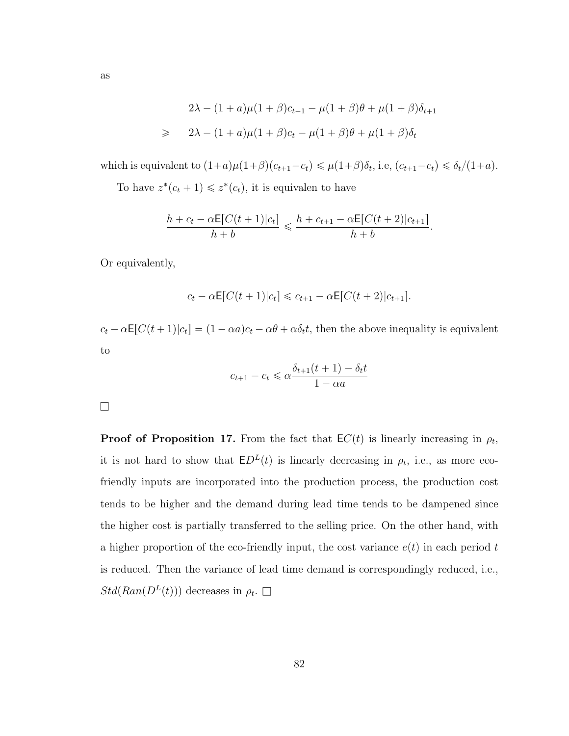$$
2\lambda - (1 + a)\mu(1 + \beta)c_{t+1} - \mu(1 + \beta)\theta + \mu(1 + \beta)\delta_{t+1}
$$
  
\n
$$
\geq 2\lambda - (1 + a)\mu(1 + \beta)c_t - \mu(1 + \beta)\theta + \mu(1 + \beta)\delta_t
$$

which is equivalent to  $(1+a)\mu(1+\beta)(c_{t+1}-c_t) \le \mu(1+\beta)\delta_t$ , i.e,  $(c_{t+1}-c_t) \le \delta_t/(1+a)$ .

To have  $z^*(c_t + 1) \leq z^*(c_t)$ , it is equivalen to have

$$
\frac{h + c_t - \alpha \mathsf{E}[C(t+1)|c_t]}{h + b} \le \frac{h + c_{t+1} - \alpha \mathsf{E}[C(t+2)|c_{t+1}]}{h + b}.
$$

Or equivalently,

$$
c_t - \alpha \mathsf{E}[C(t+1)|c_t] \leq c_{t+1} - \alpha \mathsf{E}[C(t+2)|c_{t+1}].
$$

 $c_t - \alpha \mathsf{E}[C(t+1)|c_t] = (1 - \alpha a)c_t - \alpha \theta + \alpha \delta_t t$ , then the above inequality is equivalent to

$$
c_{t+1} - c_t \leq \alpha \frac{\delta_{t+1}(t+1) - \delta_t t}{1 - \alpha a}
$$

 $\Box$ 

**Proof of Proposition [17.](#page-72-0)** From the fact that  $EC(t)$  is linearly increasing in  $\rho_t$ , it is not hard to show that  $ED<sup>L</sup>(t)$  is linearly decreasing in  $\rho_t$ , i.e., as more ecofriendly inputs are incorporated into the production process, the production cost tends to be higher and the demand during lead time tends to be dampened since the higher cost is partially transferred to the selling price. On the other hand, with a higher proportion of the eco-friendly input, the cost variance  $e(t)$  in each period t is reduced. Then the variance of lead time demand is correspondingly reduced, i.e.,  $Std(Ran(D^L(t)))$  decreases in  $\rho_t$ .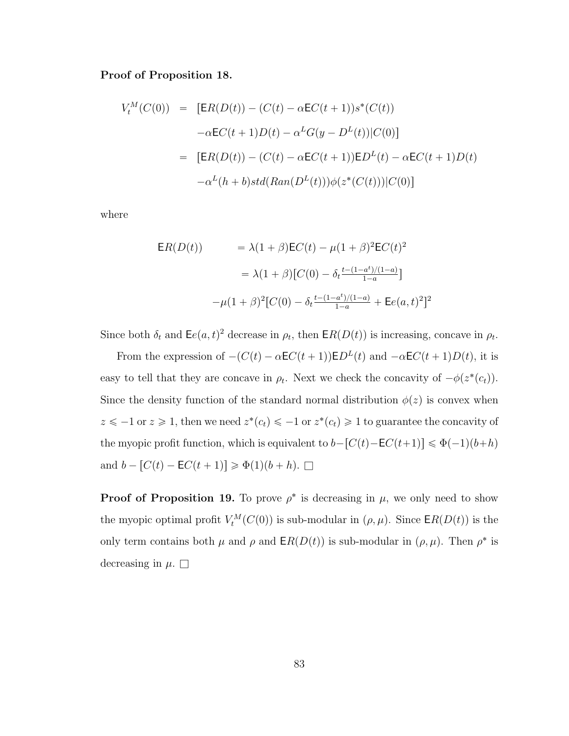### Proof of Proposition [18.](#page-73-0)

$$
V_t^M(C(0)) = [ER(D(t)) - (C(t) - \alpha EC(t+1))s^*(C(t))
$$
  

$$
-\alpha EC(t+1)D(t) - \alpha^L G(y - D^L(t))|C(0)]
$$
  

$$
= [ER(D(t)) - (C(t) - \alpha EC(t+1))ED^L(t) - \alpha EC(t+1)D(t)
$$
  

$$
-\alpha^L(h+b)std(Ran(D^L(t)))\phi(z^*(C(t)))|C(0)]
$$

where

$$
ER(D(t)) = \lambda(1+\beta)EC(t) - \mu(1+\beta)^{2}EC(t)^{2}
$$

$$
= \lambda(1+\beta)[C(0) - \delta_{t} \frac{t-(1-a^{t})/(1-a)}{1-a}]
$$

$$
-\mu(1+\beta)^{2}[C(0) - \delta_{t} \frac{t-(1-a^{t})/(1-a)}{1-a} + \text{E}e(a,t)^{2}]^{2}
$$

Since both  $\delta_t$  and  $\mathsf{E}e(a, t)^2$  decrease in  $\rho_t$ , then  $\mathsf{E}R(D(t))$  is increasing, concave in  $\rho_t$ .

From the expression of  $-(C(t) - \alpha EC(t + 1))ED^{L}(t)$  and  $-\alpha EC(t + 1)D(t)$ , it is easy to tell that they are concave in  $\rho_t$ . Next we check the concavity of  $-\phi(z^*(c_t))$ . Since the density function of the standard normal distribution  $\phi(z)$  is convex when  $z \leq -1$  or  $z \geq 1$ , then we need  $z^*(c_t) \leq -1$  or  $z^*(c_t) \geq 1$  to guarantee the concavity of the myopic profit function, which is equivalent to  $b-[C(t)-\mathsf{E}C(t+1)] \leq \Phi(-1)(b+h)$ and  $b - [C(t) - \mathsf{E}C(t + 1)] \ge \Phi(1)(b + h)$ .  $\square$ 

**Proof of Proposition [19.](#page-74-0)** To prove  $\rho^*$  is decreasing in  $\mu$ , we only need to show the myopic optimal profit  $V_t^M(C(0))$  is sub-modular in  $(\rho, \mu)$ . Since  $\mathsf{E} R(D(t))$  is the only term contains both  $\mu$  and  $\rho$  and  $\mathsf{E}R(D(t))$  is sub-modular in  $(\rho, \mu)$ . Then  $\rho^*$  is decreasing in  $\mu$ .  $\Box$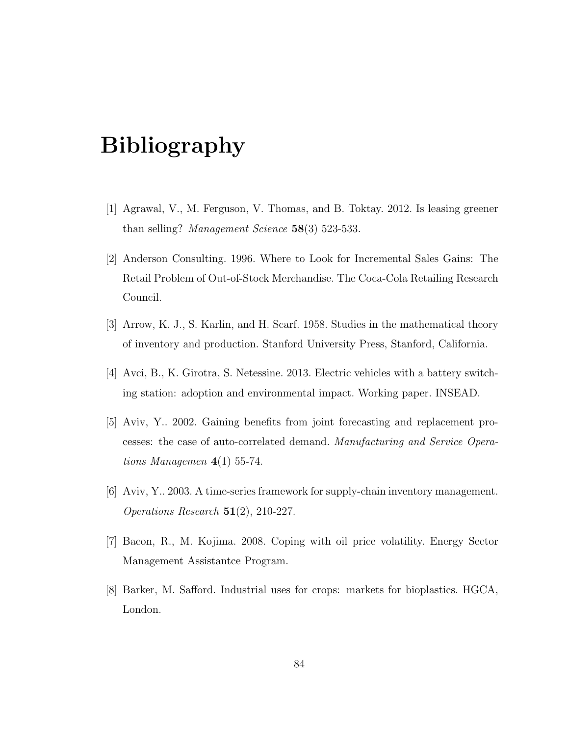# Bibliography

- [1] Agrawal, V., M. Ferguson, V. Thomas, and B. Toktay. 2012. Is leasing greener than selling? Management Science 58(3) 523-533.
- [2] Anderson Consulting. 1996. Where to Look for Incremental Sales Gains: The Retail Problem of Out-of-Stock Merchandise. The Coca-Cola Retailing Research Council.
- [3] Arrow, K. J., S. Karlin, and H. Scarf. 1958. Studies in the mathematical theory of inventory and production. Stanford University Press, Stanford, California.
- [4] Avci, B., K. Girotra, S. Netessine. 2013. Electric vehicles with a battery switching station: adoption and environmental impact. Working paper. INSEAD.
- [5] Aviv, Y.. 2002. Gaining benefits from joint forecasting and replacement processes: the case of auto-correlated demand. Manufacturing and Service Operations Managemen  $4(1)$  55-74.
- [6] Aviv, Y.. 2003. A time-series framework for supply-chain inventory management. Operations Research 51(2), 210-227.
- [7] Bacon, R., M. Kojima. 2008. Coping with oil price volatility. Energy Sector Management Assistantce Program.
- [8] Barker, M. Safford. Industrial uses for crops: markets for bioplastics. HGCA, London.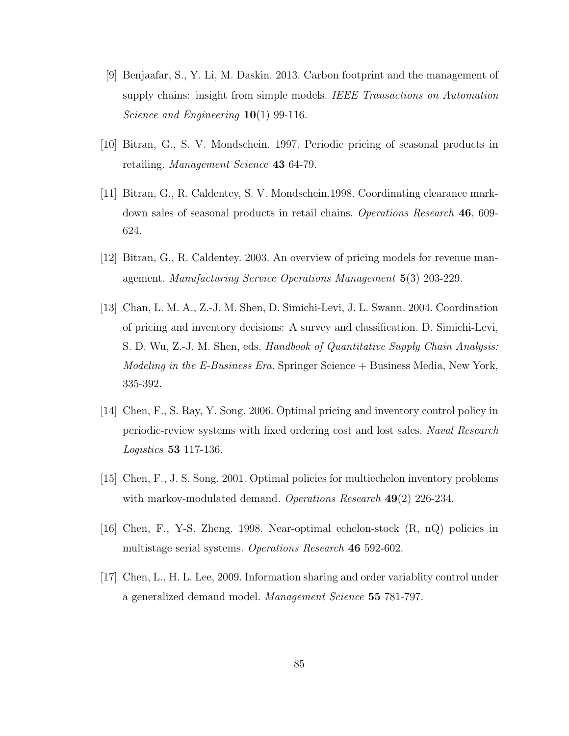- [9] Benjaafar, S., Y. Li, M. Daskin. 2013. Carbon footprint and the management of supply chains: insight from simple models. IEEE Transactions on Automation Science and Engineering  $10(1)$  99-116.
- [10] Bitran, G., S. V. Mondschein. 1997. Periodic pricing of seasonal products in retailing. Management Science 43 64-79.
- [11] Bitran, G., R. Caldentey, S. V. Mondschein.1998. Coordinating clearance markdown sales of seasonal products in retail chains. Operations Research 46, 609- 624.
- [12] Bitran, G., R. Caldentey. 2003. An overview of pricing models for revenue management. Manufacturing Service Operations Management 5(3) 203-229.
- [13] Chan, L. M. A., Z.-J. M. Shen, D. Simichi-Levi, J. L. Swann. 2004. Coordination of pricing and inventory decisions: A survey and classification. D. Simichi-Levi, S. D. Wu, Z.-J. M. Shen, eds. Handbook of Quantitative Supply Chain Analysis: Modeling in the E-Business Era. Springer Science + Business Media, New York, 335-392.
- [14] Chen, F., S. Ray, Y. Song. 2006. Optimal pricing and inventory control policy in periodic-review systems with fixed ordering cost and lost sales. Naval Research Logistics 53 117-136.
- [15] Chen, F., J. S. Song. 2001. Optimal policies for multiechelon inventory problems with markov-modulated demand. Operations Research 49(2) 226-234.
- [16] Chen, F., Y-S. Zheng. 1998. Near-optimal echelon-stock (R, nQ) policies in multistage serial systems. *Operations Research* 46 592-602.
- [17] Chen, L., H. L. Lee, 2009. Information sharing and order variablity control under a generalized demand model. Management Science 55 781-797.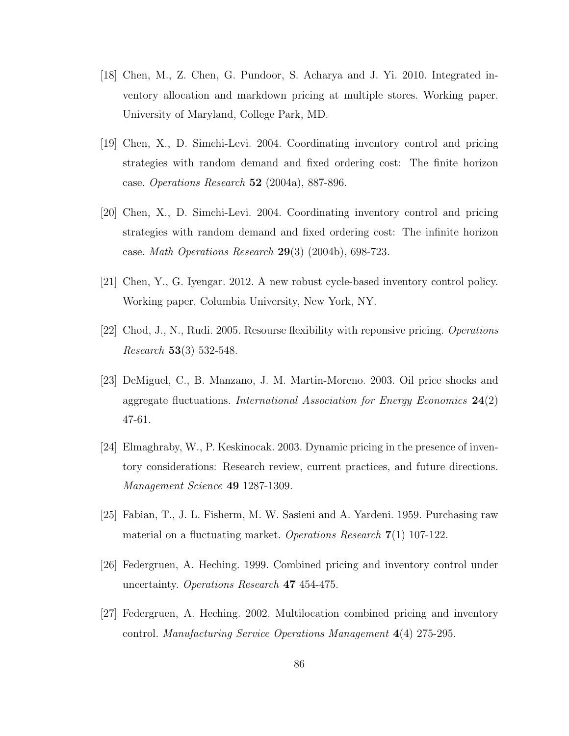- [18] Chen, M., Z. Chen, G. Pundoor, S. Acharya and J. Yi. 2010. Integrated inventory allocation and markdown pricing at multiple stores. Working paper. University of Maryland, College Park, MD.
- [19] Chen, X., D. Simchi-Levi. 2004. Coordinating inventory control and pricing strategies with random demand and fixed ordering cost: The finite horizon case. Operations Research 52 (2004a), 887-896.
- [20] Chen, X., D. Simchi-Levi. 2004. Coordinating inventory control and pricing strategies with random demand and fixed ordering cost: The infinite horizon case. Math Operations Research 29(3) (2004b), 698-723.
- [21] Chen, Y., G. Iyengar. 2012. A new robust cycle-based inventory control policy. Working paper. Columbia University, New York, NY.
- [22] Chod, J., N., Rudi. 2005. Resourse flexibility with reponsive pricing. Operations *Research* 53(3) 532-548.
- [23] DeMiguel, C., B. Manzano, J. M. Martin-Moreno. 2003. Oil price shocks and aggregate fluctuations. International Association for Energy Economics  $24(2)$ 47-61.
- [24] Elmaghraby, W., P. Keskinocak. 2003. Dynamic pricing in the presence of inventory considerations: Research review, current practices, and future directions. Management Science 49 1287-1309.
- [25] Fabian, T., J. L. Fisherm, M. W. Sasieni and A. Yardeni. 1959. Purchasing raw material on a fluctuating market. Operations Research 7(1) 107-122.
- [26] Federgruen, A. Heching. 1999. Combined pricing and inventory control under uncertainty. Operations Research 47 454-475.
- [27] Federgruen, A. Heching. 2002. Multilocation combined pricing and inventory control. Manufacturing Service Operations Management 4(4) 275-295.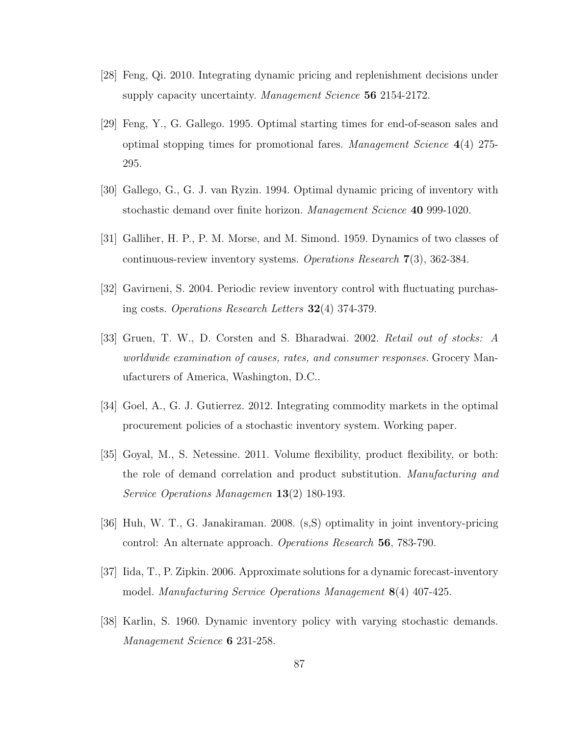- [28] Feng, Qi. 2010. Integrating dynamic pricing and replenishment decisions under supply capacity uncertainty. Management Science 56 2154-2172.
- [29] Feng, Y., G. Gallego. 1995. Optimal starting times for end-of-season sales and optimal stopping times for promotional fares. Management Science  $4(4)$  275-295.
- [30] Gallego, G., G. J. van Ryzin. 1994. Optimal dynamic pricing of inventory with stochastic demand over finite horizon. Management Science 40 999-1020.
- [31] Galliher, H. P., P. M. Morse, and M. Simond. 1959. Dynamics of two classes of continuous-review inventory systems. Operations Research 7(3), 362-384.
- [32] Gavirneni, S. 2004. Periodic review inventory control with fluctuating purchasing costs. Operations Research Letters  $32(4)$  374-379.
- [33] Gruen, T. W., D. Corsten and S. Bharadwai. 2002. Retail out of stocks: A worldwide examination of causes, rates, and consumer responses. Grocery Manufacturers of America, Washington, D.C..
- [34] Goel, A., G. J. Gutierrez. 2012. Integrating commodity markets in the optimal procurement policies of a stochastic inventory system. Working paper.
- [35] Goyal, M., S. Netessine. 2011. Volume flexibility, product flexibility, or both: the role of demand correlation and product substitution. Manufacturing and Service Operations Managemen 13(2) 180-193.
- [36] Huh, W. T., G. Janakiraman. 2008. (s,S) optimality in joint inventory-pricing control: An alternate approach. Operations Research 56, 783-790.
- [37] Iida, T., P. Zipkin. 2006. Approximate solutions for a dynamic forecast-inventory model. Manufacturing Service Operations Management 8(4) 407-425.
- [38] Karlin, S. 1960. Dynamic inventory policy with varying stochastic demands. Management Science **6** 231-258.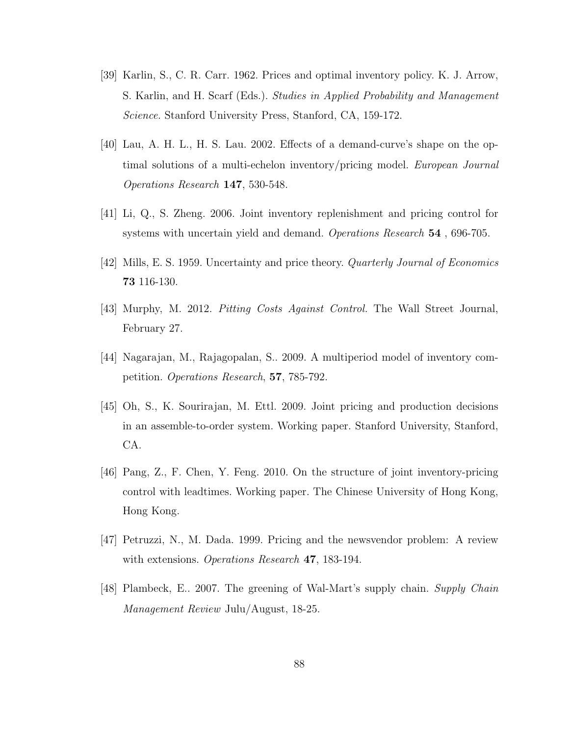- [39] Karlin, S., C. R. Carr. 1962. Prices and optimal inventory policy. K. J. Arrow, S. Karlin, and H. Scarf (Eds.). Studies in Applied Probability and Management Science. Stanford University Press, Stanford, CA, 159-172.
- [40] Lau, A. H. L., H. S. Lau. 2002. Effects of a demand-curve's shape on the optimal solutions of a multi-echelon inventory/pricing model. European Journal Operations Research 147, 530-548.
- [41] Li, Q., S. Zheng. 2006. Joint inventory replenishment and pricing control for systems with uncertain yield and demand. Operations Research 54, 696-705.
- [42] Mills, E. S. 1959. Uncertainty and price theory. Quarterly Journal of Economics 73 116-130.
- [43] Murphy, M. 2012. Pitting Costs Against Control. The Wall Street Journal, February 27.
- [44] Nagarajan, M., Rajagopalan, S.. 2009. A multiperiod model of inventory competition. Operations Research, 57, 785-792.
- [45] Oh, S., K. Sourirajan, M. Ettl. 2009. Joint pricing and production decisions in an assemble-to-order system. Working paper. Stanford University, Stanford, CA.
- [46] Pang, Z., F. Chen, Y. Feng. 2010. On the structure of joint inventory-pricing control with leadtimes. Working paper. The Chinese University of Hong Kong, Hong Kong.
- [47] Petruzzi, N., M. Dada. 1999. Pricing and the newsvendor problem: A review with extensions. *Operations Research* 47, 183-194.
- [48] Plambeck, E.. 2007. The greening of Wal-Mart's supply chain. Supply Chain Management Review Julu/August, 18-25.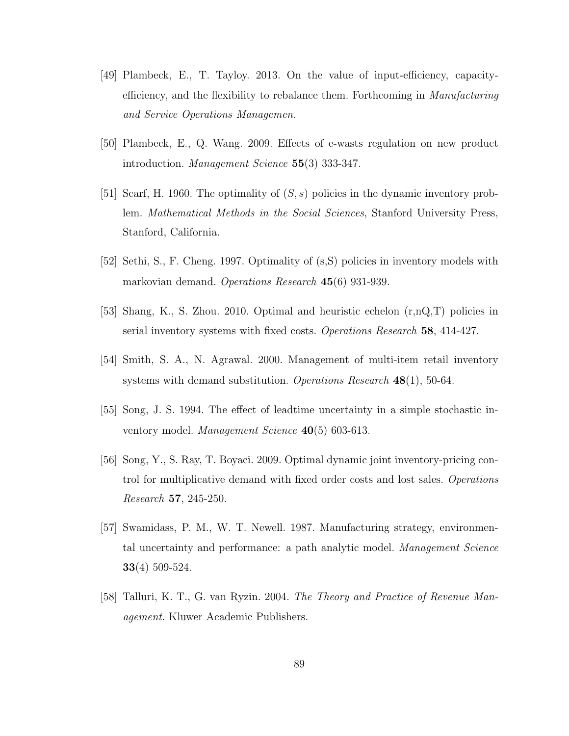- [49] Plambeck, E., T. Tayloy. 2013. On the value of input-efficiency, capacityefficiency, and the flexibility to rebalance them. Forthcoming in Manufacturing and Service Operations Managemen.
- [50] Plambeck, E., Q. Wang. 2009. Effects of e-wasts regulation on new product introduction. Management Science 55(3) 333-347.
- [51] Scarf, H. 1960. The optimality of  $(S, s)$  policies in the dynamic inventory problem. Mathematical Methods in the Social Sciences, Stanford University Press, Stanford, California.
- [52] Sethi, S., F. Cheng. 1997. Optimality of (s,S) policies in inventory models with markovian demand. Operations Research 45(6) 931-939.
- [53] Shang, K., S. Zhou. 2010. Optimal and heuristic echelon (r,nQ,T) policies in serial inventory systems with fixed costs. Operations Research 58, 414-427.
- [54] Smith, S. A., N. Agrawal. 2000. Management of multi-item retail inventory systems with demand substitution. Operations Research 48(1), 50-64.
- [55] Song, J. S. 1994. The effect of leadtime uncertainty in a simple stochastic inventory model. Management Science 40(5) 603-613.
- [56] Song, Y., S. Ray, T. Boyaci. 2009. Optimal dynamic joint inventory-pricing control for multiplicative demand with fixed order costs and lost sales. Operations Research 57, 245-250.
- [57] Swamidass, P. M., W. T. Newell. 1987. Manufacturing strategy, environmental uncertainty and performance: a path analytic model. Management Science 33(4) 509-524.
- [58] Talluri, K. T., G. van Ryzin. 2004. The Theory and Practice of Revenue Management. Kluwer Academic Publishers.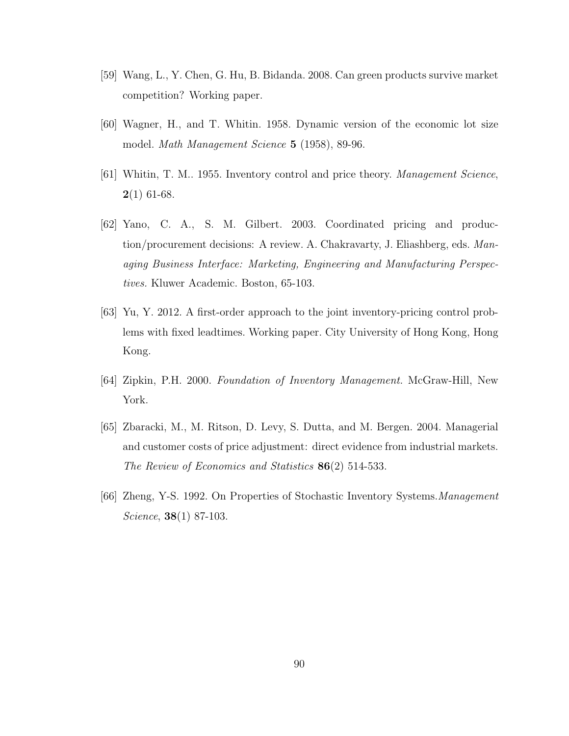- [59] Wang, L., Y. Chen, G. Hu, B. Bidanda. 2008. Can green products survive market competition? Working paper.
- [60] Wagner, H., and T. Whitin. 1958. Dynamic version of the economic lot size model. Math Management Science 5 (1958), 89-96.
- [61] Whitin, T. M.. 1955. Inventory control and price theory. Management Science,  $2(1)$  61-68.
- [62] Yano, C. A., S. M. Gilbert. 2003. Coordinated pricing and production/procurement decisions: A review. A. Chakravarty, J. Eliashberg, eds. Managing Business Interface: Marketing, Engineering and Manufacturing Perspectives. Kluwer Academic. Boston, 65-103.
- [63] Yu, Y. 2012. A first-order approach to the joint inventory-pricing control problems with fixed leadtimes. Working paper. City University of Hong Kong, Hong Kong.
- [64] Zipkin, P.H. 2000. Foundation of Inventory Management. McGraw-Hill, New York.
- [65] Zbaracki, M., M. Ritson, D. Levy, S. Dutta, and M. Bergen. 2004. Managerial and customer costs of price adjustment: direct evidence from industrial markets. The Review of Economics and Statistics 86(2) 514-533.
- [66] Zheng, Y-S. 1992. On Properties of Stochastic Inventory Systems.Management Science, **38**(1) 87-103.